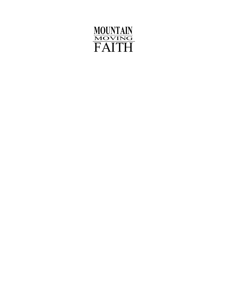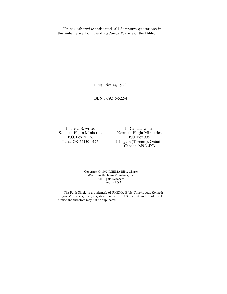Unless otherwise indicated, all Scripture quotations in this volume are from the *King James Version* of the Bible.

First Printing 1993

ISBN 0-89276-522-4

In the U.S. write: In Canada write:<br> **Kenneth Hagin Ministries** Kenneth Hagin Minis P.O. Box 50126<br>Tulsa, OK 74150-0126

Kenneth Hagin Ministries<br>P.O. Box 335 Islington (Toronto), Ontario Canada, M9A 4X3

Copyright © 1993 RHEMA Bible Church AKA Kenneth Hagin Ministries, Inc. All Rights Reserved Printed in USA

The Faith Shield is a trademark of RHEMA Bible Church, AKA Kenneth Hagin Ministries, Inc., registered with the U.S. Patent and Trademark Office and therefore may not be duplicated.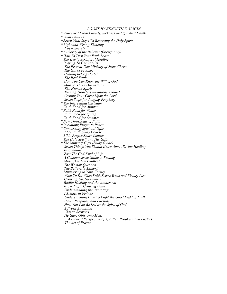## *BOOKS BY KENNETH E. HAGIN*

- \**Redeemed From Poverty, Sickness and Spiritual Death*
- \**What Faith Is*
- \* *Seven Vital Steps To Receiving the Holy Spirit*
- \**Right and Wrong Thinking*
- *Prayer Secrets*
- \**Authority of the Believer (foreign only)*

\**How To Turn Your Faith Loose The Key to Scriptural Healing Praying To Get Results The Present-Day Ministry of Jesus Christ The Gift of Prophecy Healing Belongs to Us The Real Faith How You Can Know the Will of God Man on Three Dimensions The Human Spirit Turning Hopeless Situations Around Casting Your Cares Upon the Lord Seven Steps for Judging Prophecy* \**The Interceding Christian Faith Food for Autumn* \**Faith Food for Winter Faith Food for Spring Faith Food for Summer* \**New Thresholds of Faith* \**Prevailing Prayer to Peace* \**Concerning Spiritual Gifts Bible Faith Study Course Bible Prayer Study Course The Holy Spirit and His Gifts* \**The Ministry Gifts (Study Guide) Seven Things You Should Know About Divine Healing El Shaddai Zoe: The God-Kind of Life A Commonsense Guide to Fasting Must Christians Suffer? The Woman Question The Believer's Authority Ministering to Your Family What To Do When Faith Seems Weak and Victory Lost Growing Up, Spiritually Bodily Healing and the Atonement Exceedingly Growing Faith Understanding the Anointing I Believe in Visions Understanding How To Fight the Good Fight of Faith Plans, Purposes, and Pursuits How You Can Be Led by the Spirit of God A Fresh Anointing Classic Sermons He Gave Gifts Unto Men: A Biblical Perspective of Apostles, Prophets, and Pastors The Art of Prayer*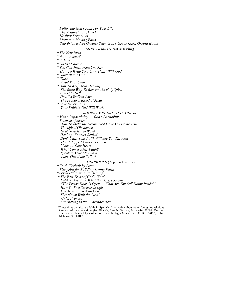*Following God's Plan For Your Life The Triumphant Church Healing Scriptures Mountain Moving Faith The Price Is Not Greater Than God's Grace (Mrs. Oretha Hagin)*

*MINIBOOKS* (A partial listing) \* *The New Birth*

- 
- \* *Why Tongues?*
- \* *In Him*
- \* *God's Medicine* \* *You Can Have What You Say How To Write Your Own Ticket With God* \* *Don't Blame God*
- \* *Words*
- *Plead Your Case \* How To Keep Your Healing The Bible Way To Receive the Holy Spirit I Went to Hell How To Walk in Love The Precious Blood of Jesus \* Love Never Fails*

*Your Faith in God Will Work*

#### *BOOKS BY KENNETH HAGIN JR.*

*\* Man's Impossibility* — *God's Possibility Because of Jesus How To Make the Dream God Gave You Come True The Life of Obedience God's Irresistible Word Healing: Forever Settled Don't Quit! Your Faith Will See You Through The Untapped Power in Praise Listen to Your Heart What Comes After Faith? Speak to Your Mountain Come Out of the Valley!*

## *MINIBOOKS* (A partial listing)

\* *Faith Worketh by Love*

*Blueprint for Building Strong Faith*

- \* *Seven Hindrances to Healing*
- *\* The Past Tense of God's Word Faith Takes Back What the Devil's Stolen "The Prison Door Is Open* — *What Are You Still Doing Inside?" How To Be a Success in Life Get Acquainted With God Showdown With the Devil Unforgiveness Ministering to the Brokenhearted*

:|:These titles are also available in Spanish. Information about other foreign translations of several of the above titles (i.e., Finnish, French, German, Indonesian, Polish, Russian, etc.) may be obtained by writing to: Kenneth Hagin Ministries, P.O. Box 50126, Tulsa, Oklahoma 74150-0126.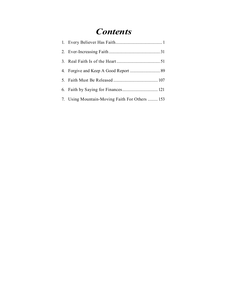# *Contents*

| 7. Using Mountain-Moving Faith For Others  153 |
|------------------------------------------------|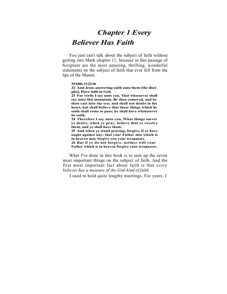## *Chapter 1 Every Believer Has Faith*

You just can't talk about the subject of faith without getting into Mark chapter 11, because in this passage of Scripture are the most amazing, thrilling, wonderful statements on the subject of faith that ever fell from the lips of the Master.

#### **MARK 11:22-26**

**22 And Jesus answering saith unto them [the disci ples], Have faith in God.**

**23 For verily I say unto you, That whosoever shall say unto this mountain, Be thou removed, and be thou cast into the sea; and shall not doubt in his heart, but shall believe that those things which he saith shall come to pass; he shall have whatsoever he saith.**

**24 Therefore I say unto you, What things soever ye desire, when ye pray, believe that ye receive them, and ye shall have them.**

**25 And when ye stand praying, forgive, if ye have ought against any: that your Father also which is in heaven may forgive you your trespasses.**

**26 But if ye do not forgive, neither will your Father which is in heaven forgive your trespasses.**

What I've done in this book is to sum up the seven most important things on the subject of faith. And the first most important fact about faith is that *every believer has a measure of the God-kind of faith.*

I used to hold quite lengthy meetings. For years, I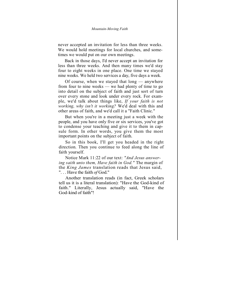## *Mountain-Moving Faith*

never accepted an invitation for less than three weeks. We would hold meetings for local churches, and sometimes we would put on our own meetings.

Back in those days, I'd never accept an invitation for less than three weeks. And then many times we'd stay four to eight weeks in one place. One time we stayed nine weeks. We held two services a day, five days a week.

Of course, when we stayed that long — anywhere from four to nine weeks — we had plenty of time to go into detail on the subject of faith and just sort of turn over every stone and look under every rock. For example, we'd talk about things like, *If your faith is not working, why isn't it working?* We'd deal with this and other areas of faith, and we'd call it a "Faith Clinic."

But when you're in a meeting just a week with the people, and you have only five or six services, you've got to condense your teaching and give it to them in capsule form. In other words, you give them the most important points on the subject of faith.

So in this book, I'll get you headed in the right direction. Then you continue to feed along the line of faith yourself.

Notice Mark 11:22 of our text: *"And Jesus answering saith unto them, Have faith in God."* The margin of the *King James* translation reads that Jesus said, ". . . Have the faith *of* God."

Another translation reads (in fact, Greek scholars tell us it is a literal translation): "Have the God-kind of faith." Literally, Jesus actually said, "Have the God-kind of faith"!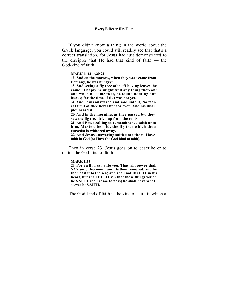#### **Every Believer Has Faith**

If you didn't know a thing in the world about the Greek language, you could still readily see that that's a correct translation, for Jesus had just demonstrated to the disciples that He had that kind of faith — the God-kind of faith.

**MARK 11:12-14,20-22**

**12 And on the morrow, when they were come from Bethany, he was hungry:**

**13 And seeing a fig tree afar off having leaves, he came, if haply he might find any thing thereon: and when he came to it, he found nothing but leaves; for the time of figs was not yet.**

**14 And Jesus answered and said unto it, No man eat fruit of thee hereafter for ever. And his disci ples heard it.. . .**

**20 And in the morning, as they passed by, they saw the fig tree dried up from the roots.**

**21 And Peter calling to remembrance saith unto him, Master, behold, the fig tree which thou cursedst is withered away.**

**22 And Jesus answering saith unto them, Have faith in God [or Have the God-kind of faith].**

Then in verse 23, Jesus goes on to describe or to define the God-kind of faith.

**MARK 1133**

**23 For verily I say unto you, That whosoever shall SAY unto this mountain, Be thou removed, and be thou cast into the sea; and shall not DOUBT in his heart, but shall BELIEVE that those things which he SAITH shall come to pass; he shall have what soever he SAITH.**

The God-kind of faith is the kind of faith in which a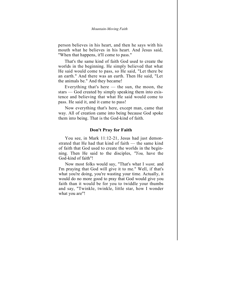#### *Mountain-Moving Faith*

person believes in his heart, and then he says with his mouth what he believes in his heart. And Jesus said, "When that happens, it'll come to pass."

That's the same kind of faith God used to create the worlds in the beginning. He simply believed that what He said would come to pass, so He said, "Let there be an earth." And there was an earth. Then He said, "Let the animals be." And they became!

Everything that's here  $-$  the sun, the moon, the stars — God created by simply speaking them into existence and believing that what He said would come to pass. He said it, and it came to pass!

Now everything that's here, except man, came that way. All of creation came into being because God spoke them into being. That is the God-kind of faith.

## **Don't Pray for Faith**

You see, in Mark 11:12-21, Jesus had just demonstrated that He had that kind of faith — the same kind of faith that God used to create the worlds in the beginning. Then He said to the disciples, *"You,* have the God-kind of faith"!

Now most folks would say, "That's what I *want,* and I'm praying that God will give it to me." Well, if that's what you're doing, you're wasting your time. Actually, it would do no more good to pray that God would give you faith than it would be for you to twiddle your thumbs and say, "Twinkle, twinkle, little star, how I wonder what you are"!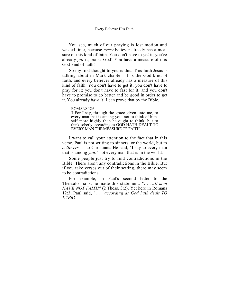You see, much of our praying is lost motion and wasted time, because *every* believer already has a measure of this kind of faith. You don't have to *get* it; you've already *got* it, praise God! You have a measure of this God-kind of faith!

So my first thought to you is this: This faith Jesus is talking about in Mark chapter 11 is the God-kind of faith, and every believer already has a measure of this kind of faith. You don't have to get it; you don't have to pray for it; you don't have to fast for it; and you don't have to promise to do better and be good in order to get it. You already *have* it! I can prove that by the Bible.

## ROMANS 12:3

3 For I say, through the grace given unto me, to every man that is among you, not to think of himself more highly than he ought to think; but to think soberly, according as GOD HATH DEALT TO EVERY MAN THE MEASURE OF FAITH.

I want to call your attention to the fact that in this verse, Paul is not writing to sinners, or the world, but to *believers* — to Christians. He said, "I say to every man that is among *you,"* not every man that is in the world.

Some people just try to find contradictions in the Bible. There aren't any contradictions in the Bible. But if you take verses out of their setting, there may seem to be contradictions.

For example, in Paul's second letter to the Thessalo-nians, he made this statement: ". . . *all men HAVE NOT FAITH"* (2 Thess. 3:2). Yet here in Romans 12:3, Paul said, ". . . *according as God hath dealt TO EVERY*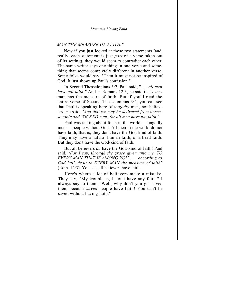## *MAN THE MEASURE OF FAITH."*

Now if you just looked at those two statements (and, really, each statement is just *part* of a verse taken out of its setting), they would seem to contradict each other. The same writer says one thing in one verse and something that seems completely different in another verse. Some folks would say, "Then it must not be inspired of God. It just shows up Paul's confusion."

In Second Thessalonians 3:2, Paul said, ". . . *all men have not faith."* And in Romans 12:3, he said that *every*  man has the measure of faith. But if you'll read the entire verse of Second Thessalonians 3:2, you can see that Paul is speaking here of *ungodly* men, not believers. He said, *"And that we may be delivered from unreasonable and WICKED men: for all men have not faith."*

Paul was talking about folks in the world — ungodly men — people without God. All men in the world do not have faith; that is, they don't have the God-kind of faith. They may have a natural human faith, or a head faith. But they don't have the God-kind of faith.

But all believers *do* have the God-kind of faith! Paul said, *"For I say, through the grace given unto me, TO EVERY MAN THAT IS AMONG YOU . . . according as God hath dealt to EVERY MAN the measure of faith"*  (Rom. 12:3). You see, all believers have faith.

Here's where a lot of believers make a mistake. They say, "My trouble is, I don't have any faith." I always say to them, "Well, why don't you get saved then, because *saved* people have faith! You can't be saved without having faith."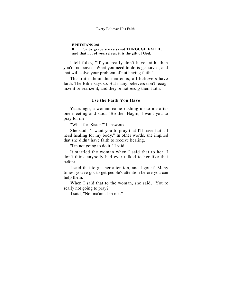#### **EPHESIANS 2:8**

## **8 For by grace are ye saved THROUGH FAITH; and that not of yourselves: it is the gift of God.**

I tell folks, "If you really don't have faith, then you're not saved. What you need to do is get saved, and that will solve your problem of not having faith."

The truth about the matter is, all believers have faith. The Bible says so. But many believers don't recognize it or realize it, and they're not *using* their faith.

## **Use the Faith You Have**

Years ago, a woman came rushing up to me after one meeting and said, "Brother Hagin, I want you to pray for me."

"What for, Sister?" I answered.

She said, "I want you to pray that I'll have faith. I need healing for my body." In other words, she implied that she didn't have faith to receive healing.

"I'm not going to do it," I said.

It startled the woman when I said that to her. I don't think anybody had ever talked to her like that before.

I said that to get her attention, and I got it! Many times, you've got to get people's attention before you can help them.

When I said that to the woman, she said, "You're really not going to pray?"

I said, "No, ma'am. I'm not."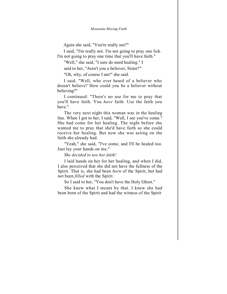Again she said, "You're really not?"

I said, "I'm really not. I'm not going to pray one lick. I'm not going to pray one time that you'll have faith."

"Well," she said, "I sure do need healing." I

said to her, "Aren't you a believer, Sister?"

"Oh, why, of course I am!" she said.

I said, "Well, who ever heard of a believer who doesn't believe? How could you be a believer without believing?"

I continued: "There's no use for me to pray that you'll have faith. You *have* faith. Use the faith you have."

The very next night this woman was in the healing line. When I got to her, I said, "Well, I see you've come." She had come for her healing. The night before she wanted me to pray that she'd have faith so she could receive her healing. But now she was acting on the faith she already had.

"Yeah," she said, "I've come, and I'll be healed too. Just lay your hands on me."

*She decided to use her faith!*

I laid hands on her for her healing, and when I did, I also perceived that she did not have the fullness of the Spirit. That is, she had been *born* of the Spirit, but had not been *filled* with the Spirit.

So I said to her, "You don't have the Holy Ghost."

She knew what I meant by that. I knew she had been born of the Spirit and had the witness of the Spirit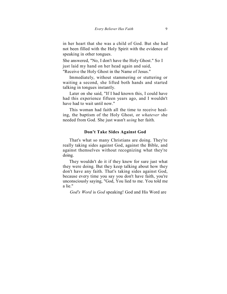in her heart that she was a child of God. But she had not been filled with the Holy Spirit with the evidence of speaking in other tongues.

She answered, "No, I don't have the Holy Ghost." So I just laid my hand on her head again and said, "Receive the Holy Ghost in the Name of Jesus."

Immediately, without stammering or stuttering or waiting a second, she lifted both hands and started talking in tongues instantly.

Later on she said, "If I had known this, I could have had this experience fifteen years ago, and I wouldn't have had to wait until now."

This woman had faith all the time to receive healing, the baptism of the Holy Ghost, or *whatever* she needed from God. She just wasn't *using* her faith.

## **Don't Take Sides Against God**

That's what so many Christians are doing. They're really taking sides against God, against the Bible, and against themselves without recognizing what they're doing.

They wouldn't do it if they knew for sure just what they were doing. But they keep talking about how they don't have any faith. That's taking sides against God, because every time you say you don't have faith, you're unconsciously saying, "God, You lied to me. You told me a lie."

*God's Word* is *God* speaking! God and His Word are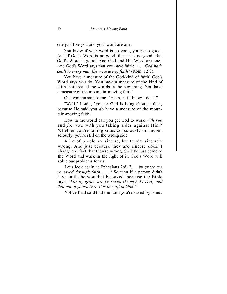one just like you and your word are one.

You know if your word is no good, you're no good. And if God's Word is no good, then He's no good. But God's Word is good! And God and His Word are one! And God's Word says that you have faith: ". . . *God hath dealt to every man the measure of faith"* (Rom. 12:3).

You have a measure of the God-kind of faith! God's Word says you do. You have a measure of the kind of faith that created the worlds in the beginning. You have a measure of the mountain-moving faith!

One woman said to me, "Yeah, but I know I don't."

"Well," I said, "you or God is lying about it then, because He said you *do* have a measure of the mountain-moving faith."

How in the world can you get God to work *with* you and *for* you with you taking sides against Him? Whether you're taking sides consciously or unconsciously, you're still on the wrong side.

A lot of people are sincere, but they're sincerely wrong. And just because they are sincere doesn't change the fact that they're wrong. So let's just come to the Word and walk in the light of it. God's Word will solve our problems for us.

Let's look again at Ephesians 2:8: ". . . *by grace are ye saved through faith. . . ."* So then if a person didn't have faith, he wouldn't be saved, because the Bible says, *"For by grace are ye saved through FAITH; and that not of yourselves: it is the gift of God."*

Notice Paul said that the faith you're saved by is not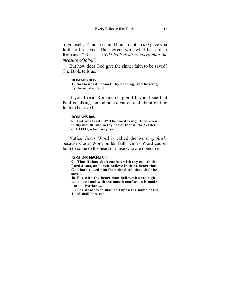of yourself; it's not a natural human faith. *God* gave you faith to be saved. That agrees with what he said in Romans 12:3: *".* . . *GOD hath dealt to every man the measure of faith."*

But how does God give the sinner faith to be saved? The Bible tells us.

## **ROMANS 10:17**

**17 So then faith cometh by hearing, and hearing by the word of God.**

If you'll read Romans chapter 10, you'll see that Paul is talking here about salvation and about getting faith to be saved.

## **ROMANS 10:8**

**8 But what saith it? The word is nigh thee, even in thy mouth, and in thy heart: that is, the WORD of FAITH, which we preach.**

Notice God's Word is called the word *of faith,*  because God's Word builds faith. God's Word causes faith to come to the heart of those who are open to it.

## **ROMANS 10:9,10,13,14**

**9 That if thou shalt confess with thy mouth the Lord Jesus, and shalt believe in thine heart that God hath raised him from the dead, thou shalt be saved.**

**10 For with the heart man believeth unto righ teousness; and with the mouth confession is made unto salvation....**

**13 For whosoever shall call upon the name of the Lord shall be saved.**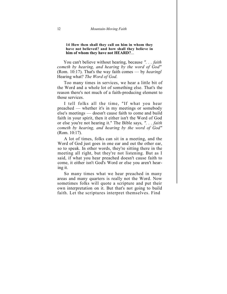## **14 How then shall they call on him in whom they have not believed? and how shall they believe in him of whom they have not HEARD?**...

You can't believe without hearing, because *". . . faith cometh by hearing, and hearing by the word of God"*  (Rom. 10:17). That's the way faith comes — by *hearingl*  Hearing what? *The Word of God.*

Too many times in services, we hear a little bit of the Word and a whole lot of something else. That's the reason there's not much of a faith-producing element to those services.

I tell folks all the time, "If what you hear preached — whether it's in my meetings or somebody else's meetings — doesn't cause faith to come and build faith in your spirit, then it either isn't the Word of God or else you're not hearing it." The Bible says, *". . . faith cometh by hearing, and hearing by the word of God"*  (Rom. 10:17).

A lot of times, folks can sit in a meeting, and the Word of God just goes in one ear and out the other ear, so to speak. In other words, they're sitting there in the meeting all right, but they're not listening. But as I said, if what you hear preached doesn't cause faith to come, it either isn't God's Word or else you aren't hearing it.

So many times what we hear preached in many areas and many quarters is really not the Word. Now sometimes folks will quote a scripture and put their own interpretation on it. But that's not going to build faith. Let the scriptures interpret themselves. Find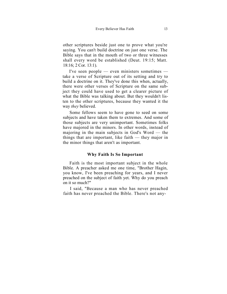other scriptures beside just one to prove what you're saying. You can't build doctrine on just one verse. The Bible says that in the mouth of two or three witnesses shall every word be established (Deut. 19:15; Matt. 18:16; 2 Cor. 13:1).

I've seen people — even ministers sometimes take a verse of Scripture out of its setting and try to build a doctrine on it. They've done this when, actually, there were other verses of Scripture on the same subject they could have used to get a clearer picture of what the Bible was talking about. But they wouldn't listen to the other scriptures, because they wanted it the way *they* believed.

Some fellows seem to have gone to seed on some subjects and have taken them to extremes. And some of those subjects are very unimportant. Sometimes folks have majored in the minors. In other words, instead of majoring in the main subjects in God's Word — the things that are important, like faith — they major in the minor things that aren't as important.

## **Why Faith Is So Important**

Faith is the most important subject in the whole Bible. A preacher asked me one time, "Brother Hagin, you know, I've been preaching for years, and I never preached on the subject of faith yet. Why do you preach on it so much?"

I said, "Because a man who has never preached faith has never preached the Bible. There's not any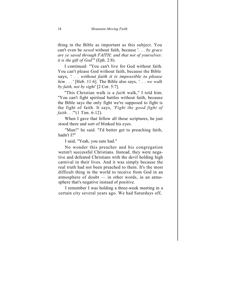thing in the Bible as important as this subject. You can't even be *saved* without faith, because '. . . *by grace are ye saved through FAITH; and that not of yourselves: it is the gift of God'"* (Eph. 2:8).

I continued: "You can't live for God without faith. You can't please God without faith, because the Bible says, *'. . . without faith it is impossible to please him . . .'* [Heb. 11:6]. The Bible also says, *'. . . we walk by faith, not by sight'* [2 Cor. 5:7].

"This Christian walk is a *faith* walk," I told him. "You can't fight spiritual battles without faith, because the Bible says the only fight we're supposed to fight is the fight of faith. It says, *'Fight the good fight of faith. .* .'"(1 Tim. 6:12).

When I gave that fellow all those scriptures, he just stood there and sort of blinked his eyes.

"Man!" he said. "I'd better get to preaching faith, hadn't I?"

I said, "Yeah, you sure had."

No wonder this preacher and his congregation weren't successful Christians. Instead, they were negative and defeated Christians with the devil holding high carnival in their lives. And it was simply because the real truth had not been preached to them. It's the most difficult thing in the world to receive from God in an atmosphere of doubt — in other words, in an atmosphere that's negative instead of positive.

I remember I was holding a three-week meeting in a certain city several years ago. We had Saturdays off,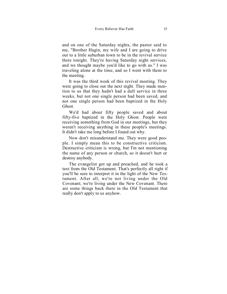and on one of the Saturday nights, the pastor said to me, "Brother Hagin, my wife and I are going to drive out to a little suburban town to be in the revival service there tonight. They're having Saturday night services, and we thought maybe you'd like to go with us." I was traveling alone at the time, and so I went with them to the meeting.

It was the third week of this revival meeting. They were going to close out the next night. They made mention to us that they hadn't had a dull service in three weeks, but not one single person had been saved, and not one single person had been baptized in the Holy Ghost.

We'd had about fifty people saved and about fifty-five baptized in the Holy Ghost. People were receiving something from God in our meetings, but they weren't receiving anything in these people's meetings. It didn't take me long before I found out why.

Now don't misunderstand me. They were good people. I simply mean this to be constructive criticism. Destructive criticism is wrong, but I'm not mentioning the name of any person or church, so it doesn't hurt or destroy anybody.

The evangelist got up and preached, and he took a text from the Old Testament. That's perfectly all right if you'll be sure to interpret it in the light of the New Testament. After all, we're not living under the Old Covenant; we're living under the New Covenant. There are some things back there in the Old Testament that really don't apply to us anyhow.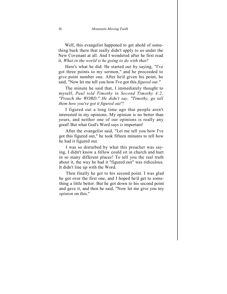Well, this evangelist happened to get ahold of something back there that really didn't apply to us under the New Covenant at all. And I wondered after he first read it, *What in the world is he going to do with that?*

Here's what he did: He started out by saying, "I've got three points to my sermon," and he proceeded to give point number one. After he'd given his point, he said, "Now let me tell you how I've got this *figured out."*

The minute he said that, I immediately thought to myself, *Paul told Timothy in Second Timothy 4:2, "Preach the WORD." He didn't say, "Timothy, go tell them how you've got it figured out"!*

I figured out a long time ago that people aren't interested in my opinions. My opinion is no better than yours, and neither one of our opinions is really any good! But what God's Word says *is* important!

After the evangelist said, "Let me tell you how I've got this figured out," he took fifteen minutes to tell how he had it figured out.

I was so disturbed by what this preacher was saying, I didn't know a fellow could sit in church and hurt in so many different places! To tell you the real truth about it, the way he had it "figured out" was ridiculous. It didn't line up with the Word.

Then finally he got to his second point. I was glad he got over the first one, and I hoped he'd get to something a little better. But he got down to his second point and gave it, and then he said, "Now let me give you my *opinion* on this."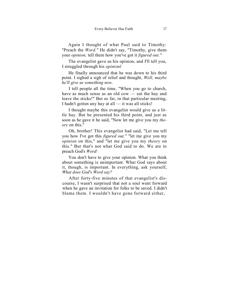Again I thought of what Paul said to Timothy: "Preach the *Word."* He didn't say, "Timothy, give them your *opinion;* tell them how you've got it *figured out."*

The evangelist gave us his opinion, and I'll tell you, I struggled through his *opinionl*

He finally announced that he was down to his third point. I sighed a sigh of relief and thought, *Well, maybe he'll give us something now.*

I tell people all the time, "When you go to church, have as much sense as an old cow — eat the hay and leave the sticks!" But so far, in that particular meeting, I hadn't gotten any hay at all — it was all sticks!

I thought maybe this evangelist would give us a little hay. But he presented his third point, and just as soon as he gave it he said, "Now let me give you my *theory* on this."

Oh, brother! This evangelist had said, "Let me tell you how I've got this *figured out,"* "let me give you my *opinion* on this," and "let me give you my *theory* on this." But that's not what God said to do. We are to preach God's *Word\*

You don't have to give your opinion. What you think about something is unimportant. What God says about it, though, is important. In everything, ask yourself, *What does God's Word say?*

After forty-five minutes of that evangelist's discourse, I wasn't surprised that not a soul went forward when he gave an invitation for folks to be saved. I didn't blame them. I wouldn't have gone forward either,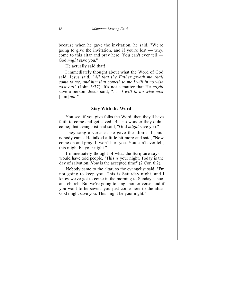because when he gave the invitation, he said, "We're going to give the invitation, and if you're lost — why, come to this altar and pray here. You can't ever tell — God *might* save you."

He actually said that!

I immediately thought about what the Word of God said. Jesus said, *"All that the Father giveth me shall come to me; and him that cometh to me I will in no wise cast out"* (John 6:37). It's not a matter that He *might*  save a person. Jesus said, *". . . I will in no wise cast*  [him] *out."*

## **Stay With the Word**

You see, if you give folks the Word, then they'll have faith to come and get saved! But no wonder they didn't come; that evangelist had said, "God *might* save you."

They sang a verse as he gave the altar call, and nobody came. He talked a little bit more and said, "Now come on and pray. It won't hurt you. You can't ever tell, this might be your night."

I immediately thought of what the Scripture says. I would have told people, "This *is* your night. Today is the day of salvation. *Now* is the accepted time" (2 Cor. 6:2).

Nobody came to the altar, so the evangelist said, "I'm not going to keep you. This is Saturday night, and I know we've got to come in the morning to Sunday school and church. But we're going to sing another verse, and if you want to be saved, you just come here to the altar. God might save you. This might be your night."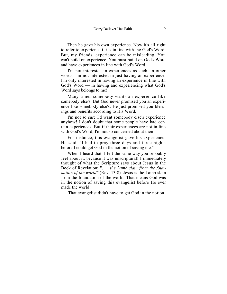Then he gave his own experience. Now it's all right to refer to experience if it's in line with the God's Word. But, my friends, experience can be misleading. You can't build on experience. You must build on God's Word and have experiences in line with God's Word.

I'm not interested in experiences as such. In other words, I'm not interested in just having an experience. I'm only interested in having an experience in line with God's Word — in having and experiencing what God's Word says belongs to me!

Many times somebody wants an experience like somebody else's. But God never promised you an experience like somebody else's. He just promised you blessings and benefits according to His Word.

I'm not so sure I'd want somebody else's experience anyhow! I don't doubt that some people have had certain experiences. But if their experiences are not in line with God's Word, I'm not so concerned about them.

For instance, this evangelist gave his experience. He said, "I had to pray three days and three nights before I could get God in the notion of saving me."

When I heard that, I felt the same way you probably feel about it, because it was unscriptural! I immediately thought of what the Scripture says about Jesus in the Book of Revelation: ". . . *the Lamb slain from the foundation of the world"* (Rev. 13:8). Jesus is the Lamb slain from the foundation of the world. That means God was in the notion of saving this evangelist before He ever made the world!

That evangelist didn't have to get God in the notion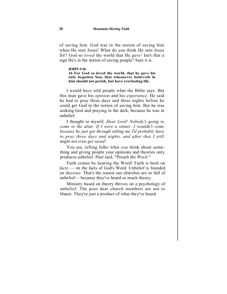of saving him. God was in the notion of saving him when He sent Jesus! What do you think He sent Jesus for? God so *loved* the world that He *gave\* Isn't that a sign He's in the notion of saving people? Sure it is.

#### **JOHN 3:16**

**16 For God so loved the world, that he gave his only begotten Son, that whosoever believeth in him should not perish, but have everlasting life.**

I would have told people what the Bible says. But this man gave his *opinion* and his *experience.* He said he had to pray three days and three nights before he could get God in the notion of saving him. But he was seeking God and praying in the dark, because he was in unbelief.

I thought to myself, *Dear Lord! Nobody's going to come to the altar. If I were a sinner, I wouldn't come because he just got through telling me I'd probably have to pray three days and nights, and after that I still might not even get saved!*

You see, telling folks what *you* think about something and giving people your opinions and theories only produces unbelief. Paul said, "Preach the *Word."*

Faith comes by hearing the Word! Faith is built on *facts* — on the facts of God's Word. Unbelief is founded on *theories.* That's the reason our churches are so full of unbelief— because they've heard so much theory.

Ministry based on theory thrives on a psychology of unbelief. The poor dear church members are not to blame. They're just a product of what they've heard.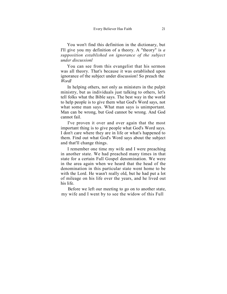You won't find this definition in the dictionary, but I'll give you my definition of a theory. A "theory" is *a supposition established on ignorance of the subject under discussionl*

You can see from this evangelist that his sermon was all theory. That's because it was established upon ignorance of the subject under discussion! So preach the *Wordl*

In helping others, not only as ministers in the pulpit ministry, but as individuals just talking to others, let's tell folks what the Bible says. The best way in the world to help people is to give them what God's Word says, not what some man says. What man says is unimportant. Man can be wrong, but God cannot be wrong. And God cannot fail.

I've proven it over and over again that the most important thing is to give people what God's Word says. I don't care where they are in life or what's happened to them. Find out what God's Word says about the subject and that'll change things.

I remember one time my wife and I were preaching in another state. We had preached many times in that state for a certain Full Gospel denomination. We were in the area again when we heard that the head of the denomination in this particular state went home to be with the Lord. He wasn't really old, but he had put a lot of mileage on his life over the years, and he lived out his life.

Before we left our meeting to go on to another state, my wife and I went by to see the widow of this Full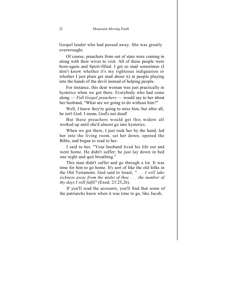Gospel leader who had passed away. She was greatly overwrought.

Of course, preachers from out of state were coming in along with their wives to visit. All of these people were born-again and Spirit-filled. I get so mad sometimes (I don't know whether it's my righteous indignation or whether I just plain get mad about it) at people playing into the hands of the devil instead of helping people.

For instance, this dear woman was just practically in hysterics when we got there. Everybody who had come along — *Full Gospel preachers* — would say to her about her husband, "What are we going to do without him?"

Well, I know they're going to miss him, but after all, he isn't God. I mean, God's not dead!

But these preachers would get this widow all worked up until she'd almost go into hysterics.

When we got there, I just took her by the hand, led her into the living room, sat her down, opened the Bible, and began to read to her.

I said to her, "Your husband lived his life out and went home. He didn't suffer; he just lay down in bed one night and quit breathing."

This man didn't suffer and go through a lot. It was time for him to go home. It's sort of like the old folks in the Old Testament. God said to Israel, *". . . I will take sickness away from the midst of thee . . . the number of thy days I will fulfil"* (Exod. 23:25,26).

If you'll read the accounts, you'll find that some of the patriarchs knew when it was time to go, like Jacob,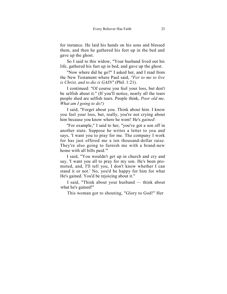for instance. He laid his hands on his sons and blessed them, and then he gathered his feet up in the bed and gave up the ghost.

So I said to this widow, "Your husband lived out his life, gathered his feet up in bed, and gave up the ghost.

"Now where did he go?" I asked her, and I read from the New Testament where Paul said, *"For to me to live is Christ, and to die is GAIN"* (Phil. 1:21).

I continued: "Of course you feel your loss, but don't be selfish about it." (If you'll notice, nearly all the tears people shed are selfish tears. People think, *Poor old me. What am I going to do?)*

I said, "Forget about you. Think about him. I know you feel your loss, but, really, you're not crying about him because you know where he went! He's *gained\*

"For example," I said to her, "you've got a son off in another state. Suppose he writes a letter to you and says, 'I want you to pray for me. The company I work for has just offered me a ten thousand-dollar raise. They're also going to furnish me with a brand-new home with all bills paid.'"

I said, "You wouldn't get up in church and cry and say, 'I want you all to pray for my son. He's been promoted, and, I'll tell you, I don't know whether I can stand it or not.' No, you'd be happy for him for what He's gained. You'd be rejoicing about it."

I said, "Think about your husband — think about what he's gained!"

This woman got to shouting, "Glory to God!" Her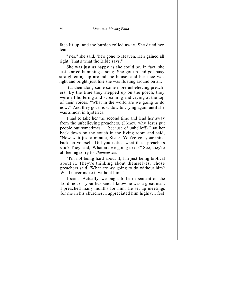face lit up, and the burden rolled away. She dried her tears.

"Yes," she said, "he's gone to Heaven. He's gained all right. That's what the Bible says."

She was just as happy as she could be. In fact, she just started humming a song. She got up and got busy straightening up around the house, and her face was light and bright, just like she was floating around on air.

But then along came some more unbelieving preachers. By the time they stepped up on the porch, they were all hollering and screaming and crying at the top of their voices. "What in the world are we going to do now?" And they got this widow to crying again until she was almost in hysterics.

I had to take her the second time and lead her away from the unbelieving preachers. (I know why Jesus put people out sometimes — because of unbelief!) I sat her back down on the couch in the living room and said, "Now wait just a minute, Sister. You've got your mind back on yourself. Did you notice what these preachers said? They said, 'What are *we* going to do?' See, they're all feeling sorry for *themselves.*

"I'm not being hard about it; I'm just being biblical about it. They're thinking about themselves. Those preachers said, 'What are *we* going to do without him? We'll never make it without him.'"

I said, "Actually, we ought to be dependent on the Lord, not on your husband. I know he was a great man. I preached many months for him. He set up meetings for me in his churches. I appreciated him highly. I feel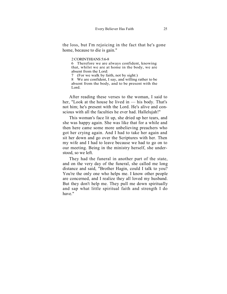the loss, but I'm rejoicing in the fact that he's gone home, because to die is gain."

2 CORINTHIANS 5:6-8

6 Therefore we are always confident, knowing that, whilst we are at home in the body, we are absent from the Lord:

7 (For we walk by faith, not by sight:)

8 We are confident, I say, and willing rather to be absent from the body, and to be present with the Lord.

After reading these verses to the woman, I said to her, "Look at the house he lived in — his body. That's not him; he's present with the Lord. He's alive and conscious with all the faculties he ever had. Hallelujah!"

This woman's face lit up, she dried up her tears, and she was happy again. She was like that for a while and then here came some more unbelieving preachers who got her crying again. And I had to take her again and sit her down and go over the Scriptures with her. Then my wife and I had to leave because we had to go on to our meeting. Being in the ministry herself, she understood, so we left.

They had the funeral in another part of the state, and on the very day of the funeral, she called me long distance and said, "Brother Hagin, could I talk to you? You're the only one who helps me. I know other people are concerned, and I realize they all loved my husband. But they don't help me. They pull me down spiritually and sap what little spiritual faith and strength I do have."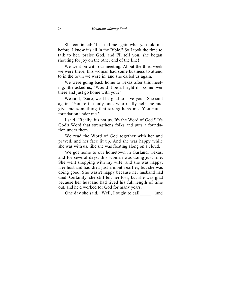She continued: "Just tell me again what you told me before. I know it's all in the Bible." So I took the time to talk to her, praise God, and I'll tell you, she began shouting for joy on the other end of the line!

We went on with our meeting. About the third week we were there, this woman had some business to attend to in the town we were in, and she called us again.

We were going back home to Texas after this meeting. She asked us, "Would it be all right if I come over there and just go home with you?"

We said, "Sure, we'd be glad to have you." She said again, "You're the only ones who really help me and give me something that strengthens me. You put a foundation under me."

I said, "Really, it's not us. It's the Word of God." It's God's Word that strengthens folks and puts a foundation under them.

We read the Word of God together with her and prayed, and her face lit up. And she was happy while she was with us, like she was floating along on a cloud.

We got home to our hometown in Garland, Texas, and for several days, this woman was doing just fine. She went shopping with my wife, and she was happy. Her husband had died just a month earlier, but she was doing good. She wasn't happy because her husband had died. Certainly, she still felt her loss, but she was glad because her husband had lived his full length of time out, and he'd worked for God for many years.

One day she said, "Well, I ought to call " (and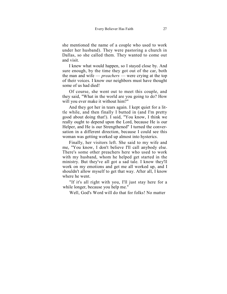she mentioned the name of a couple who used to work under her husband). They were pastoring a church in Dallas, so she called them. They wanted to come out and visit.

I knew what would happen, so I stayed close by. And sure enough, by the time they got out of the car, both the man and wife — *preachers* — were crying at the top of their voices. I know our neighbors must have thought some of us had died!

Of course, she went out to meet this couple, and they said, "What in the world are you going to do? How will you ever make it without him?"

And they got her in tears again. I kept quiet for a little while, and then finally I butted in (and I'm pretty good about doing that!). I said, "You know, I think we really ought to depend upon the Lord, because He is our Helper, and He is our Strengthened" I turned the conversation in a different direction, because I could see this woman was getting worked up almost into hysterics.

Finally, her visitors left. She said to my wife and me, "You know, I don't believe I'll call anybody else. There's some other preachers here who used to work with my husband, whom he helped get started in the ministry. But they've all got a sad tale. I know they'll work on my emotions and get me all worked up, and I shouldn't allow myself to get that way. After all, I know where he went.

"If it's all right with you, I'll just stay here for a while longer, because you help me."

Well, God's Word will do that for folks! No matter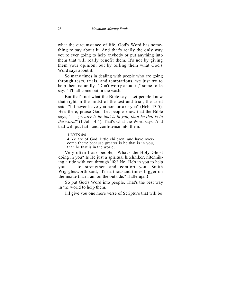what the circumstance of life, God's Word has something to say about it. And that's really the only way you're ever going to help anybody or put anything into them that will really benefit them. It's not by giving them your opinion, but by telling them what God's Word says about it.

So many times in dealing with people who are going through tests, trials, and temptations, we just try to help them naturally. "Don't worry about it," some folks say. "It'll all come out in the wash."

But that's not what the Bible says. Let people know that right in the midst of the test and trial, the Lord said, "I'll never leave you nor forsake you" (Heb. 13:5). He's there, praise God! Let people know that the Bible says, ". . . *greater is he that is in you, than he that is in the world"* (1 John 4:4). That's what the Word says. And that will put faith and confidence into them.

1 JOHN 4:4

4 Ye are of God, little children, and have overcome them: because greater is he that is in you, than he that is in the world.

Very often I ask people, "What's the Holy Ghost doing in you? Is He just a spiritual hitchhiker, hitchhiking a ride with you through life? No! He's in you to help you — to strengthen and comfort you. Smith Wig-glesworth said, "I'm a thousand times bigger on the inside than I am on the outside." Hallelujah!

So put God's Word into people. That's the best way in the world to help them.

I'll give you one more verse of Scripture that will be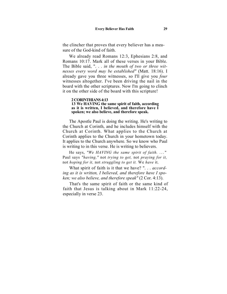the clincher that proves that every believer has a measure of the God-kind of faith.

We already read Romans 12:3, Ephesians 2:8, and Romans 10:17. Mark all of these verses in your Bible. The Bible said, ". . . *in the mouth of two or three witnesses every word may be established"* (Matt. 18:16). I already gave you three witnesses, so I'll give you *four*  witnesses altogether. I've been driving the nail in the board with the other scriptures. Now I'm going to clinch it on the other side of the board with this scripture!

## **2 CORINTHIANS 4:13 13 We HAVING the same spirit of faith, according as it is written, I believed, and therefore have I spoken; we also believe, and therefore speak.**

The Apostle Paul is doing the writing. He's writing to the Church at Corinth, and he includes himself with the Church at Corinth. What applies to the Church at Corinth applies to the Church in your hometown today. It applies to the Church anywhere. So we know who Paul is writing to in this verse. He is writing to believers.

He says, *"We HAVING the same spirit of faith.* . . . " Paul says *"having,"* not *trying to get,* not *praying for it,*  not *hoping for it,* not *struggling to get it.* We *have* it.

What spirit of faith is it that we have? ". . . *according as it is written, I believed, and therefore have I spoken; we also believe, and therefore speak"* (2 Cor. 4:13).

That's the same spirit of faith or the same kind of faith that Jesus is talking about in Mark 11:22-24, especially in verse 23.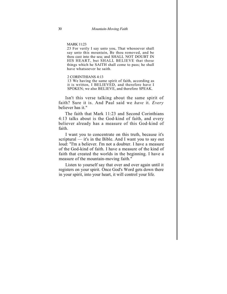#### MARK 11:23

23 For verily I say unto you, That whosoever shall say unto this mountain, Be thou removed, and be thou cast into the sea; and SHALL NOT DOUBT IN HIS HEART, but SHALL BELIEVE that those things which he SAITH shall come to pass; he shall have whatsoever he saith.

#### 2 CORINTHIANS 4:13

13 We having the same spirit of faith, according as it is written, I BELIEVED, and therefore have I SPOKEN; we also BELIEVE, and therefore SPEAK.

Isn't this verse talking about the same spirit of faith? Sure it is. And Paul said we *have* it. *Every*  believer has it."

The faith that Mark 11:23 and Second Corinthians 4:13 talks about is the God-kind of faith, and every believer already has a measure of this God-kind of faith.

I want you to concentrate on this truth, because it's scriptural — it's in the Bible. And I want you to say out loud: "I'm a believer. I'm not a doubter. I have a measure of the God-kind of faith. I have a measure of the kind of faith that created the worlds in the beginning. I have a measure of the mountain-moving faith."

Listen to yourself say that over and over again until it registers on your spirit. Once God's Word gets down there in your spirit, into your heart, it will control your life.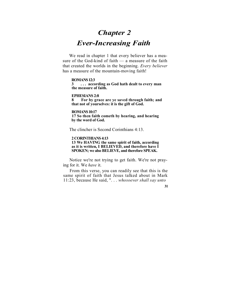# *Chapter 2 Ever-Increasing Faith*

We read in chapter 1 that every believer has a measure of the God-kind of faith — a measure of the faith that created the worlds in the beginning. *Every believer*  has a measure of the mountain-moving faith!

## **ROMANS 12:3**

**3 . . . according as God hath dealt to every man the measure of faith.**

**EPHESIANS 2:8 8 For by grace are ye saved through faith; and that not of yourselves: it is the gift of God.**

## **ROMANS 10:17 17 So then faith cometh by hearing, and hearing by the word of God.**

The clincher is Second Corinthians 4:13.

## **2 CORINTHIANS 4:13**

## **13 We HAVING the same spirit of faith, according as it is written, I BELIEVED, and therefore have I SPOKEN; we also BELIEVE, and therefore SPEAK.**

Notice we're not trying to get faith. We're not praying for it. We *have* it.

From this verse, you can readily see that this is the same spirit of faith that Jesus talked about in Mark 11:23, because He said, ". . . *whosoever shall say unto*

**31**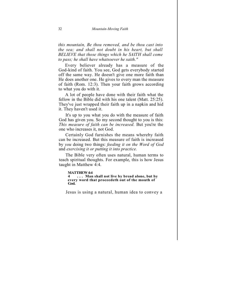## 32 *Mountain-Moving Faith*

*this mountain, Be thou removed, and be thou cast into the sea; and shall not doubt in his heart, but shall BELIEVE that those things which he SAITH shall come to pass; he shall have whatsoever he saith."*

Every believer already has a measure of the God-kind of faith. You see, God gets everybody started off the same way. He doesn't give one more faith than He does another one. He gives to every man the measure of faith (Rom. 12:3). Then your faith grows according to what you do with it.

A lot of people have done with their faith what the fellow in the Bible did with his one talent (Matt. 25:25). They've just wrapped their faith up in a napkin and hid it. They haven't used it.

It's up to you what you do with the measure of faith God has given you. So my second thought to you is this: *This measure of faith can be increased.* But you're the one who increases it, not God.

Certainly God furnishes the means whereby faith can be increased. But this measure of faith is increased by *you* doing two things: *feeding it on the Word of God*  and *exercising it or putting it into practice.*

The Bible very often uses natural, human terms to teach spiritual thoughts. For example, this is how Jesus taught in Matthew 4:4.

#### **MATTHEW 4:4**

**4 . . . Man shall not live by bread alone, but by every word that proceedeth out of the mouth of God.**

Jesus is using a natural, human idea to convey a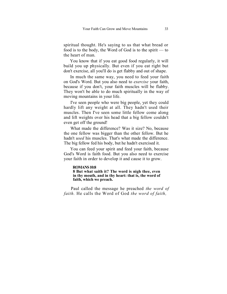spiritual thought. He's saying to us that what bread or food is to the body, the Word of God is to the spirit — to the heart of man.

You know that if you eat good food regularly, it will build you up physically. But even if you eat right but don't exercise, all you'll do is get flabby and out of shape.

In much the same way, you need to feed your faith on God's Word. But you also need to *exercise* your faith, because if you don't, your faith muscles will be flabby. They won't be able to do much spiritually in the way of moving mountains in your life.

I've seen people who were big people, yet they could hardly lift any weight at all. They hadn't used their muscles. Then I've seen some little fellow come along and lift weights over his head that a big fellow couldn't even get off the ground!

What made the difference? Was it size? No, because the one fellow was bigger than the other fellow. But he hadn't *used* his muscles. That's what made the difference. The big fellow fed his body, but he hadn't exercised it.

You can feed your spirit and feed your faith, because God's Word is faith food. But you also need to exercise your faith in order to develop it and cause it to grow.

## **ROMANS 10:8**

**8 But what saith it? The word is nigh thee, even in thy mouth, and in thy heart: that is, the word of faith, which we preach.**

Paul called the message he preached *the word of faith.* He calls the Word of God *the word of faith,*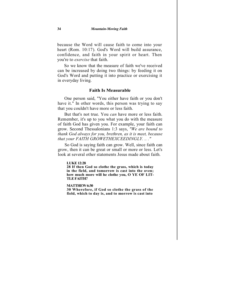because the Word will cause faith to come into your heart (Rom. 10:17). God's Word will build assurance, confidence, and faith in your spirit or heart. Then you're to *exercise* that faith.

So we know that the measure of faith we've received can be increased by doing two things: by feeding it on God's Word and putting it into practice or exercising it in everyday living.

## **Faith Is Measurable**

One person said, "You either have faith or you don't have it." In other words, this person was trying to say that you couldn't have more or less faith.

But that's not true. You *can* have more or less faith. Remember, it's up to you what you do with the measure of faith God has given you. For example, your faith can grow. Second Thessalonians 1:3 says, *"We are bound to thank God always for you, brethren, as it is meet, because that your FAITH GROWETHEXCEEDINGLY. .. ."*

So God is saying faith can grow. Well, since faith can grow, then it can be great or small or more or less. Let's look at several other statements Jesus made about faith.

## **LUKE 12:28**

**28 If then God so clothe the grass, which is today in the field, and tomorrow is cast into the oven; how much more will he clothe you, O YE OF LIT-TLE FAITH?**

## **MATTHEW 6:30**

**30 Wherefore, if God so clothe the grass of the field, which to day is, and to morrow is cast into**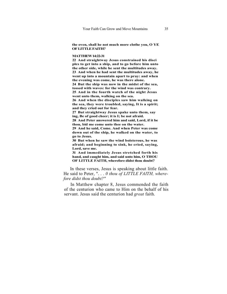**the oven, shall he not much more clothe you, O YE OF LITTLE FAITH?**

#### **MATTHEW 14:22-31**

**22 And straightway Jesus constrained his disci ples to get into a ship, and to go before him unto the other side, while he sent the multitudes away. 23 And when he had sent the multitudes away, he went up into a mountain apart to pray: and when the evening was come, he was there alone.**

**24 But the ship was now in the midst of the sea, tossed with waves: for the wind was contrary.**

**25 And in the fourth watch of the night Jesus went unto them, walking on the sea.**

**26 And when the disciples saw him walking on the sea, they were troubled, saying, It is a spirit; and they cried out for fear.**

**27 But straightway Jesus spake unto them, say ing, Be of good cheer; it is I; be not afraid.**

**28 And Peter answered him and said, Lord, if it be thou, bid me come unto thee on the water.**

**29 And he said, Come. And when Peter was come down out of the ship, he walked on the water, to go to Jesus.**

**30 But when he saw the wind boisterous, he was afraid; and beginning to sink, he cried, saying, Lord, save me.**

**31 And immediately Jesus stretched forth his hand, and caught him, and said unto him, O THOU OF LITTLE FAITH, wherefore didst thou doubt?**

In these verses, Jesus is speaking about little faith. He said to Peter, ". . . *0 thou of LITTLE FAITH, wherefore didst thou doubt?"*

In Matthew chapter 8, Jesus commended the faith of the centurion who came to Him on the behalf of his servant. Jesus said the centurion had *great* faith.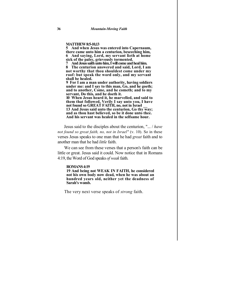**MATTHEW 8:5-10,13**

**5 And when Jesus was entered into Capernaum, there came unto him a centurion, beseeching him, 6 And saying, Lord, my servant lieth at home sick of the palsy, grievously tormented.**

**7 And Jesus saith unto him, I will come and heal him. 8 The centurion answered and said, Lord, I am not worthy that thou shouldest come under my roof: but speak the word only, and my servant shall be healed.**

**9 For I am a man under authority, having soldiers under me: and I say to this man, Go, and he goeth; and to another, Come, and he cometh; and to my servant, Do this, and he doeth it.**

**10 When Jesus heard it, he marvelled, and said to them that followed, Verily I say unto you, I have not found so GREAT FAITH, no, not in Israel \_\_ 13 And Jesus said unto the centurion, Go thy way; and as thou hast believed, so be it done unto thee. And his servant was healed in the selfsame hour.**

Jesus said to the disciples about the centurion, "... / *have not found so great faith, no, not in Israel"* (v. 10). So in these verses Jesus speaks to one man that he had *great* faith and to another man that he had *little* faith.

We can see from these verses that a person's faith can be little or great. Jesus said it could. Now notice that in Romans 4:19, the Word of God speaks *of weak* faith.

#### **ROMANS 4:19**

**19 And being not WEAK IN FAITH, he considered not his own body now dead, when he was about an hundred years old, neither yet the deadness of Sarah's womb.**

The very next verse speaks of *strong* faith.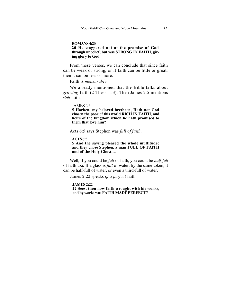## **ROMANS 4:20 20 He staggered not at the promise of God through unbelief; but was STRONG IN FAITH, giving glory to God.**

From these verses, we can conclude that since faith can be weak or strong, or if faith can be little or great, then it can be less or more.

Faith is *measurable.*

We already mentioned that the Bible talks about *growing* faith (2 Thess. 1:3). Then James 2:5 mentions *rich* faith.

## JAMES 2:5

**5 Harken, my beloved brethren, Hath not God chosen the poor of this world RICH IN FAITH, and heirs of the kingdom which he hath promised to them that love him?**

Acts 6:5 says Stephen was *full of faith.*

## **ACTS 6:5**

**5 And the saying pleased the whole multitude: and they chose Stephen, a man FULL OF FAITH and of the Holy Ghost....**

Well, if you could be *full* of faith, you could be *half-full*  of faith too. If a glass is *full* of water, by the same token, it can be half-full of water, or even a third-full of water.

James 2:22 speaks *of a perfect* faith.

**JAMES 2:22**

**22 Seest thou how faith wrought with his works, and by works was FAITH MADE PERFECT?**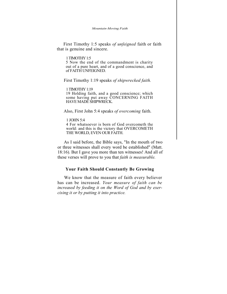*Mountain-Moving Faith*

First Timothy 1:5 speaks *of unfeigned* faith or faith that is genuine and sincere.

1 TIMOTHY 1:5

5 Now the end of the commandment is charity out of a pure heart, and of a good conscience, and of FAITH UNFEIGNED.

First Timothy 1:19 speaks *of shipwrecked faith.*

1 TIMOTHY 1:19 19 Holding faith, and a good conscience; which some having put away CONCERNING FAITH HAVE MADE SHIPWRECK.

Also, First John 5:4 speaks *of overcoming* faith.

1 JOHN 5:4

4 For whatsoever is born of God overcometh the world: and this is the victory that OVERCOMETH THE WORLD, EVEN OUR FAITH.

As I said before, the Bible says, "In the mouth of two or three witnesses shall every word be established" (Matt. 18:16). But I gave you more than ten witnesses! And all of these verses will prove to you that *faith is measurable.*

# **Your Faith Should Constantly Be Growing**

We know that the measure of faith every believer has can be increased. *Your measure of faith can be increased by feeding it on the Word of God and by exercising it or by putting it into practice.*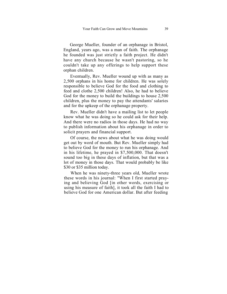George Mueller, founder of an orphanage in Bristol, England, years ago, was a man of faith. The orphanage he founded was just strictly a faith project. He didn't have any church because he wasn't pastoring, so he couldn't take up any offerings to help support these orphan children.

Eventually, Rev. Mueller wound up with as many as 2,500 orphans in his home for children. He was solely responsible to believe God for the food and clothing to feed and clothe 2,500 children! Also, he had to believe God for the money to build the buildings to house 2,500 children, plus the money to pay the attendants' salaries and for the upkeep of the orphanage property.

Rev. Mueller didn't have a mailing list to let people know what he was doing so he could ask for their help. And there were no radios in those days. He had no way to publish information about his orphanage in order to solicit prayers and financial support.

Of course, the news about what he was doing would get out by word of mouth. But Rev. Mueller simply had to believe God for the money to run his orphanage. And in his lifetime, he prayed in \$7,500,000. That doesn't sound too big in these days of inflation, but that was a lot of money in those days. That would probably be like \$30 or \$35 million today.

When he was ninety-three years old, Mueller wrote these words in his journal: "When I first started praying and believing God [in other words, exercising or using his measure of faith], it took all the faith I had to believe God for one American dollar. But after feeding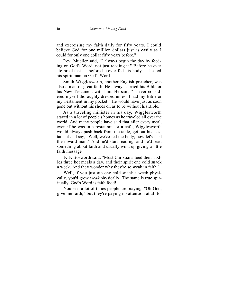and exercising my faith daily for fifty years, I could believe God for one million dollars just as easily as I could for only one dollar fifty years before."

Rev. Mueller said, "I always begin the day by feeding on God's Word, not just reading it." Before he ever ate breakfast — before he ever fed his body — he fed his spirit man on God's Word.

Smith Wigglesworth, another English preacher, was also a man of great faith. He always carried his Bible or his New Testament with him. He said, "I never considered myself thoroughly dressed unless I had my Bible or my Testament in my pocket." He would have just as soon gone out without his shoes on as to be without his Bible.

As a traveling minister in his day, Wigglesworth stayed in a lot of people's homes as he traveled all over the world. And many people have said that after every meal, even if he was in a restaurant or a cafe, Wigglesworth would always push back from the table, get out his Testament and say, "Well, we've fed the body; now let's feed the inward man." And he'd start reading, and he'd read something about faith and usually wind up giving a little faith message.

F. F. Bosworth said, "Most Christians feed their bodies three hot meals a day, and their spirit one cold snack a week. And they wonder why they're so weak in faith."

Well, if you just ate one cold snack a week physically, you'd grow *weak* physically! The same is true spiritually. God's Word is faith food!

You see, a lot of times people are praying, "Oh God, give me faith," but they're paying no attention at all to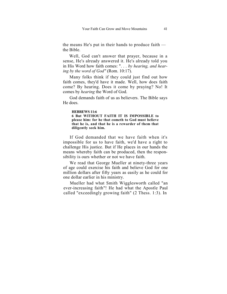the means He's put in their hands to produce faith the Bible.

Well, God can't answer that prayer, because in a sense, He's already answered it. He's already told you in His Word how faith comes: ". . . *by hearing, and hearing by the word of God"* (Rom. 10:17).

Many folks think if they could just find out how faith comes, they'd have it made. Well, how does faith come? By hearing. Does it come by praying? No! It comes by *hearing* the Word of God.

God demands faith of us as believers. The Bible says He does.

#### **HEBREWS 11:6**

## **6 But WITHOUT FAITH IT IS IMPOSSIBLE to please him: for he that cometh to God must believe that he is, and that he is a rewarder of them that diligently seek him.**

If God demanded that we have faith when it's impossible for us to have faith, we'd have a right to challenge His justice. But if He places in our hands the means whereby faith can be produced, then the responsibility is ours whether or not we have faith.

We read that George Mueller at ninety-three years of age could exercise his faith and believe God for one million dollars after fifty years as easily as he could for one dollar earlier in his ministry.

Mueller had what Smith Wigglesworth called "an ever-increasing faith"! He had what the Apostle Paul called "exceedingly growing faith" (2 Thess. 1:3). In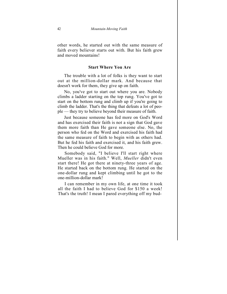other words, he started out with the same measure of faith every believer starts out with. But his faith grew and moved mountains!

# **Start Where You Are**

The trouble with a lot of folks is they want to start out at the million-dollar mark. And because that doesn't work for them, they give up on faith.

No, you've got to start out where you are. Nobody climbs a ladder starting on the top rung. You've got to start on the bottom rung and climb up if you're going to climb the ladder. That's the thing that defeats a lot of people — they try to believe beyond their measure of faith.

Just because someone has fed more on God's Word and has exercised their faith is not a sign that God gave them more faith than He gave someone else. No, the person who fed on the Word and exercised his faith had the same measure of faith to begin with as others had. But he fed his faith and exercised it, and his faith grew. Then he could believe God for more.

Somebody said, "I believe I'll start right where Mueller was in his faith." Well, *Mueller* didn't even start there! He got there at ninety-three years of age. He started back on the bottom rung. He started on the one-dollar rung and kept climbing until he got to the one-million-dollar mark!

I can remember in my own life, at one time it took all the faith I had to believe God for \$150 a week! That's the truth! I mean I pared everything off my bud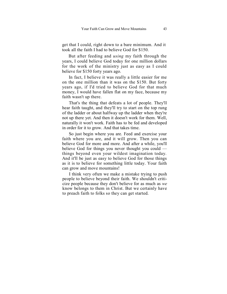get that I could, right down to a bare minimum. And it took all the faith I had to believe God for \$150.

But after feeding and *using* my faith through the years, I could believe God today for one million dollars for the work of the ministry just as easy as I could believe for \$150 forty years ago.

In fact, I believe it was really a little easier for me on the one million than it was on the \$150. But forty years ago, if I'd tried to believe God for that much money, I would have fallen flat on my face, because my faith wasn't up there.

That's the thing that defeats a lot of people. They'll hear faith taught, and they'll try to start on the top rung of the ladder or about halfway up the ladder when they're not up there yet. And then it doesn't work for them. Well, naturally it won't work. Faith has to be fed and developed in order for it to grow. And that takes time.

So just begin where you are. Feed and exercise your faith where you are, and it will grow. Then you can believe God for more and more. And after a while, you'll believe God for things you never thought you could things beyond even your wildest imagination today. And it'll be just as easy to believe God for those things as it is to believe for something little today. Your faith can grow and move mountains!

I think very often we make a mistake trying to push people to believe beyond their faith. We shouldn't criticize people because they don't believe for as much as *we*  know belongs to them in Christ. But we certainly have to preach faith to folks so they can get started.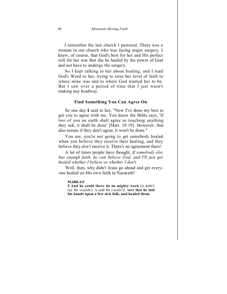I remember the last church I pastored. There was a woman in our church who was facing major surgery. I knew, of course, that God's best for her and His perfect will for her was that she be healed by the power of God and not have to undergo the surgery.

So I kept talking to her about healing, and I read God's Word to her, trying to raise her level of faith to where mine was and to where God wanted her to be. But I saw over a period of time that I just wasn't making any headway.

# **Find Something You Can Agree On**

So one day **I** said to her, "Now I've done my best to get you to agree with me. You know the Bible says, 'If two of you on earth shall agree as touching anything they ask, it shall be done' [Matt. 18:19]. However, that also means if they don't agree, it won't be done."

You see, you're not going to get somebody healed when you believe they receive their healing, and they believe they *don't* receive it. There's no agreement there!

A lot of times people have thought, *If somebody else has enough faith, he can believe God, and I'll just get healed whether I believe or whether I don't.*

Well, then, why didn't Jesus go ahead and get everyone healed on His own faith in Nazareth!

#### **MARK 6:5**

**5 And he could there do no mighty work** [it didn't say He *wouldn't;* it said He *couldn't],* **save that he laid his hands upon a few sick folk, and healed them.**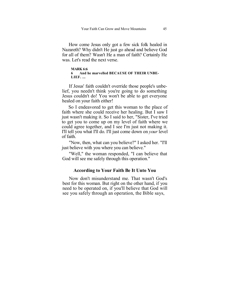How come Jesus only got a few sick folk healed in Nazareth? Why didn't He just go ahead and believe God for all of them? Wasn't He a man of faith? Certainly He was. Let's read the next verse.

## **MARK 6:6 6 And he marvelled BECAUSE OF THEIR UNBE-LIEF. ...**

If Jesus' faith couldn't override those people's unbelief, you needn't think you're going to do something Jesus couldn't do! You won't be able to get everyone healed on your faith either!

So I endeavored to get this woman to the place of faith where she could receive her healing. But I saw I just wasn't making it. So I said to her, "Sister, I've tried to get you to come up on my level of faith where we could agree together, and I see I'm just not making it. I'll tell you what I'll do. I'll just come down on *your* level of faith.

"Now, then, what can you believe?" I asked her. "I'll just believe with you where you can believe."

"Well," the woman responded, "I can believe that God will see me safely through this operation."

# **According to Your Faith Be It Unto You**

Now don't misunderstand me. That wasn't God's best for this woman. But right on the other hand, if you need to be operated on, if you'll believe that God will see you safely through an operation, the Bible says,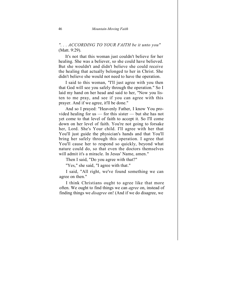*". . . ACCORDING TO YOUR FAITH be it unto you"*  (Matt. 9:29).

It's not that this woman just couldn't believe for her healing. She was a believer, so she could have believed. But she wouldn't and didn't believe she could receive the healing that actually belonged to her in Christ. She didn't believe she would not need to have the operation.

I said to this woman, "I'll just agree with you then that God will see you safely through the operation." So I laid my hand on her head and said to her, "Now you listen to me pray, and see if you can agree with this prayer. And if we agree, it'll be done."

And so I prayed: "Heavenly Father, I know You provided healing for us — for this sister — but she has not yet come to that level of faith to accept it. So I'll come down on her level of faith. You're not going to forsake her, Lord. She's Your child. I'll agree with her that You'll just guide the physician's hands and that You'll bring her safely through this operation. I agree that You'll cause her to respond so quickly, beyond what nature could do, so that even the doctors themselves will admit it's a miracle. In Jesus' Name, amen."

Then I said, "Do you agree with that?"

"Yes," she said, "I agree with that."

I said, "All right, we've found something we can agree on then."

I think Christians ought to agree like that more often. We ought to find things we can *agree* on, instead of finding things we *disagree* on! (And if we do disagree, we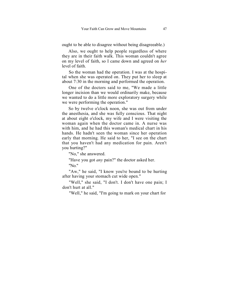ought to be able to disagree without being disagreeable.)

Also, we ought to help people regardless of where they are in their faith walk. This woman couldn't agree on my level of faith, so I came down and agreed on *her*  level of faith.

So the woman had the operation. I was at the hospital when she was operated on. They put her to sleep at about 7:30 in the morning and performed the operation.

One of the doctors said to me, "We made a little longer incision than we would ordinarily make, because we wanted to do a little more exploratory surgery while we were performing the operation."

So by twelve o'clock noon, she was out from under the anesthesia, and she was fully conscious. That night at about eight o'clock, my wife and I were visiting the woman again when the doctor came in. A nurse was with him, and he had this woman's medical chart in his hands. He hadn't seen the woman since her operation early that morning. He said to her, "I see on the chart that you haven't had any medication for pain. Aren't you hurting?"

"No," she answered.

"Have you got *any* pain?" the doctor asked her. "No."

"Aw," he said, "I know you're bound to be hurting after having your stomach cut wide open."

"Well," she said, "I don't. I don't have one pain; I don't hurt at all."

"Well," he said, "I'm going to mark on your chart for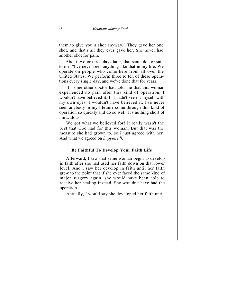them to give you a shot anyway." They gave her one shot, and that's all they ever gave her. She never had another shot for pain.

About two or three days later, that same doctor said to me, "I've never seen anything like that in my life. We operate on people who come here from all over the United States. We perform three to ten of these operations every single day, and we've done that for years.

"If some other doctor had told me that this woman experienced no pain after this kind of operation, I wouldn't have believed it. If I hadn't seen it myself with my own eyes, I wouldn't have believed it. I've never seen anybody in my lifetime come through this kind of operation so quickly and do so well. It's nothing short of miraculous."

We got what we believed for! It really wasn't the best that God had for this woman. But that was the measure she had grown to, so I just agreed with her. And what we agreed on *happened).*

## **Be Faithful To Develop Your Faith Life**

Afterward, I saw that same woman begin to develop in faith after she had used her faith down on that lower level. And I saw her develop in faith until her faith grew to the point that if she ever faced the same kind of major surgery again, she would have been able to receive her healing instead. She wouldn't have had the operation.

Actually, I would say she developed her faith until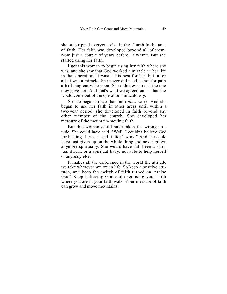she outstripped everyone else in the church in the area of faith. Her faith was developed beyond all of them. Now just a couple of years before, it wasn't. But she started using her faith.

I got this woman to begin using her faith where she was, and she saw that God worked a miracle in her life in that operation. It wasn't His best for her, but, after all, it was a miracle. She never did need a shot for pain after being cut wide open. She didn't even need the one they gave her! And that's what we agreed on — that she would come out of the operation miraculously.

So she began to see that faith *does* work. And she began to use her faith in other areas until within a two-year period, she developed in faith beyond any other member of the church. She developed her measure of the mountain-moving faith.

But this woman could have taken the wrong attitude. She could have said, "Well, I couldn't believe God for healing. I tried it and it didn't work." And she could have just given up on the whole thing and never grown anymore spiritually. She would have still been a spiritual dwarf, or a spiritual baby, not able to help herself or anybody else.

It makes all the difference in the world the attitude we take wherever we are in life. So keep a positive attitude, and keep the switch of faith turned on, praise God! Keep believing God and exercising your faith where you are in your faith walk. Your measure of faith can grow and move mountains!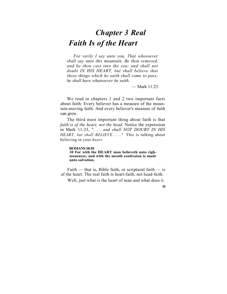# *Chapter 3 Real Faith Is of the Heart*

*For verily I say unto you, That whosoever shall say unto this mountain, Be thou removed, and be thou cast into the sea; and shall not doubt IN HIS HEART, but shall believe that those things which he saith shall come to pass; he shall have whatsoever he saith.*

— Mark 11:23

We read in chapters 1 and 2 two important facts about faith: Every believer has a measure of the mountain-moving faith. And every believer's measure of faith can grow.

The third most important thing about faith is that *faith is of the heart, not the head.* Notice the expression in Mark 11:23, ". . . *and shall NOT DOUBT IN HIS HEART, but shall BELIEVE.* ..." This is talking about believing in your *heart.*

**ROMANS 10:10**

**10 For with the HEART man believeth unto righteousness; and with the mouth confession is made unto salvation.**

Faith — that is, Bible faith, or scriptural faith — is of the heart. The real faith is heart-faith, not head-faith.

Well, just what is the heart of man and what does it

**51**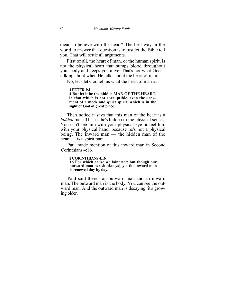mean to believe with the heart? The best way in the world to answer that question is to just let the Bible tell you. That will settle all arguments.

First of all, the heart of man, or the human spirit, is not the physical heart that pumps blood throughout your body and keeps you alive. That's not what God is talking about when He talks about the heart of man.

No, let's let God tell us what the heart of man is.

# **1 PETER 3:4**

## **4 But let it be the hidden MAN OF THE HEART, in that which is not corruptible, even the ornament of a meek and quiet spirit, which is in the sight of God of great price.**

Then notice it says that this man of the heart is a *hidden* man. That is, he's hidden to the physical senses. You can't see him with your physical eye or feel him with your physical hand, because he's not a physical being. The inward man — the hidden man of the heart  $\overline{\phantom{a}}$  is a spirit man.

Paul made mention of this inward man in Second Corinthians 4:16.

## **2 CORINTHIANS 4:16**

**16 For which cause we faint not; but though our outward man perish** [decays], **yet the inward man is renewed day by day.**

Paul said there's an outward man and an inward man. The outward man is the body. You can see the outward man. And the outward man is decaying; it's growing older.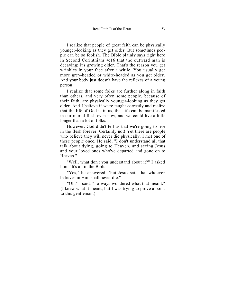I realize that people of great faith can be physically younger-looking as they get older. But sometimes people can be so foolish. The Bible plainly says right here in Second Corinthians 4:16 that the outward man is decaying; it's growing older. That's the reason you get wrinkles in your face after a while. You usually get more grey-headed or white-headed as you get older. And your body just doesn't have the reflexes of a young person.

I realize that some folks are further along in faith than others, and very often some people, because of their faith, are physically younger-looking as they get older. And I believe if we're taught correctly and realize that the life of God is in us, that life can be manifested in our mortal flesh even now, and we could live a little longer than a lot of folks.

However, God didn't tell us that we're going to live in the flesh forever. Certainly not! Yet there are people who believe they will never die physically. I met one of these people once. He said, "I don't understand all that talk about dying, going to Heaven, and seeing Jesus and your loved ones who've departed and gone on to Heaven<sup>"</sup>

"Well, what don't you understand about it?" I asked him. "It's all in the Bible."

"Yes," he answered, "but Jesus said that whoever believes in Him shall never die."

"Oh," I said, "I always wondered what that meant." (I knew what it meant, but I was trying to prove a point to this gentleman.)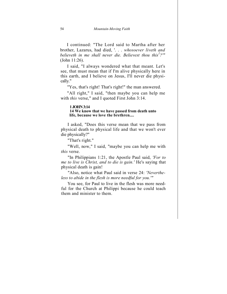I continued: "The Lord said to Martha after her brother, Lazarus, had died, '. . . *whosoever liveth and believeth in me shall never die. Believest thou this<sup>1</sup> ?'"*  (John 11:26).

I said, "I always wondered what that meant. Let's see, that must mean that if I'm alive physically here in this earth, and I believe on Jesus, I'll never die physically."

"Yes, that's right! That's right!" the man answered.

"All right," I said, "then maybe you can help me with *this* verse," and I quoted First John 3:14.

## **1 JOHN 3:14 14 We know that we have passed from death unto life, because we love the brethren....**

I asked, "Does this verse mean that we pass from physical death to physical life and that we won't ever die physically?"

"That's right."

"Well, now," I said, "maybe you can help me with *this* verse.

"In Philippians 1:21, the Apostle Paul said, *'For to me to live is Christ, and to die is gain.'* He's saying that physical death is gain!

"Also, notice what Paul said in verse 24: *'Nevertheless to abide in the flesh is more needful for you.'"*

You see, for Paul to live in the flesh was more needful for the Church at Philippi because he could teach them and minister to them.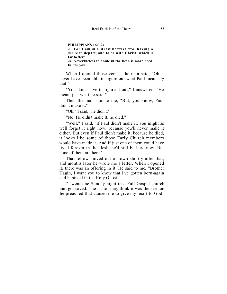## **PHILIPPIANS 1:23,24**

**23 For I am in a strait betwixt two, having a** desire **to depart, and to be with Christ; which is far better: 24 Nevertheless to abide in the flesh is more need ful for you.**

When I quoted those verses, the man said, "Oh, I never have been able to figure out what Paul meant by that!"

"You don't have to figure it out," I answered. "He meant just what he said."

Then the man said to me, "But, you know, Paul didn't make it."

"Oh," I said, "he didn't?"

"No. He didn't make it; he died."

"Well," I said, "if Paul didn't make it, you might as well forget it right now, because you'll never make it either. But even if Paul didn't make it, because he died, it looks like some of those Early Church members would have made it. And if just one of them could have lived forever in the flesh, he'd still be here now. But none of them are here."

That fellow moved out of town shortly after that, and months later he wrote me a letter. When I opened it, there was an offering in it. He said to me, "Brother Hagin, I want you to know that I've gotten born-again and baptized in the Holy Ghost.

"I went one Sunday night to a Full Gospel church and got saved. The pastor may think it was the sermon he preached that caused me to give my heart to God.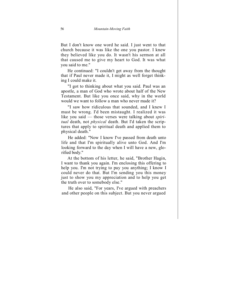But I don't know one word he said. I just went to that church because it was like the one you pastor. I knew they believed like you do. It wasn't his sermon at all that caused me to give my heart to God. It was what you said to me."

He continued: "I couldn't get away from the thought that if Paul never made it, I might as well forget thinking I could make it.

"I got to thinking about what you said. Paul was an apostle, a man of God who wrote about half of the New Testament. But like you once said, why in the world would we want to follow a man who never made it?

"I saw how ridiculous that sounded, and I knew I must be wrong. I'd been mistaught. I realized it was like you said — those verses were talking about *spiritual* death, not *physical* death. But I'd taken the scriptures that apply to spiritual death and applied them to physical death."

He added: "Now I know I've passed from death unto life and that I'm spiritually alive unto God. And I'm looking forward to the day when I will have a new, glorified body."

At the bottom of his letter, he said, "Brother Hagin, I want to thank you again. I'm enclosing this offering to help you. I'm not trying to pay you anything; I know I could never do that. But I'm sending you this money just to show you my appreciation and to help you get the truth over to somebody else."

He also said, "For years, I've argued with preachers and other people on this subject. But you never argued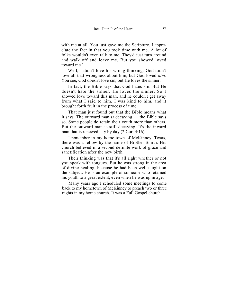with me at all. You just gave me the Scripture. I appreciate the fact in that you took time with me. A lot of folks wouldn't even talk to me. They'd just turn around and walk off and leave me. But you showed loved toward me."

Well, I didn't love his wrong thinking. God didn't love all that wrongness about him, but God loved *him.*  You see, God doesn't love sin, but He loves the sinner.

In fact, the Bible says that God hates sin. But He doesn't hate the sinner. He loves the sinner. So I showed love toward this man, and he couldn't get away from what I said to him. I was kind to him, and it brought forth fruit in the process of time.

That man just found out that the Bible means what it says. The outward man *is* decaying — the Bible says so. Some people do retain their youth more than others. But the outward man is still decaying. It's the inward man that is renewed day by day (2 Cor. 4:16).

I remember in my home town of McKinney, Texas, there was a fellow by the name of Brother Smith. His church believed in a second definite work of grace and sanctification after the new birth.

Their thinking was that it's all right whether or not you speak with tongues. But he was strong in the area of divine healing, because he had been well taught on the subject. He is an example of someone who retained his youth to a great extent, even when he was up in age.

Many years ago I scheduled some meetings to come back to my hometown of McKinney to preach two or three nights in my home church. It was a Full Gospel church.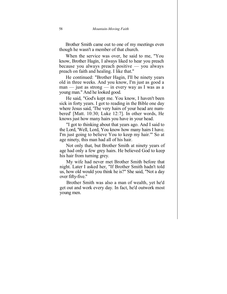Brother Smith came out to one of my meetings even though he wasn't a member of that church.

When the service was over, he said to me, "You know, Brother Hagin, I always liked to hear you preach because you always preach positive — you always preach on faith and healing. I like that."

He continued: "Brother Hagin, I'll be ninety years old in three weeks. And you know, I'm just as good a man — just as strong — in every way as I was as a young man." And he looked good.

He said, "God's kept me. You know, I haven't been sick in forty years. I got to reading in the Bible one day where Jesus said, 'The very hairs of your head are numbered' [Matt. 10:30; Luke 12:7]. In other words, He knows just how many hairs you have in your head.

"I got to thinking about that years ago. And I said to the Lord, 'Well, Lord, You know how many hairs I have. I'm just going to believe You to keep my hair.'" So at age ninety, this man had all of his hair.

Not only that, but Brother Smith at ninety years of age had only a few grey hairs. He believed God to keep his hair from turning grey.

My wife had never met Brother Smith before that night. Later I asked her, "If Brother Smith hadn't told us, how old would you think he is?" She said, "Not a day over fifty-five."

Brother Smith was also a man of wealth, yet he'd get out and work every day. In fact, he'd outwork most young men.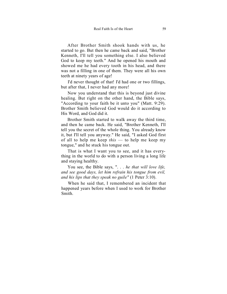After Brother Smith shook hands with us, he started to go. But then he came back and said, "Brother Kenneth, I'll tell you something else. I also believed God to keep my teeth." And he opened his mouth and showed me he had every tooth in his head, and there was not a filling in one of them. They were all his own teeth at ninety years of age!

I'd never thought of that! I'd had one or two fillings, but after that, I never had any more!

Now you understand that this is beyond just divine healing. But right on the other hand, the Bible says, "According to your faith be it unto you" (Matt. 9:29). Brother Smith believed God would do it according to His Word, and God did it.

Brother Smith started to walk away the third time, and then he came back. He said, "Brother Kenneth, I'll tell you the secret of the whole thing. You already know it, but I'll tell you anyway." He said, "I asked God first of all to help me keep *this* — to help me keep my tongue," and he stuck his tongue out.

That is what I want you to see, and it has everything in the world to do with a person living a long life and staying healthy.

You see, the Bible says, ". . . *he that will love life, and see good days, let him refrain his tongue from evil, and his lips that they speak no guile"* (1 Peter 3:10).

When he said that, I remembered an incident that happened years before when I used to work for Brother Smith.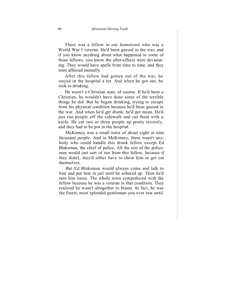There was a fellow in our hometown who was a World War I veteran. He'd been gassed in the war, and if you know anything about what happened to some of those fellows, you know the after-effects were devastating. They would have spells from time to time, and they were affected mentally.

After this fellow had gotten out of the war, he stayed in the hospital a lot. And when he got out, he took to drinking.

He wasn't a Christian man, of course. If he'd been a Christian, he wouldn't have done some of the terrible things he did. But he began drinking, trying to escape from his physical condition because he'd been gassed in the war. And when he'd get drunk, he'd get mean. He'd just run people off the sidewalk and cut them with a knife. He cut two or three people up pretty severely, and they had to be put in the hospital.

McKinney was a small town of about eight or nine thousand people. And in McKinney, there wasn't anybody who could handle this drunk fellow except Ed Blakeman, the chief of police. All the rest of the policemen would just sort of run from this fellow, because if they didn't, they'd either have to shoot him or get cut themselves.

But Ed Blakeman would always come and talk to him and put him in jail until he sobered up. Then he'd turn him loose. The whole town sympathized with the fellow because he was a veteran in that condition. They realized he wasn't altogether to blame. In fact, he was the finest, most splendid gentleman you ever saw until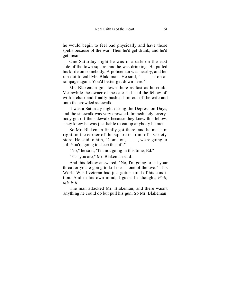he would begin to feel bad physically and have those spells because of the war. Then he'd get drunk, and he'd get mean.

One Saturday night he was in a cafe on the east side of the town square, and he was drinking. He pulled his knife on somebody. A policeman was nearby, and he ran out to call Mr. Blakeman. He said, " is on a rampage again. You'd better get down here."

Mr. Blakeman got down there as fast as he could. Meanwhile the owner of the cafe had held the fellow off with a chair and finally pushed him out of the cafe and onto the crowded sidewalk.

It was a Saturday night during the Depression Days, and the sidewalk was very crowded. Immediately, everybody got off the sidewalk because they knew this fellow. They knew he was just liable to cut up anybody he met.

So Mr. Blakeman finally got there, and he met him right on the corner of the square in front of a variety store. He said to him, "Come on, \_\_\_\_\_, we're going to jail. You're going to sleep this off."

"No," he said, "I'm not going in this time, Ed."

"Yes you are," Mr. Blakeman said.

And this fellow answered, "No, I'm going to cut your throat or you're going to kill me — one of the two." This World War I veteran had just gotten tired of his condition. And in his own mind, I guess he thought, *Well, this is it.*

The man attacked Mr. Blakeman, and there wasn't anything he could do but pull his gun. So Mr. Blakeman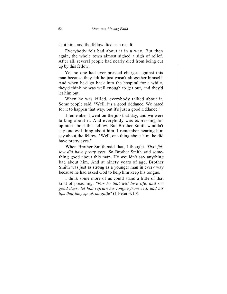shot him, and the fellow died as a result.

Everybody felt bad about it in a way. But then again, the whole town almost sighed a sigh of relief. After all, several people had nearly died from being cut up by this fellow.

Yet no one had ever pressed charges against this man because they felt he just wasn't altogether himself. And when he'd go back into the hospital for a while, they'd think he was well enough to get out, and they'd let him out.

When he was killed, everybody talked about it. Some people said, "Well, it's a good riddance. We hated for it to happen that way, but it's just a good riddance."

I remember I went on the job that day, and we were talking about it. And everybody was expressing his opinion about this fellow. But Brother Smith wouldn't say one evil thing about him. I remember hearing him say about the fellow, "Well, one thing about him, he did have pretty eyes."

When Brother Smith said that, I thought, *That fellow did have pretty eyes.* So Brother Smith said something good about this man. He wouldn't say anything bad about him. And at ninety years of age, Brother Smith was just as strong as a younger man in every way because he had asked God to help him keep his tongue.

I think some more of us could stand a little of that kind of preaching. *"For he that will love life, and see good days, let him refrain his tongue from evil, and his lips that they speak no guile"* (1 Peter 3:10).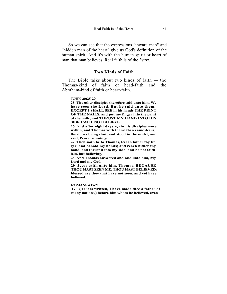So we can see that the expressions "inward man" and "hidden man of the heart" give us God's definition of the human spirit. And it's with the human spirit or heart of man that man believes. Real faith is of the *heart.*

# **Two Kinds of Faith**

The Bible talks about two kinds of faith — the Thomas-kind of faith or head-faith and the Abraham-kind of faith or heart-faith.

**JOHN 20:25-29**

**25 The other disciples therefore said unto him, We have seen the Lord. But he said unto them, EXCEPT I SHALL SEE in his hands THE PRINT OF THE NAILS, and put my finger into the print of the nails, and THRUST MY HAND INTO HIS SIDE, I WILL NOT BELIEVE.**

**26 And after eight days again his disciples were within, and Thomas with them: then came Jesus, the doors being shut, and stood in the midst, and said, Peace be unto you.**

**27 Then saith he to Thomas, Reach hither thy fin ger, and behold my hands; and reach hither thy hand, and thrust it into my side: and be not faith less, but believing.**

**28 And Thomas answered and said unto him, My Lord and my God.**

**29 Jesus saith unto him, Thomas, BECAUSE THOU HAST SEEN ME, THOU HAST BELIEVED: blessed are they that have not seen, and yet have believed.**

**ROMANS 4:17-21**

**17 (As it is written, I have made thee a father of many nations,) before him whom he believed, even**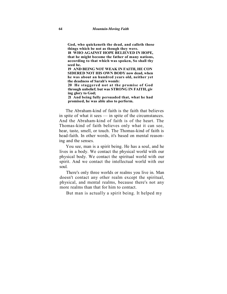**God, who quickeneth the dead, and calleth those things which be not as though they were.**

**18 WHO AGAINST HOPE BELIEVED IN HOPE, that he might become the father of many nations, according to that which was spoken, So shall thy seed be.**

**19 AND BEING NOT WEAK IN FAITH, HE CON SIDERED NOT HIS OWN BODY now dead, when he was about an hundred years old, neither yet the deadness of Sarah's womb:**

**20 He staggered not at the promise of God through unbelief; but was STRONG IN FAITH, giv ing glory to God;**

**21 And being fully persuaded that, what he had promised, he was able also to perform.**

The Abraham-kind of faith is the faith that believes in spite of what it sees — in spite of the circumstances. And the Abraham-kind of faith is of the heart. The Thomas-kind of faith believes only what it can see, hear, taste, smell, or touch. The Thomas-kind of faith is head-faith. In other words, it's based on mental reasoning and the senses.

You see, man is a spirit being. He has a soul, and he lives in a body. We contact the physical world with our physical body. We contact the spiritual world with our spirit. And we contact the intellectual world with our soul.

There's only three worlds or realms you live in. Man doesn't contact any other realm except the spiritual, physical, and mental realms, because there's not any more realms than that for him to contact.

But man is actually a spirit being. It helped my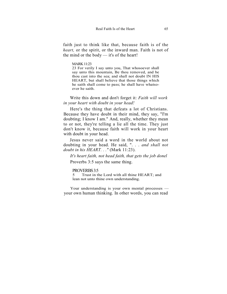faith just to think like that, because faith is of the *heart,* or the spirit, or the inward man. Faith is not of the mind or the body — it's of the heart!

#### MARK 11:23

23 For verily I say unto you, That whosoever shall say unto this mountain, Be thou removed, and be thou cast into the sea; and shall not doubt IN HIS HEART, but shall believe that those things which he saith shall come to pass; he shall have whatsoever he saith.

# Write this down and don't forget it: *Faith will work in your heart with doubt in your head!*

Here's the thing that defeats a lot of Christians. Because they have doubt in their mind, they say, "I'm doubting; I know I am." And, really, whether they mean to or not, they're telling a lie all the time. They just don't know it, because faith will work in your heart with doubt in your head.

Jesus never said a word in the world about not doubting in your head. He said, ". . . *and shall not doubt in his HEART. . ."* (Mark 11:23).

*It's heart faith, not head faith, that gets the job donel* 

Proverbs 3:5 says the same thing.

#### PROVERBS 3:5

5 Trust in the Lord with all thine HEART; and lean not unto thine own understanding.

Your understanding is your own mental processes your own human thinking. In other words, you can read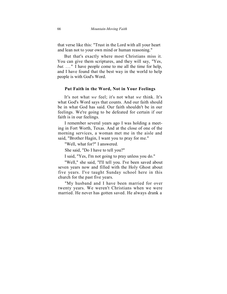that verse like this: "Trust in the Lord with all your heart and lean not to your own mind or human reasoning."

But that's exactly where most Christians miss it. You can give them scriptures, and they will say, "Yes, *but.* ..." I have people come to me all the time for help, and I have found that the best way in the world to help people is with God's Word.

# **Put Faith in the Word, Not in Your Feelings**

It's not what *we* feel; it's not what *we* think. It's what God's Word says that counts. And our faith should be in what God has said. Our faith shouldn't be in our feelings. We're going to be defeated for certain if our faith is in our feelings.

I remember several years ago I was holding a meeting in Fort Worth, Texas. And at the close of one of the morning services, a woman met me in the aisle and said, "Brother Hagin, I want you to pray for me."

"Well, what for?" I answered.

She said, "Do I have to tell you?"

I said, "Yes, I'm not going to pray unless you do."

"Well," she said, "I'll tell you. I've been saved about seven years now and filled with the Holy Ghost about five years. I've taught Sunday school here in this church for the past five years.

"My husband and I have been married for over twenty years. We weren't Christians when we were married. He never has gotten saved. He always drank a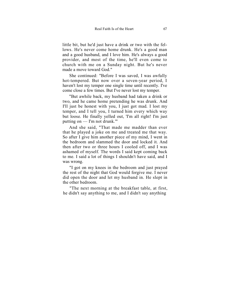little bit, but he'd just have a drink or two with the fellows. He's never come home drunk. He's a good man and a good husband, and I love him. He's always a good provider, and most of the time, he'll even come to church with me on a Sunday night. But he's never made a move toward God."

She continued: "Before I was saved, I was awfully hot-tempered. But now over a seven-year period, I haven't lost my temper one single time until recently. I've come close a few times. But I've never lost my temper.

"But awhile back, my husband had taken a drink or two, and he came home pretending he was drunk. And I'll just be honest with you, I just got mad. I lost my temper, and I tell you, I turned him every which way but loose. He finally yelled out, 'I'm all right! I'm just putting on — I'm not drunk.'"

And she said, "That made me madder than ever that he played a joke on me and treated me that way. So after I give him another piece of my mind, I went in the bedroom and slammed the door and locked it. And then after two or three hours I cooled off, and I was ashamed of myself. The words I said kept coming back to me. I said a lot of things I shouldn't have said, and I was wrong.

"I got on my knees in the bedroom and just prayed the rest of the night that God would forgive me. I never did open the door and let my husband in. He slept in the other bedroom.

"The next morning at the breakfast table, at first, he didn't say anything to me, and I didn't say anything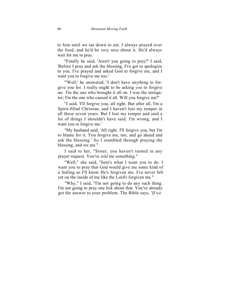to him until we sat down to eat. I always prayed over the food, and he'd be very nice about it. He'd always wait for me to pray.

"Finally he said, 'Aren't you going to pray?' I said, 'Before I pray and ask the blessing, I've got to apologize to you. I've prayed and asked God to forgive me, and I want you to forgive me too.'

"'Well,' he answered, 'I don't have anything to forgive you for. I really ought to be asking *you* to forgive *me.* I'm the one who brought it all on. I was the instigator; I'm the one who caused it all. Will you forgive me?'

"I said, 'I'll forgive you, all right. But after all, I'm a Spirit-filled Christian, and I haven't lost my temper in all these seven years. But I lost my temper and said a lot of things I shouldn't have said. I'm wrong, and I want you to forgive me.'

"My husband said, 'All right. I'll forgive you, but I'm to blame for it. You forgive me, too, and go ahead and ask the blessing.' So I stumbled through praying the blessing, and we ate."

I said to her, "Sister, you haven't turned in any prayer request. You've *told* me something."

"Well," she said, "here's what I want you to do. I want you to pray that God would give me some kind of a feeling so I'll know He's forgiven me. I've never felt yet on the inside of me like the Lord's forgiven me."

"Why," I said, "I'm not going to do any such thing. I'm not going to pray one lick about that. You've already got the answer to your problem. The Bible says, *'If we*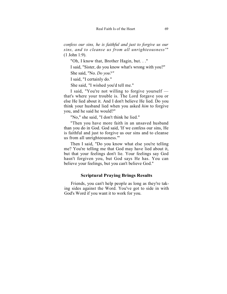*confess our sins, he is faithful and just to forgive us our sins, and to cleanse us from all unrighteousness'"*  (1 John 1:9).

"Oh, I know that, Brother Hagin, but. . ."

I said, "Sister, do you know what's wrong with you?"

She said, "No. *Do you?"*

I said, "I certainly do."

She said, "I wished you'd tell me."

I said, "You're not willing to forgive yourself that's where your trouble is. The Lord forgave you or else He lied about it. And I don't believe He lied. Do you think your husband lied when you asked *him* to forgive you, and he said he would?"

"No," she said, "I don't think he lied."

"Then you have more faith in an unsaved husband than you do in God. God said, 'If we confess our sins, He is faithful and just to forgive us our sins and to cleanse us from all unrighteousness.'"

Then I said, "Do you know what else you're telling me? You're telling me that God may have lied about it, but that your feelings don't lie. Your feelings say God hasn't forgiven you, but God says He has. You can believe your feelings, but you can't believe God."

# **Scriptural Praying Brings Results**

Friends, you can't help people as long as they're taking sides against the Word. You've got to side in with God's Word if you want it to work for you.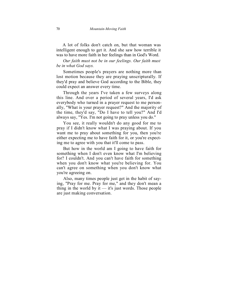A lot of folks don't catch on, but that woman was intelligent enough to get it. And she saw how terrible it was to have more faith in her feelings than in God's Word.

*Our faith must not be in our feelings. Our faith must be in what God says.*

Sometimes people's prayers are nothing more than lost motion because they are praying unscripturally. If they'd pray and believe God according to the Bible, they could expect an answer every time.

Through the years I've taken a few surveys along this line. And over a period of several years, I'd ask everybody who turned in a prayer request to me personally, "What is your prayer request?" And the majority of the time, they'd say, "Do I have to tell you?" And I'd always say, "Yes. I'm not going to pray unless you do."

You see, it really wouldn't do any good for me to pray if I didn't know what I was praying about. If you want me to pray about something for you, then you're either expecting me to have faith for it, or you're expecting me to agree with you that it'll come to pass.

But how in the world am I going to have faith for something when I don't even know what I'm believing for? I couldn't. And you can't have faith for something when you don't know what you're believing for. You can't agree on something when you don't know what you're agreeing on.

Also, many times people just get in the habit of saying, "Pray for me. Pray for me," and they don't mean a thing in the world by it  $-$  it's just words. Those people are just making conversation.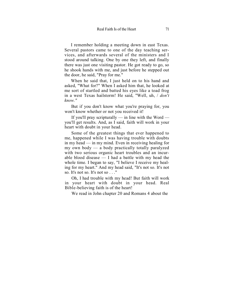I remember holding a meeting down in east Texas. Several pastors came to one of the day teaching services, and afterwards several of the ministers and I stood around talking. One by one they left, and finally there was just one visiting pastor. He got ready to go, so he shook hands with me, and just before he stepped out the door, he said, "Pray for me."

When he said that, I just held on to his hand and asked, "What for?" When I asked him that, he looked at me sort of startled and batted his eyes like a toad frog in a west Texas hailstorm! He said, "Well, uh, / *don't know."*

But if you don't know what you're praying for, you won't know whether or not you received it!

If you'll pray scripturally — in line with the Word you'll get results. And, as I said, faith will work in your heart with doubt in your head.

Some of the greatest things that ever happened to me, happened while I was having trouble with doubts in my head — in my mind. Even in receiving healing for my own body — a body practically totally paralyzed with two serious organic heart troubles and an incurable blood disease — I had a battle with my head the whole time. I began to say, "I believe I receive my healing for my heart." And my head said, "It's not so. It's not so. It's not so. It's not so . . ."

Oh, I had trouble with my head! But faith will work in your heart with doubt in your head. Real Bible-believing faith is of the heart!

We read in John chapter 20 and Romans 4 about the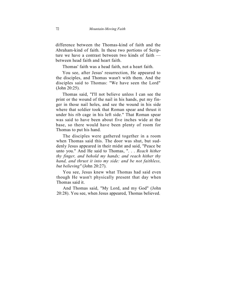difference between the Thomas-kind of faith and the Abraham-kind of faith. In these two portions of Scripture we have a contrast between two kinds of faith between head faith and heart faith.

Thomas' faith was a head faith, not a heart faith.

You see, after Jesus' resurrection, He appeared to the disciples, and Thomas wasn't with them. And the disciples said to Thomas: "We have seen the Lord" (John 20:25).

Thomas said, "I'll not believe unless I can see the print or the wound of the nail in his hands, put my finger in those nail holes, and see the wound in his side where that soldier took that Roman spear and thrust it under his rib cage in his left side." That Roman spear was said to have been about five inches wide at the base, so there would have been plenty of room for Thomas to put his hand.

The disciples were gathered together in a room when Thomas said this. The door was shut, but suddenly Jesus appeared in their midst and said, "Peace be unto you." And He said to Thomas, ". . . *Reach hither thy finger, and behold my hands; and reach hither thy hand, and thrust it into my side: and be not faithless, but believing"* (John 20:27).

You see, Jesus knew what Thomas had said even though He wasn't physically present that day when Thomas said it.

And Thomas said, "My Lord, and my God" (John 20:28). You see, when Jesus appeared, Thomas believed.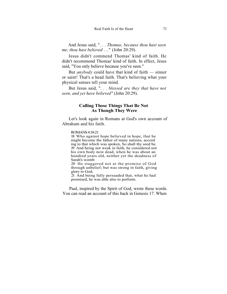And Jesus said, ". . . *Thomas, because thou hast seen me, thou hast believed* ..." (John 20:29).

Jesus didn't commend Thomas' kind of faith. He didn't recommend Thomas' kind of faith. In effect, Jesus said, "You only believe because you've seen."

But *anybody* could have that kind of faith — sinner or saint! That's a head faith. That's believing what your physical senses tell your mind.

But Jesus said, ". . . *blessed are they that have not seen, and yet have believed"* (John 20:29).

## **Calling Those Things That Be Not As Though They Were**

Let's look again in Romans at God's own account of Abraham and his faith.

## ROMANS 4:18-21

18 Who against hope believed in hope, that he might become the father of many nations, accord ing to that which was spoken, So shall thy seed be. 19 And being not weak in faith, he considered not his own body now dead, when he was about an hundred years old, neither yet the deadness of Sarah's womb:

20 He staggered not at the promise of God through unbelief; but was strong in faith, giving glory to God;

21 And being fully persuaded that, what he had promised, he was able also to perform.

Paul, inspired by the Spirit of God, wrote these words. You can read an account of this back in Genesis 17. When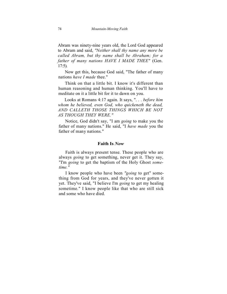Abram was ninety-nine years old, the Lord God appeared to Abram and said, *"Neither shall thy name any more be called Abram, but thy name shall be Abraham; for a father of many nations HAVE I MADE THEE"* (Gen. 17:5).

Now get this, because God said, "The father of many nations *have I made* thee."

Think on that a little bit. I know it's different than human reasoning and human thinking. You'll have to meditate on it a little bit for it to dawn on you.

Looks at Romans 4:17 again. It says, ". . . *before him whom he believed, even God, who quickeneth the dead, AND CALLETH THOSE THINGS WHICH BE NOT AS THOUGH THEY WERE."*

Notice, God didn't say, "I am *going* to make you the father of many nations." He said, "I *have made* you the father of many nations."

# **Faith Is** *Now*

Faith is always present tense. These people who are always *going* to get something, never get it. They say, "I'm *going* to get the baptism of the Holy Ghost *sometime."*

I know people who have been *"going* to get" something from God for years, and they've never gotten it yet. They've said, "I believe I'm *going* to get my healing sometime." I know people like that who are still sick and some who have died.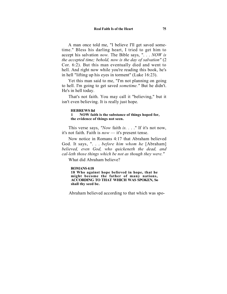A man once told me, "I believe I'll get saved sometime." Bless his darling heart, I tried to get him to accept his salvation *now.* The Bible says, ". . . *NOW is the accepted time; behold, now is the day of salvation"* (2 Cor. 6:2). But this man eventually died and went to hell. And right now while you're reading this book, he's in hell "lifting up his eyes in torment" (Luke 16:23).

Yet this man said to me, "I'm not planning on going to hell. I'm going to get saved *sometime."* But he didn't. He's in hell today.

That's not faith. You may call it "believing," but it isn't even believing. It is really just hope.

#### **HEBREWS lid 1 NOW faith is the substance of things hoped for, the evidence of things not seen.**

This verse says, *"Now* faith *is. .* . ." If it's not now, it's not faith. Faith is *now* — it's present tense.

Now notice in Romans 4:17 that Abraham believed God. It says, ". . . *before him whom he* [Abraham] *believed, even God, who quickeneth the dead, and cal-leth those things which be not as though they were."*

What did Abraham believe?

#### **ROMANS 4:18**

**18 Who against hope believed in hope, that he might become the father of many nations, ACCORDING TO THAT WHICH WAS SPOKEN, So shall thy seed be.**

Abraham believed according to that which was spo-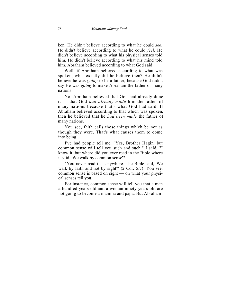ken. He didn't believe according to what he could *see.*  He didn't believe according to what he could *feel.* He didn't believe according to what his physical senses told him. He didn't believe according to what his mind told him. Abraham believed according to what God said.

Well, if Abraham believed according to what was spoken, what exactly did he believe then? He didn't believe he was *going* to be a father, because God didn't say He was *going* to make Abraham the father of many nations.

No, Abraham believed that God had already done it — that God *had already made* him the father of many nations because that's what God had said. If Abraham believed according to that which was spoken, then he believed that he *had been made* the father of many nations.

You see, faith calls those things which be not as though they were. That's what causes them to come into being!

I've had people tell me, "Yes, Brother Hagin, but common sense will tell you such and such." I said, "I know it, but where did you ever read in the Bible where it said, 'We walk by common sense'?

"You never read that anywhere. The Bible said, 'We walk by faith and not by sight'" (2 Cor. 5:7). You see, common sense is based on sight — on what your physical senses tell you.

For instance, common sense will tell you that a man a hundred years old and a woman ninety years old are not going to become a mamma and papa. But Abraham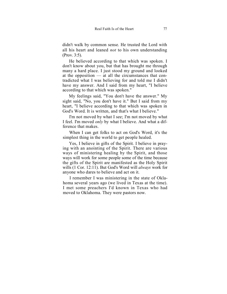didn't walk by common sense. He trusted the Lord with all his heart and leaned *not* to his own understanding (Prov. 3:5).

He believed according to that which was spoken. I don't know about you, but that has brought me through many a hard place. I just stood my ground and looked at the opposition — at all the circumstances that contradicted what I was believing for and told me I didn't have my answer. And I said from my heart, "I believe according to that which was spoken."

My feelings said, "You don't have the answer." My sight said, "No, you don't have it." But I said from my heart, "I believe according to that which was spoken in God's Word. It is written, and that's what I believe."

I'm not moved by what I see; I'm not moved by what I feel. I'm moved *only* by what I believe. And what a difference that makes.

When I can get folks to act on God's Word, it's the simplest thing in the world to get people healed.

Yes, I believe in gifts of the Spirit. I believe in praying with an anointing of the Spirit. There are various ways of ministering healing by the Spirit, and those ways will work for some people some of the time because the gifts of the Spirit are manifested as the Holy Spirit wills (1 Cor. 12:11). But God's Word will *always* work for anyone who dares to believe and act on it.

I remember I was ministering in the state of Oklahoma several years ago (we lived in Texas at the time). I met some preachers I'd known in Texas who had moved to Oklahoma. They were pastors now.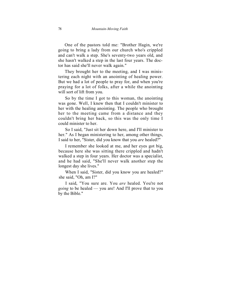One of the pastors told me: "Brother Hagin, we're going to bring a lady from our church who's crippled and can't walk a step. She's seventy-two years old, and she hasn't walked a step in the last four years. The doctor has said she'll never walk again."

They brought her to the meeting, and I was ministering each night with an anointing of healing power. But we had a lot of people to pray for, and when you're praying for a lot of folks, after a while the anointing will sort of lift from you.

So by the time I got to this woman, the anointing was gone. Well, I knew then that I couldn't minister to her with the healing anointing. The people who brought her to the meeting came from a distance and they couldn't bring her back, so this was the only time I could minister to her.

So I said, "Just sit her down here, and I'll minister to her." As I began ministering to her, among other things, I said to her, "Sister, did you know that you *are* healed?"

I remember she looked at me, and her eyes got big, because here she was sitting there crippled and hadn't walked a step in four years. Her doctor was a specialist, and he had said, "She'll never walk another step the longest day she lives."

When I said, "Sister, did you know you are healed?" she said, "Oh, am I?"

I said, "You sure are. You *are* healed. You're not *going* to be healed — you are! And I'll prove that to you by the Bible."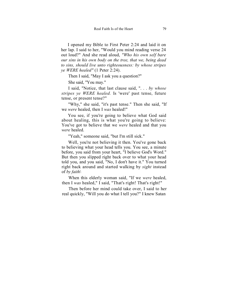I opened my Bible to First Peter 2:24 and laid it on her lap. I said to her, "Would you mind reading verse 24 out loud?" And she read aloud, *"Who his own self bare our sins in his own body on the tree, that we, being dead to sins, should live unto righteousness: by whose stripes ye WERE healed"* (1 Peter 2:24).

Then I said, "May I ask you a question?"

She said, "You may."

I said, "Notice, that last clause said, ". . . *by whose stripes ye WERE healed.* Is 'were' past tense, future tense, or present tense?"

"Why," she said, "it's past tense." Then she said, "If we *were* healed, then I *was* healed!"

You see, if you're going to believe what God said about healing, this is what you're going to believe: You've got to believe that we *were* healed and that you *were* healed.

"Yeah," someone said, "but I'm still sick."

Well, you're not believing it then. You've gone back to believing what your head tells you. You see, a minute before, you said from your heart, "I believe God's Word." But then you slipped right back over to what your head told you, and you said, "No, I don't have it." You turned right back around and started walking by *sight* instead of *by faith\*

When this elderly woman said, "If we *were* healed, then I *was* healed," I said, "That's right! That's right!"

Then before her mind could take over, I said to her real quickly, "Will you do what I tell you?" I knew Satan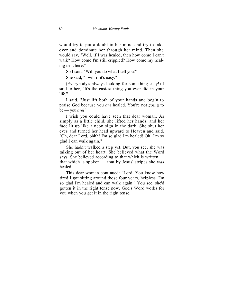would try to put a doubt in her mind and try to take over and dominate her through her mind. Then she would say, "Well, if I was healed, then how come I can't walk? How come I'm still crippled? How come my healing isn't here?"

So I said, "Will you do what I tell you?"

She said, "I will if it's easy."

(Everybody's always looking for something easy!) I said to her, "It's the easiest thing you ever did in your life."

I said, "Just lift both of your hands and begin to praise God because you *are* healed. You're not *going* to be — you *arel"*

I wish you could have seen that dear woman. As simply as a little child, she lifted her hands, and her face lit up like a neon sign in the dark. She shut her eyes and turned her head upward to Heaven and said, "Oh, dear Lord, ohhh! I'm so glad I'm healed! Oh! I'm so glad I can walk again."

She hadn't walked a step yet. But, you see, she was talking out of her heart. She believed what the Word says. She believed according to that which is written that which is spoken — that by Jesus' stripes she *was*  healed!

This dear woman continued: "Lord, You know how tired I got sitting around those four years, helpless. I'm so glad I'm healed and can walk again." You see, she'd gotten it in the right tense now. God's Word works for you when you get it in the right tense.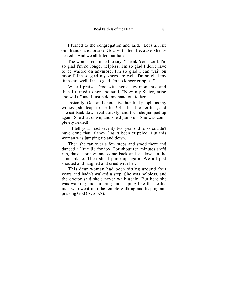I turned to the congregation and said, "Let's all lift our hands and praise God with her because she *is*  healed." And we all lifted our hands.

The woman continued to say, "Thank You, Lord. I'm so glad I'm no longer helpless. I'm so glad I don't have to be waited on anymore. I'm so glad I can wait on myself. I'm so glad my knees are well. I'm so glad my limbs are well. I'm so glad I'm no longer crippled."

We all praised God with her a few moments, and then I turned to her and said, "Now my Sister, arise and walk!" and I just held my hand out to her.

Instantly, God and about five hundred people as my witness, she leapt to her feet! She leapt to her feet, and she sat back down real quickly, and then she jumped up again. She'd sit down, and she'd jump up. She was completely healed!

I'll tell you, most seventy-two-year-old folks couldn't have done that if they *hadn't* been crippled. But this woman was jumping up and down.

Then she ran over a few steps and stood there and danced a little jig for joy. For about ten minutes she'd run, dance for joy, and come back and sit down in the same place. Then she'd jump up again. We all just shouted and laughed and cried with her.

This dear woman had been sitting around four years and hadn't walked a step. She was helpless, and the doctor said she'd never walk again. But here she was walking and jumping and leaping like the healed man who went into the temple walking and leaping and praising God (Acts 3:8).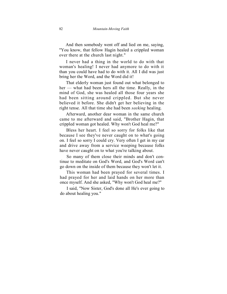And then somebody went off and lied on me, saying, "You know, that fellow Hagin healed a crippled woman over there at the church last night."

I never had a thing in the world to do with that woman's healing! I never had anymore to do with it than you could have had to do with it. All I did was just bring her the Word, and the Word did it!

That elderly woman just found out what belonged to her — what had been hers all the time. Really, in the mind of God, she was healed all those four years she had been sitting around crippled. But she never believed it before. She didn't get her believing in the right tense. All that time she had been *seeking* healing.

Afterward, another dear woman in the same church came to me afterward and said, "Brother Hagin, that crippled woman got healed. Why won't God heal me?"

Bless her heart. I feel so sorry for folks like that because I see they've never caught on to what's going on. I feel so sorry I could cry. Very often I get in my car and drive away from a service weeping because folks have never caught on to what you're talking about.

So many of them close their minds and don't continue to meditate on God's Word, and God's Word can't go down on the inside of them because they won't let it.

This woman had been prayed for several times. I had prayed for her and laid hands on her more than once myself. And she asked, "Why won't God heal me?"

I said, "Now Sister, God's done all He's ever going to do about healing you."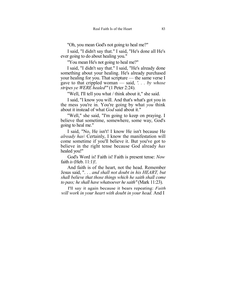"Oh, you mean God's not going to heal me?"

I said, "I didn't say that." I said, "He's done all He's ever going to do about healing you."

"You mean He's not going to heal me?"

I said, "I didn't say that." I said, "He's already done something about your healing. He's already purchased your healing for you. That scripture — the same verse I gave to that crippled woman — said, *'. . . by whose stripes ye WERE healed'"* (1 Peter 2:24).

"Well, I'll tell you what / think about it," she said.

I said, "I know you will. And that's what's got you in the mess you're in. You're going by what *you* think about it instead of what *God* said about it."

"Well," she said, "I'm going to keep on praying. I believe that sometime, somewhere, some way, God's going to heal me."

I said, "No, He isn't! I know He isn't because He *already has\* Certainly, I know the manifestation will come sometime if you'll believe it. But you've got to believe in the right tense because God already *has*  healed you!"

God's Word is! Faith is! Faith is present tense: *Now*  faith *is* (Heb. 11:1)!.

And faith is of the heart, not the head. Remember Jesus said, ". . . *and shall not doubt in his HEART, but shall believe that those things which he saith shall come to pass; he shall have whatsoever he saith"* (Mark 11:23).

I'll say it again because it bears repeating: *Faith will work in your heart with doubt in your head.* And I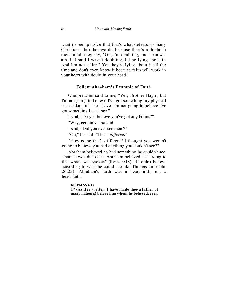want to reemphasize that that's what defeats so many Christians. In other words, because there's a doubt in their mind, they say, "Oh, I'm doubting, and I know I am. If I said I wasn't doubting, I'd be lying about it. And I'm not a liar." Yet they're lying about it all the time and don't even know it because faith will work in your heart with doubt in your head!

## **Follow Abraham's Example of Faith**

One preacher said to me, "Yes, Brother Hagin, but I'm not going to believe I've got something my physical senses don't tell me I have. I'm not going to believe I've got something I can't see."

I said, "Do you believe you've got any brains?"

"Why, certainly," he said.

I said, "Did you ever see them?"

"Oh," he said. "That's *different"*

"How come that's different? I thought you weren't going to believe you had anything you couldn't see?"

Abraham believed he had something he couldn't see. Thomas wouldn't do it. Abraham believed "according to that which was spoken" (Rom. 4:18). He didn't believe according to what he could see like Thomas did (John 20:25). Abraham's faith was a heart-faith, not a head-faith.

#### **ROMANS 4:17**

**17 (As it is written, I have made thee a father of many nations,) before him whom he believed, even**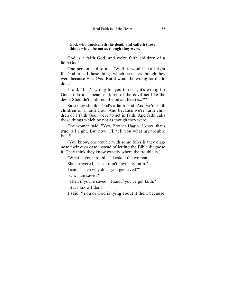## **God, who quickeneth the dead, and calleth those things which be not as though they were.**

God is a faith God, and we're faith children of a faith God!

One person said to me: "Well, it would be all right for God to call those things which be not as though they were because He's *God.* But it would be wrong for me to do it."

I said, "If it's wrong for you to do it, it's wrong for God to do it. I mean, children of the devil act like the devil. Shouldn't children of God act like *God?"*

Sure they should! God's a faith God. And we're faith children of a faith God. And because we're faith children of a faith God, we're to act in faith. And faith calls those things which be not as though they were!

One woman said, "Yes, Brother Hagin. I know that's true, all right. But now, I'll tell you what my trouble is. . ."

(You know, one trouble with some folks is they diagnose their own case instead of letting the Bible diagnose it. They think they know exactly where the trouble is.)

"What is your trouble?" I asked the woman.

She answered, "I just don't have any faith."

I said, "Then why don't you get saved?"

"Oh, I am saved!"

"Then if you're saved," I said, "you've got faith."

"But I know I don't."

I said, "You or God is lying about it then, because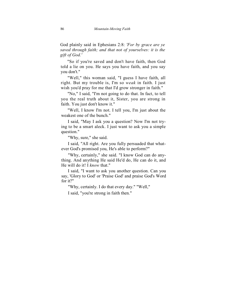God plainly said in Ephesians 2:8: *'For by grace are ye saved through faith; and that not of yourselves: it is the gift of God.'*

"So if you're saved and don't have faith, then God told a lie on you. He says you have faith, and you say you don't."

"Well," this woman said, "I guess I have faith, all right. But my trouble is, I'm so *weak* in faith. I just wish you'd pray for me that I'd grow stronger in faith."

"No," I said, "I'm not going to do that. In fact, to tell you the real truth about it, Sister, you are strong in faith. You just don't know it."

"Well, I know I'm not. I tell you, I'm just about the weakest one of the bunch."

I said, "May I ask you a question? Now I'm not trying to be a smart aleck. I just want to ask you a simple question."

"Why, sure," she said.

I said, "All right. Are you fully persuaded that whatever God's promised you, He's able to perform?"

"Why, certainly," she said. "I know God can do anything. And anything He said He'd do, He can do it, and He will do it! I *know* that."

I said, "I want to ask you another question. Can you say, 'Glory to God' or 'Praise God' and praise God's Word for it?"

"Why, certainly. I do that every day." "Well,"

I said, "you're strong in faith then."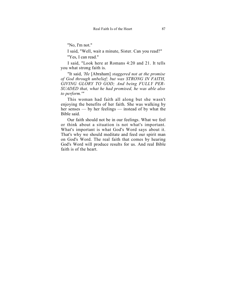"No, I'm not."

I said, "Well, wait a minute, Sister. Can you read?"

"Yes, I can read."

I said, "Look here at Romans 4:20 and 21. It tells you what strong faith is.

"It said, *'He* [Abraham] *staggered not at the promise of God through unbelief; but was STRONG IN FAITH, GIVING GLORY TO GOD; And being FULLY PER-SUADED that, what he had promised, he was able also to perform.'"*

This woman had faith all along but she wasn't enjoying the benefits of her faith. She was walking by her senses — by her feelings — instead of by what the Bible said.

Our faith should not be in our feelings. What we feel or think about a situation is not what's important. What's important is what God's Word says about it. That's why we should meditate and feed our spirit man on God's Word. The real faith that comes by hearing God's Word will produce results for us. And real Bible faith is of the heart.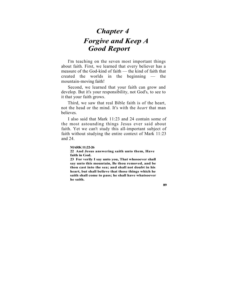# *Chapter 4 Forgive and Keep A Good Report*

I'm teaching on the seven most important things about faith. First, we learned that every believer has a measure of the God-kind of faith — the kind of faith that created the worlds in the beginning — the mountain-moving faith!

Second, we learned that your faith can grow and develop. But it's your responsibility, not God's, to see to it that your faith grows.

Third, we saw that real Bible faith is of the heart, not the head or the mind. It's with the *heart* that man believes.

I also said that Mark 11:23 and 24 contain some of the most astounding things Jesus ever said about faith. Yet we can't study this all-important subject of faith without studying the entire context of Mark 11:23 and 24.

**MARK 11:22-26**

**22 And Jesus answering saith unto them, Have faith in God.**

**23 For verily I say unto you, That whosoever shall say unto this mountain, Be thou removed, and be thou cast into the sea; and shall not doubt in his heart, but shall believe that those things which he saith shall come to pass; he shall have whatsoever he saith.**

**89**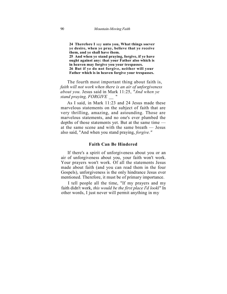**24 Therefore I** say **unto you, What things soever ye desire, when ye pray, believe that ye receive them, and ye shall have them. 25 And when ye stand praying, forgive, if ye have ought against any: that your Father also which is in heaven may forgive you your trespasses. 26 But if ye do not forgive, neither will your Father which is in heaven forgive your trespasses.**

The fourth most important thing about faith is, *faith will not work when there is an air of unforgiveness about you.* Jesus said in Mark 11:25, *"And when ye stand praying, FORGIVE \_\_* "

As I said, in Mark 11:23 and 24 Jesus made these marvelous statements on the subject of faith that are very thrilling, amazing, and astounding. Those are marvelous statements, and no one's ever plumbed the depths of those statements yet. But at the same time at the same scene and with the same breath — Jesus also said, "And when you stand praying, *forgive."*

## **Faith Can Be Hindered**

If there's a spirit of unforgiveness about you or an air of unforgiveness about you, your faith won't work. Your prayers won't work. Of all the statements Jesus made about faith (and you can read them in the four Gospels), unforgiveness is the only hindrance Jesus ever mentioned. Therefore, it must be of primary importance.

I tell people all the time, "If my prayers and my faith didn't work, *this would be the first place I'd lookl"* In other words, I just never will permit anything in my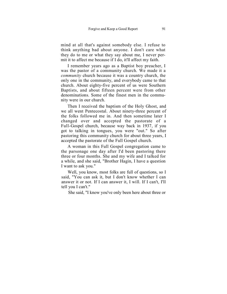mind at all that's against somebody else. I refuse to think anything bad about anyone. I don't care what they do to me or what they say about me, I never permit it to affect me because if I do, it'll affect my faith.

I remember years ago as a Baptist boy preacher, I was the pastor of a community church. We made it a *community* church because it was a country church, the only one in the community, and everybody came to that church. About eighty-five percent of us were Southern Baptists, and about fifteen percent were from other denominations. Some of the finest men in the community were in our church.

Then I received the baptism of the Holy Ghost, and we all went Pentecostal. About ninety-three percent of the folks followed me in. And then sometime later I changed over and accepted the pastorate of a Full-Gospel church, because way back in 1937, if you got to talking in tongues, you were "out." So after pastoring this community church for about three years, I accepted the pastorate of the Full Gospel church.

A woman in this Full Gospel congregation came to the parsonage one day after I'd been pastoring there three or four months. She and my wife and I talked for a while, and she said, "Brother Hagin, I have a question I want to ask you."

Well, you know, most folks are full of questions, so I said, "You can ask it, but I don't know whether I can answer it or not. If I can answer it, I will. If I can't, I'll tell you I can't."

She said, "I know you've only been here about three or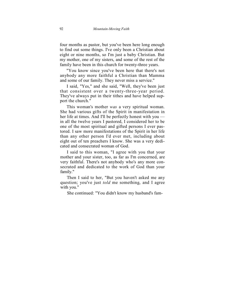four months as pastor, but you've been here long enough to find out some things. I've only been a Christian about eight or nine months, so I'm just a baby Christian. But my mother, one of my sisters, and some of the rest of the family have been in this church for twenty-three years.

"You know since you've been here that there's not anybody any more faithful a Christian than Mamma and some of our family. They never miss a service."

I said, "Yes," and she said, "Well, they've been just that consistent over a twenty-three-year period. They've always put in their tithes and have helped support the church."

This woman's mother *was* a very spiritual woman. She had various gifts of the Spirit in manifestation in her life at times. And I'll be perfectly honest with you in all the twelve years I pastored, I considered her to be one of the most spiritual and gifted persons I ever pastored. I saw more manifestations of the Spirit in her life than any other person I'd ever met, including about eight out of ten preachers I know. She was a very dedicated and consecrated woman of God.

I said to this woman, "I agree with you that your mother and your sister, too, as far as I'm concerned, are very faithful. There's not anybody who's any more consecrated and dedicated to the work of God than your family."

Then I said to her, "But you haven't asked me any question; you've just *told* me something, and I agree with you."

She continued: "You didn't know my husband's fam-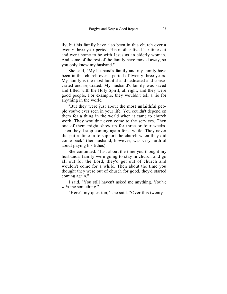ily, but his family have also been in this church over a twenty-three-year period. His mother lived her time out and went home to be with Jesus as an elderly woman. And some of the rest of the family have moved away, so you only know my husband."

She said, "My husband's family and my family have been in this church over a period of twenty-three years. My family is the most faithful and dedicated and consecrated and separated. My husband's family was saved and filled with the Holy Spirit, all right, and they were good people. For example, they wouldn't tell a lie for anything in the world.

"But they were just about the most unfaithful people you've ever seen in your life. You couldn't depend on them for a thing in the world when it came to church work. They wouldn't even come to the services. Then one of them might show up for three or four weeks. Then they'd stop coming again for a while. They never did put a dime in to support the church when they did come back" (her husband, however, was very faithful about paying his tithes).

She continued: "Just about the time you thought my husband's family were going to stay in church and go all out for the Lord, they'd get out of church and wouldn't come for a while. Then about the time you thought they were out of church for good, they'd started coming again."

I said, "You still haven't asked me anything. You've *told* me something."

"Here's my question," she said. "Over this twenty-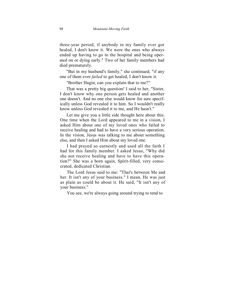three-year period, if anybody in my family ever got healed, I don't know it. We were the ones who always ended up having to go to the hospital and being operated on or dying early." Two of her family members had died prematurely.

"But in my husband's family," she continued, "if any one of them ever *failed* to get healed, I don't know it.

"Brother Hagin, can you explain that to me?"

That was a pretty big question! I said to her, "Sister, I don't know why one person gets healed and another one doesn't. And no one else would know for sure specifically unless God revealed it to him. So I wouldn't really know unless God revealed it to me, and He hasn't."

Let me give you a little side thought here about this. One time when the Lord appeared to me in a vision, I asked Him about one of my loved ones who failed to receive healing and had to have a very serious operation. In the vision, Jesus was talking to me about something else, and then I asked Him about my loved one.

I had prayed so earnestly and used all the faith I had for this family member. I asked Jesus, "Why did she not receive healing and have to have this operation?" She was a born again, Spirit-filled, very consecrated, dedicated Christian.

The Lord Jesus said to me: "That's between Me and her. It isn't any of your business." I mean, He was just as plain as could be about it. He said, "It isn't any of your business."

You see, we're always going around trying to tend to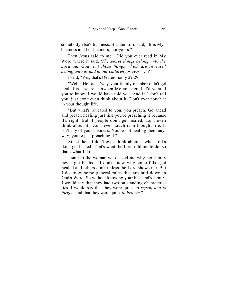somebody else's business. But the Lord said, "It is My business and her business, not yours."

Then Jesus said to me: "Did you ever read in My Word where it said, *'The secret things belong unto the Lord our God: but those things which are revealed belong unto us and to our children for ever . . . ' ? "*

I said, "Yes, that's Deuteronomy 29:29."

"Well," He said, "why your family member didn't get healed is a secret between Me and her. If I'd wanted you to know, I would have told you. And if I don't tell you, just don't even think about it. Don't even touch it in your thought life.

"But what's revealed to you, you preach. Go ahead and preach healing just like you're preaching it because it's right. But if people don't get healed, don't even think about it. Don't even touch it in thought life. It isn't any of your business. You're not healing them anyway; you're just preaching it."

Since then, I don't even think about it when folks don't get healed. That's what the Lord told me to do, so that's what I do.

I said to the woman who asked me why her family never got healed, "I don't know why some folks get healed and others don't unless the Lord shows me. But I do know some general rules that are laid down in God's Word. So without knowing your husband's family, I would say that they had two outstanding characteristics. I would say that they were quick *to repent and to forgive* and that they were quick *to believe."*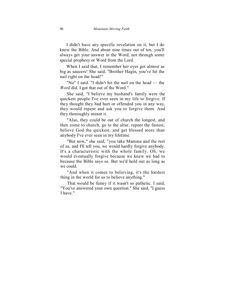I didn't have any specific revelation on it, but I do know the Bible. And about nine times out of ten, you'll always get your answer in the Word, not through some special prophesy or Word from the Lord.

When I said that, I remember her eyes got almost as big as saucers! She said, "Brother Hagin, you've hit the nail right on the head!"

"No" I said. "I didn't hit the nail on the head — the *Word* did. I got that out of the Word."

She said, "I believe my husband's family were the quickest people I've ever seen in my life to forgive. If they thought they had hurt or offended you in any way, they would repent and ask you to forgive them. And they thoroughly meant it.

"Also, they could be out of church the longest, and then come to church, go to the altar, repent the fastest, believe God the quickest, and get blessed more than anybody I've ever seen in my lifetime.

"But now," she said, "you take Mamma and the rest of us, and I'll tell you, we would hardly forgive anybody. It's a characteristic with the whole family. Oh, we would eventually forgive because we knew we had to because the Bible says so. But we'd hold out as long as we could.

"And when it comes to believing, it's the hardest thing in the world for us to believe anything."

That would be funny if it wasn't so pathetic. I said, "You've answered your own question." She said, "I guess I have."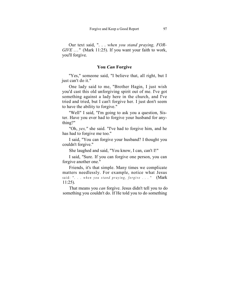Our text said, ". . . *when you stand praying, FOR-GIVE* ..." (Mark 11:25). If you want your faith to work, you'll forgive.

# **You** *Can* **Forgive**

"Yes," someone said, "I believe that, all right, but I just can't do it."

One lady said to me, "Brother Hagin, I just wish you'd cast this old unforgiving spirit out of me. I've got something against a lady here in the church, and I've tried and tried, but I can't forgive her. I just don't seem to have the ability to forgive."

"Well" I said, "I'm going to ask you a question, Sister. Have you ever had to forgive your husband for anything?"

"Oh, *yes,"* she said. "I've had to forgive him, and he has had to forgive me too."

I said, "You can forgive your husband? I thought you couldn't forgive."

She laughed and said, "You know, I can, can't I!"

I said, "Sure. If you can forgive one person, you can forgive another one."

Friends, it's that simple. Many times we complicate matters needlessly. For example, notice what Jesus said: ". . . when you stand praying, forgive . . . " (Mark 11:25).

That means you *can* forgive. Jesus didn't tell you to do something you couldn't do. If He told you to do something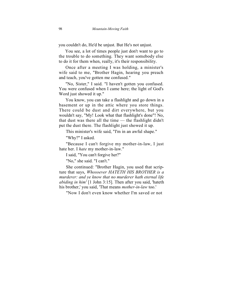you couldn't do, He'd be unjust. But He's not unjust.

You see, a lot of times people just don't want to go to the trouble to do something. They want somebody else to do it for them when, really, it's their responsibility.

Once after a meeting I was holding, a minister's wife said to me, "Brother Hagin, hearing you preach and teach, you've gotten me confused."

"No, Sister," I said. "I haven't gotten you confused. You were confused when I came here; the light of God's Word just showed it up."

You know, you can take a flashlight and go down in a basement or up in the attic where you store things. There could be dust and dirt everywhere, but you wouldn't say, "My! Look what that flashlight's done"! No, that dust was there all the time — the flashlight didn't put the dust there. The flashlight just showed it up.

This minister's wife said, "I'm in an awful shape."

"Why?" I asked.

"Because I can't forgive my mother-in-law, I just hate her. I *hate* my mother-in-law."

I said, "You can't forgive her?"

"No," she said. "I can't."

She continued: "Brother Hagin, you used that scripture that says, *Whosoever HATETH HIS BROTHER is a murderer: and ye know that no murderer hath eternal life abiding in him'* [1 John 3:15]. Then after you said, 'hateth his brother,' you said, 'That means *mother-in-law* too.'

"Now I don't even know whether I'm saved or not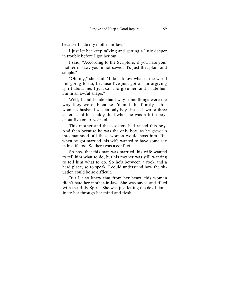because I hate my mother-in-law."

I just let her keep talking and getting a little deeper in trouble before I got her out.

I said, "According to the Scripture, if you hate your mother-in-law, you're not saved. It's just that plain and simple."

"Oh, my," she said. "I don't know what in the world I'm going to do, because I've just got an unforgiving spirit about me. I just can't forgive her, and I hate her. I'm in an awful shape."

Well, I could understand why some things were the way they were, because I'd met the family. This woman's husband was an only boy. He had two or three sisters, and his daddy died when he was a little boy, about five or six years old.

This mother and these sisters had raised this boy. And then because he was the only boy, as he grew up into manhood, all these women would boss him. But when he got married, his wife wanted to have some say in his life too. So there was a conflict.

So now that this man was married, his wife wanted to tell him what to do, but his mother was still wanting to tell him what to do. So he's between a rock and a hard place, so to speak. I could understand how the situation could be so difficult.

But I also knew that from her heart, this woman didn't hate her mother-in-law. She was saved and filled with the Holy Spirit. She was just letting the devil dominate her through her mind and flesh.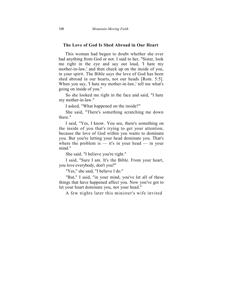# **The Love of God Is Shed Abroad in Our Heart**

This woman had begun to doubt whether she ever had anything from God or not. I said to her, "Sister, look me right in the eye and say out loud, 'I hate my mother-in-law,' and then check up on the inside of you, in your spirit. The Bible says the love of God has been shed abroad in our hearts, not our heads [Rom. 5:5]. When you say, 'I hate my mother-in-law,' tell me what's going on inside of you."

So she looked me right in the face and said, "I hate my mother-in-law."

I asked, "What happened on the inside?"

She said, "There's something scratching me down there."

I said, "Yes, I know. You see, there's something on the inside of you that's trying to get your attention, because the love of God within you wants to dominate you. But you're letting your head dominate you. That's where the problem is  $-$  it's in your head  $-$  in your mind."

She said, "I believe you're right."

I said, "Sure I am. It's the Bible. From your heart, you love everybody, don't you?"

"Yes," she said, "I believe I do."

"But," I said, "in your mind, you've let all of these things that have happened affect you. Now you've got to let your heart dominate you, not your head."

A few nights later this minister's wife invited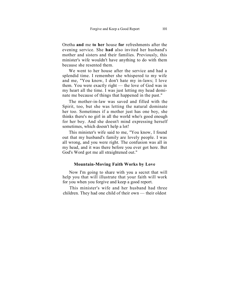Oretha **and** me **to her** house **for** refreshments after the evening service. She **had** also invited her husband's mother and sisters and their families. Previously, this minister's wife wouldn't have anything to do with them because she resented them.

We went to her house after the service and had a splendid time. I remember she whispered to my wife and me, "You know, I don't hate my in-laws; I love them. You were exactly right — the love of God was in my heart all the time. I was just letting my head dominate me because of things that happened in the past."

The mother-in-law was saved and filled with the Spirit, too, but she was letting the natural dominate her too. Sometimes if a mother just has one boy, she thinks there's no girl in all the world who's good enough for her boy. And she doesn't mind expressing herself sometimes, which doesn't help a lot!

This minister's wife said to me, "You know, I found out that my husband's family are lovely people. I was all wrong, and you were right. The confusion was all in my head, and it was there before you ever got here. But God's Word got me all straightened out."

## **Mountain-Moving Faith Works by Love**

Now I'm going to share with you a secret that will help you that will illustrate that your faith will work for you when you forgive and keep a good report.

This minister's wife and her husband had three children. They had one child of their own — their oldest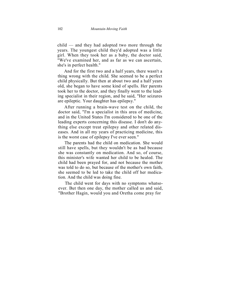child — and they had adopted two more through the years. The youngest child they'd adopted was a little girl. When they took her as a baby, the doctor said, "We've examined her, and as far as we can ascertain, she's in perfect health."

And for the first two and a half years, there wasn't a thing wrong with the child. She seemed to be a perfect child physically. But then at about two and a half years old, she began to have some kind of spells. Her parents took her to the doctor, and they finally went to the leading specialist in their region, and he said, "Her seizures are epileptic. Your daughter has epilepsy."

After running a brain-wave test on the child, the doctor said, "I'm a specialist in this area of medicine, and in the United States I'm considered to be one of the leading experts concerning this disease. I don't do anything else except treat epilepsy and other related diseases. And in all my years of practicing medicine, this is the worst case of epilepsy I've ever seen."

The parents had the child on medication. She would still have spells, but they wouldn't be as bad because she was constantly on medication. And so, of course, this minister's wife wanted her child to be healed. The child had been prayed for, and not because the mother was told to do so, but because of the mother's own faith, she seemed to be led to take the child off her medication. And the child was doing fine.

The child went for days with no symptoms whatsoever. But then one day, the mother called us and said, "Brother Hagin, would you and Oretha come pray for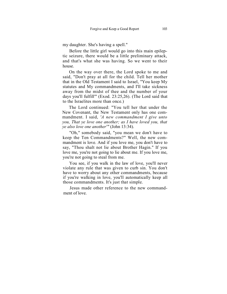my daughter. She's having a spell."

Before the little girl would go into this main epileptic seizure, there would be a little preliminary attack, and that's what she was having. So we went to their house.

On the way over there, the Lord spoke to me and said, "Don't pray at all for the child. Tell her mother that in the Old Testament I said to Israel, "You keep My statutes and My commandments, and I'll take sickness away from the midst of thee and the number of your days you'll fulfill'" (Exod. 23:25,26). (The Lord said that to the Israelites more than once.)

The Lord continued: "You tell her that under the New Covenant, the New Testament only has one commandment. I said, *'A new commandment I give unto you, That ye love one another; as I have loved you, that ye also love one another'"* (John 13:34).

"Oh," somebody said, "you mean we don't have to keep the Ten Commandments?" Well, the new commandment is love. And if you love me, you don't have to say, "Thou shalt not lie about Brother Hagin." If you love me, you're not going to lie about me. If you love me, you're not going to steal from me.

You see, if you walk in the law of love, you'll never violate any rule that was given to curb sin. You don't have to worry about any other commandments, because if you're walking in love, you'll automatically keep all those commandments. It's just that simple.

Jesus made other reference to the new commandment of love.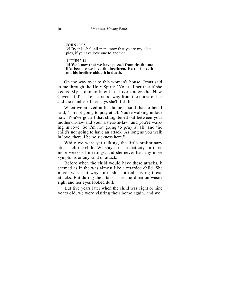### **JOHN 13:35**

35 By this shall all men know that ye are my disciples, if ye have love one to another.

#### 1 JOHN 3:14

## **14 We know that we have passed from death unto life,** because we **love the brethren. He that loveth not his brother abideth in death.**

On the way over to this woman's house, Jesus said to me through the Holy Spirit: "You tell her that if she keeps My commandment of love under the New Covenant, I'll take sickness away from the midst of her and the number of her days she'll fulfill."

When we arrived at her home, I said that to her. I said, "I'm not going to pray at all. You're walking in love now. You've got all that straightened out between your mother-in-law and your sisters-in-law, and you're walking in love. So I'm not going to pray at all, and the child's not going to have an attack. As long as you walk in love, there'll be no sickness here."

While we were yet talking, the little preliminary attack left the child. We stayed on in that city for three more weeks of meetings, and she never had any more symptoms or any kind of attack.

Before when the child would have these attacks, it seemed as if she was almost like a retarded child. She never was that way until she started having these attacks. But during the attacks, her coordination wasn't right and her eyes looked dull.

But five years later when the child was eight or nine years old, we were visiting their home again, and we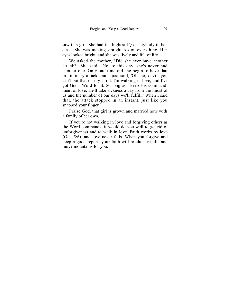saw this girl. She had the highest IQ of anybody in her class. She was making straight A's on everything. Her eyes looked bright, and she was lively and full of life.

We asked the mother, "Did she ever have another attack?" She said, "No, to this day, she's never had another one. Only one time did she begin to have that preliminary attack, but I just said, 'Oh, no, devil, you can't put that on my child. I'm walking in love, and I've got God's Word for it. So long as I keep His commandment of love, He'll take sickness away from the midst of us and the number of our days we'll fulfill.' When I said that, the attack stopped in an instant, just like you snapped your finger."

Praise God, that girl is grown and married now with a family of her own.

If you're not walking in love and forgiving others as the Word commands, it would do you well to get rid of unforgiveness and to walk in love. Faith works by love (Gal. 5:6), and love never fails. When you forgive and keep a good report, your faith will produce results and move mountains for you.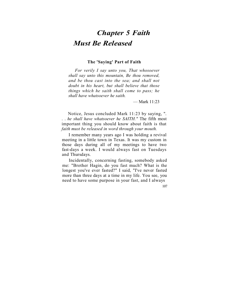# *Chapter 5 Faith Must Be Released*

## **The 'Saying' Part of Faith**

*For verily I say unto you, That whosoever shall say unto this mountain, Be thou removed, and be thou cast into the sea; and shall not doubt in his heart, but shall believe that those things which he saith shall come to pass; he shall have whatsoever he saith.*

— Mark 11:23

Notice, Jesus concluded Mark 11:23 by saying, ". . . *he shall have whatsoever he SAITH."* The fifth most important thing you should know about faith is that *faith must be released in word through your mouth.*

I remember many years ago I was holding a revival meeting in a little town in Texas. It was my custom in those days during all of my meetings to have two fast-days a week. I would always fast on Tuesdays and Thursdays.

Incidentally, concerning fasting, somebody asked me: "Brother Hagin, do you fast much? What is the longest you've ever fasted?" I said, "I've never fasted more than three days at a time in my life. You see, you need to have some purpose in your fast, and I always

107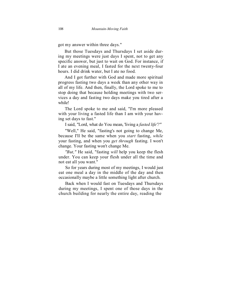got my answer within three days."

But those Tuesdays and Thursdays I set aside during my meetings were just days I spent, not to get any specific answer, but just to wait on God. For instance, if I ate an evening meal, I fasted for the next twenty-four hours. I did drink water, but I ate no food.

And I got further with God and made more spiritual progress fasting two days a week than any other way in all of my life. And then, finally, the Lord spoke to me to stop doing that because holding meetings with two services a day and fasting two days make you tired after a while!

The Lord spoke to me and said, "I'm more pleased with your living a fasted life than I am with your having set days to fast."

I said, "Lord, what do You mean, 'living a *fasted life'?"*

"Well," He said, "fasting's not going to change Me, because I'll be the same when you *start* fasting, *while*  your fasting, and when you *get through* fasting. I won't change. Your fasting won't change Me.

*"But,"* He said, "fasting *will* help you keep the flesh under. You can keep your flesh under all the time and not eat all you want."

So for years during most of my meetings, I would just eat one meal a day in the middle of the day and then occasionally maybe a little something light after church.

Back when I would fast on Tuesdays and Thursdays during my meetings, I spent one of those days in the church building for nearly the entire day, reading the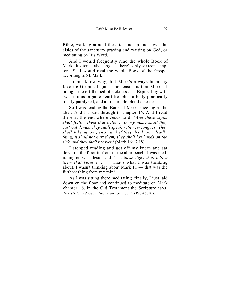Bible, walking around the altar and up and down the aisles of the sanctuary praying and waiting on God, or meditating on His Word.

And I would frequently read the whole Book of Mark. It didn't take long — there's only sixteen chapters. So I would read the whole Book of the Gospel according to St. Mark.

I don't know why, but Mark's always been my favorite Gospel. I guess the reason is that Mark 11 brought me off the bed of sickness as a Baptist boy with two serious organic heart troubles, a body practically totally paralyzed, and an incurable blood disease.

So I was reading the Book of Mark, kneeling at the altar. And I'd read through to chapter 16. And I read there at the end where Jesus said, *"And these signs shall follow them that believe; In my name shall they cast out devils; they shall speak with new tongues; They shall take up serpents; and if they drink any deadly thing, it shall not hurt them; they shall lay hands on the sick, and they shall recover"* (Mark 16:17,18).

I stopped reading and got off my knees and sat down on the floor in front of the altar bench. I was meditating on what Jesus said: ". . . *these signs shall follow them that believe.* . . . " That's what I was thinking about. I wasn't thinking about Mark 11 — that was the furthest thing from my mind.

As I was sitting there meditating, finally, I just laid down on the floor and continued to meditate on Mark chapter 16. In the Old Testament the Scripture says, *"Be still, and know that I am God* . . . " (Ps. 46:10).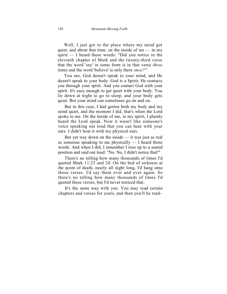Well, I just got to the place where my mind got quiet, and about that time, on the inside of me  $-$  in my spirit — I heard these words: "Did you notice in the eleventh chapter of Mark and the twenty-third verse that the word 'say' in some form is in that verse *three*  times and the word 'believe' is only there *once?"*

You see, God doesn't speak to your mind, and He doesn't speak to your body. God is a Spirit; He contacts you through your spirit. And you contact God with your spirit. It's easy enough to get quiet with your body. You lie down at night to go to sleep, and your body gets quiet. But your mind can sometimes go on and on.

But in this case, I had gotten both my body and my mind quiet, and the moment I did, that's when the Lord spoke to me. On the inside of me, in my spirit, I plainly heard the Lord speak. Now it wasn't like someone's voice speaking out loud that you can hear with your ears. I didn't hear it with my physical ears.

But yet way down on the inside — it was just as real as someone speaking to me physically — I heard those words. And when I did, I remember I rose up to a seated position and said out loud: "No. No, I didn't notice that!"

There's no telling how many thousands of times I'd quoted Mark 11:23 and 24. On the bed of sickness at the point of death, nearly all night long, I'd hang onto those verses. I'd say them over and over again. So there's no telling how many thousands of times I'd quoted these verses, but I'd never noticed that.

It's the same way with you. You may read certain chapters and verses for years, and then you'll be read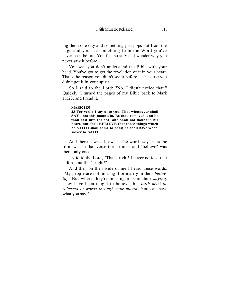ing them one day and something just pops out from the page and you see something from the Word you've never seen before. You feel so silly and wonder why you never saw it before.

You see, you don't understand the Bible with your head. You've got to get the revelation of it in your heart. That's the reason you didn't see it before — because you didn't get it in your spirit.

So I said to the Lord: "No, I didn't notice that." Quickly, I turned the pages of my Bible back to Mark 11:23, and I read it.

## **MARK 1133**

**23 For verily I say unto you, That whosoever shall SAY unto this mountain, Be thou removed, and be thou cast into the sea; and shall not doubt in his heart, but shall BELIEVE that those things which he SAITH shall come to pass; he shall have whatsoever he SAITH.**

And there it was. I saw it. The word "say" in some form was in that verse three times, and "believe" was there only once.

I said to the Lord, "That's right! I never noticed that before, but that's right!"

And then on the inside of me I heard these words: "My people are not missing it primarily in their *believing.* But where they're missing it is in their *saying.*  They have been taught to believe, but *faith must be released in words through your mouth.* You can have what you say."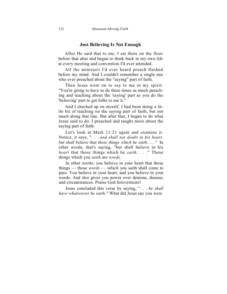## **Just Believing Is Not Enough**

After He said that to me, I sat there on the floor before that altar and began to think back in my own life at every meeting and convention I'd ever attended.

All the ministers I'd ever heard preach flashed before my mind. And I couldn't remember a single one who ever preached about the "saying" part of faith.

Then Jesus went on to say to me in my spirit: "You're going to have to do three times as much preaching and teaching about the 'saying' part as you do the 'believing' part to get folks to see it."

And I checked up on myself. I had been doing a little bit of teaching on the saying part of faith, but not much along that line. But after that, I began to do what Jesus said to do. I preached and taught more about the saying part of faith.

Let's look at Mark 11:23 again and examine it. Notice, it says, ". . . *and shall not doubt in his heart, but shall believe that those things which he saith.* . . . " In other words, that's saying, "but shall believe in his *heart* that those things which he *saith. . .* ." Those things which you *saith* are *words.*

In other words, you believe in your heart that those things — those *words* — which you saith shall come to pass. You believe in your heart, and you believe in your words. And *that* gives you power over demons, disease, and circumstances. Praise God forevermore!

Jesus concluded this verse by saying, ". . . *he shall have whatsoever he saith."* What did Jesus say you were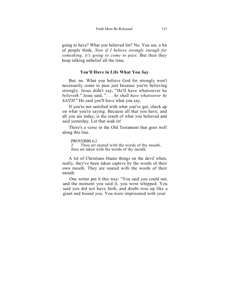going to have? What you believed for? No. You see, a lot of people think, *Now if I believe strongly enough for something, it's going to come to pass.* But then they keep talking unbelief all the time.

## **You'll Have in Life What You** *Say*

But, no. What you believe God for strongly won't necessarily come to pass just because you're believing strongly. Jesus didn't say, "He'll have whatsoever he *believeth."* Jesus said, ". . . *he shall have whatsoever he SAITH."* He said you'll have what you say.

If you're not satisfied with what you've got, check up on what you're saying. Because all that you have, and all you are today, is the result of what you believed and said yesterday. Let that soak in!

There's a verse in the Old Testament that goes well along this line.

PROVERBS 6:2

2 Thou art snared with the words of thy mouth, thou art taken with the words of thy mouth.

A lot of Christians blame things on the devil when, really, they've been taken captive by the words of their own mouth. They are snared with the words of their mouth.

One writer put it this way: "You said you could not, and the moment you said it, you were whipped. You said you did not have faith, and doubt rose up like a giant and bound you. You were imprisoned with your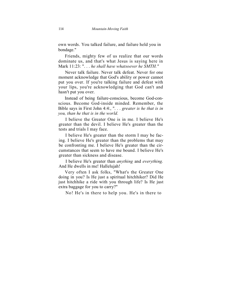own words. You talked failure, and failure held you in bondage."

Friends, mighty few of us realize that our words dominate us, and that's what Jesus is saying here in Mark 11:23: ". . . *he shall have whatsoever he SMTH."*

Never talk failure. Never talk defeat. Never for one moment acknowledge that God's ability or power cannot put you over. If you're talking failure and defeat with your lips, you're acknowledging that God can't and hasn't put you over.

Instead of being failure-conscious, become God-conscious. Become God-inside minded. Remember, the Bible says in First John 4:4:, ". . . *greater is he that is in you, than he that is in the world.*

I believe the Greater One is in me. I believe He's greater than the devil. I believe He's greater than the tests and trials I may face.

I believe He's greater than the storm I may be facing. I believe He's greater than the problems that may be confronting me. I believe He's greater than the circumstances that seem to have me bound. I believe He's greater than sickness and disease.

I believe He's greater than *anything* and *everything.*  And He dwells in me! Hallelujah!

Very often I ask folks, "What's the Greater One doing in you? Is He just a spiritual hitchhiker? Did He just hitchhike a ride with you through life? Is He just extra baggage for you to carry?"

No! He's in there to help you. He's in there to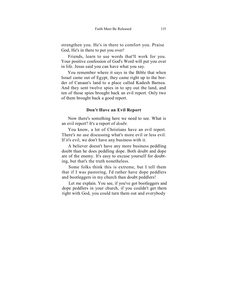strengthen you. He's in there to comfort you. Praise God, He's in there to put you over!

Friends, learn to use words that'll work for you. Your positive confession of God's Word will put you over in life. Jesus said you can have what you say.

You remember where it says in the Bible that when Israel came out of Egypt, they came right up to the border of Canaan's land to a place called Kadesh Barnea. And they sent twelve spies in to spy out the land, and ten of those spies brought back an evil report. Only two of them brought back a good report.

## **Don't Have an Evil Report**

Now there's something here we need to see. What is an evil report? It's a report of *doubt.*

You know, a lot of Christians have an evil report. There's no use discussing what's more evil or less evil. If it's evil, we don't have any business with it.

A believer doesn't have any more business peddling doubt than he does peddling dope. Both doubt and dope are of the enemy. It's easy to excuse yourself for doubting, but that's the truth nonetheless.

Some folks think this is extreme, but I tell them that if I was pastoring, I'd rather have dope peddlers and bootleggers in my church than doubt peddlers!

Let me explain. You see, if you've got bootleggers and dope peddlers in your church, if you couldn't get them right with God, you could turn them out and everybody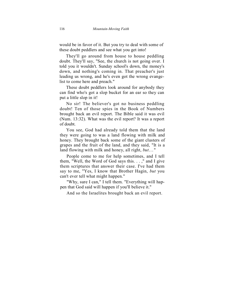would be in favor of it. But you try to deal with some of these doubt peddlers and see what you get into!

They'll go around from house to house peddling doubt. They'll say, "See, the church is not going over. I told you it wouldn't. Sunday school's down, the money's down, and nothing's coming in. That preacher's just leading us wrong, and he's even got the wrong evangelist to come here and preach."

These doubt peddlers look around for anybody they can find who's got a slop bucket for an ear so they can put a little slop in it!

No sir! The believer's got no business peddling doubt! Ten of those spies in the Book of Numbers brought back an evil report. The Bible said it was evil (Num. 13:32). What was the evil report? It was a report of doubt.

You see, God had already told them that the land they were going to was a land flowing with milk and honey. They brought back some of the giant clusters of grapes and the fruit of the land, and they said, "It is a land flowing with milk and honey, all right, *but*..."

People come to me for help sometimes, and I tell them, "Well, the Word of God says this. . . ," and I give them scriptures that answer their case. I've had them say to me, "Yes, I know that Brother Hagin, *but* you can't ever tell what might happen."

"Why, sure I can," I tell them. "Everything will happen that God said will happen if you'll believe it."

And so the Israelites brought back an evil report.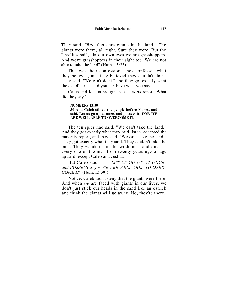They said, *"But,* there are giants in the land." The giants were there, all right. Sure they were. But the Israelites said, "In our own eyes we are grasshoppers. And we're grasshoppers in their sight too. We are not able to take the land" (Num. 13:33).

That was their confession. They confessed what they believed, and they believed they couldn't do it. They said, "We can't do it," and they got exactly what they said! Jesus said you can have what you say.

Caleb and Joshua brought back a *good* report. What did they say?

#### **NUMBERS 13:30 30 And Caleb stilled the people before Moses, and said, Let us go up at once, and possess it; FOR WE ARE WELL ABLE TO OVERCOME IT.**

The ten spies had said, "We can't take the land." And they got exactly what they said. Israel accepted the majority report, and they said, "We can't take the land." They got exactly what they said. They couldn't take the land. They wandered in the wilderness and died every one of the men from twenty years age of age upward, except Caleb and Joshua.

But Caleb said, ". . . *LET US GO UP AT ONCE, and POSSESS it; for WE ARE WELL ABLE TO OVER-COME IT"* (Num. 13:30)!

Notice, Caleb didn't deny that the giants were there. And when *we* are faced with giants in our lives, we don't just stick our heads in the sand like an ostrich and think the giants will go away. No, they're there.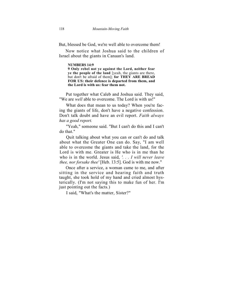But, blessed be God, we're well able to overcome them!

Now notice what Joshua said to the children of Israel about the giants in Canaan's land.

#### **NUMBERS 14:9**

**9 Only rebel not ye against the Lord, neither fear ye the people of the land** [yeah, the giants are there, but don't be afraid of them]; **for THEY ARE BREAD FOR US: their defence is departed from them, and the Lord is with us: fear them not.**

Put together what Caleb and Joshua said. They said, "We are *well* able to overcome. The Lord is with us!"

What does that mean to us today? When you're facing the giants of life, don't have a negative confession. Don't talk doubt and have an evil report. *Faith always has a good report.*

"Yeah," someone said. "But I can't do this and I can't do that."

Quit talking about what you can or can't do and talk about what the Greater One can do. Say, "I am well able to overcome the giants and take the land, for the Lord is with me. Greater is He who is in me than he who is in the world. Jesus said, *'. . . I will never leave thee, nor forsake thee'* [Heb. 13:5]. God is with me now."

Once after a service, a woman came to me, and after sitting in the service and hearing faith and truth taught, she took hold of my hand and cried almost hysterically. (I'm not saying this to make fun of her. I'm just pointing out the facts.)

I said, "What's the matter, Sister?"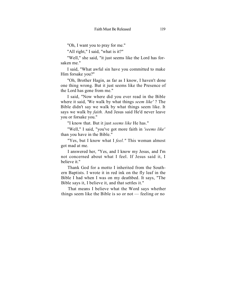"Oh, I want you to pray for me."

"All right," I said, "what is it?"

"Well," she said, "it just seems like the Lord has forsaken me."

I said, "What awful sin have you committed to make Him forsake you?"

"Oh, Brother Hagin, as far as I know, I haven't done one thing wrong. But it just seems like the Presence of the Lord has gone from me."

I said, "Now where did you ever read in the Bible where it said, 'We walk by what things *seem like'* ? The Bible didn't say we walk by what things seem like. It says we walk by *faith.* And Jesus said He'd never leave you or forsake you."

"I know that. But it just *seems like* He has."

"Well," I said, "you've got more faith in *'seems like'*  than you have in the Bible."

"Yes, but I know what I *feel."* This woman almost got mad at me.

I answered her, "Yes, and I know my Jesus, and I'm not concerned about what I feel. If Jesus said it, I believe it."

Thank God for a motto I inherited from the Southern Baptists. I wrote it in red ink on the fly leaf in the Bible I had when I was on my deathbed. It says, "The Bible says it, I believe it, and that settles it."

That means I believe what the Word says whether things seem like the Bible is so or not — feeling or no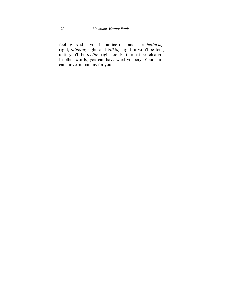feeling. And if you'll practice that and start *believing*  right, *thinking* right, and *talking* right, it won't be long until you'll be *feeling* right too. Faith must be released. In other words, you can have what you say. Your faith can move mountains for you.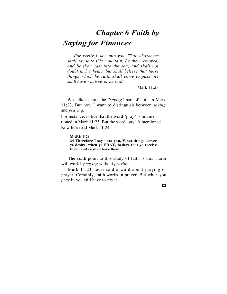# *Chapter 6 Faith by Saying for Finances*

*For verily I say unto you, That whosoever shall say unto this mountain, Be thou removed, and be thou cast into the sea; and shall not doubt in his heart, but shall believe that those things which he saith shall come to pass; he shall have whatsoever he saith.*

*—* Mark 11:23

We talked about the *"saying"* part of faith in Mark 11:23. But now I want to distinguish between *saying*  and *praying.*

For instance, notice that the word "pray" is not mentioned in Mark 11:23. But the word "say" *is* mentioned. Now let's read Mark 11:24.

## **MARK 1124**

## **24 Therefore I say unto you, What things soever ye desire, when ye PRAY, believe that ye receive them, and ye shall have them.**

The sixth point to this study of faith is this: Faith will work by *saying* without *praying.*

Mark 11:23 never said a word about praying or prayer. Certainly, faith works in prayer. But when you *pray* it, you still have to *say* it.

**121**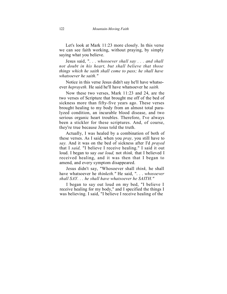Let's look at Mark 11:23 more closely. In this verse we can see faith working, without praying, by simply saying what you believe.

Jesus said, ". . . *whosoever shall say . . . and shall not doubt in his heart, but shall believe that those things which he saith shall come to pass; he shall have whatsoever he saith."*

Notice in this verse Jesus didn't say he'll have whatsoever *heprayeth.* He said he'll have whatsoever he *saith.*

Now these two verses, Mark 11:23 and 24, are the two verses of Scripture that brought me off of the bed of sickness more than fifty-five years ago. These verses brought healing to my body from an almost total paralyzed condition, an incurable blood disease, and two serious organic heart troubles. Therefore, I've always been a stickler for these scriptures. And, of course, they're true because Jesus told the truth.

Actually, I was healed by a combination of both of these verses. As I said, when you *pray,* you still have to *say.* And it was on the bed of sickness after I'd *prayed*  that I *said,* "I believe I receive healing." I said it out loud. I began to say *out loud,* not *think,* that I believed I received healing, and it was then that I began to amend, and every symptom disappeared.

Jesus didn't say, "Whosoever shall *think,* he shall have whatsoever he *thinketh."* He said, ". . . *whosoever shall SAY. . . he shall have whatsoever he SAITH."*

I began to say out loud on my bed, "I believe I receive healing for my body," and I specified the things I was believing. I said, "I believe I receive healing of the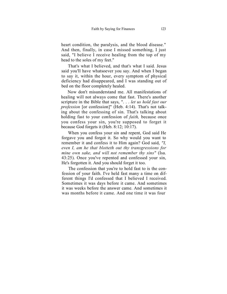heart condition, the paralysis, and the blood disease." And then, finally, in case I missed something, I just said, "I believe I receive healing from the top of my head to the soles of my feet."

That's what I believed, and that's what I said. Jesus said you'll have whatsoever you say. And when I began to say it, within the hour, every symptom of physical deficiency had disappeared, and I was standing out of bed on the floor completely healed.

Now don't misunderstand me. All manifestations of healing will not always come that fast. There's another scripture in the Bible that says, ". . . *let us hold fast our profession* [or confession]" (Heb. 4:14). That's not talking about the confessing of sin. That's talking about holding fast to your confession of *faith,* because once you confess your sin, you're supposed to forget it because God forgets it (Heb. 8:12; 10:17).

When you confess your sin and repent, God said He forgave you and forgot it. So why would you want to remember it and confess it to Him again? God said, *"I, even I, am he that blotteth out thy transgressions for mine own sake, and will not remember thy sins"* (Isa. 43:25). Once you've repented and confessed your sin, He's forgotten it. And you should forget it too.

The confession that you're to hold fast to is the confession of your faith. I've held fast many a time on different things I'd confessed that I believed I received. Sometimes it was days before it came. And sometimes it was weeks before the answer came. And sometimes it was months before it came. And one time it was four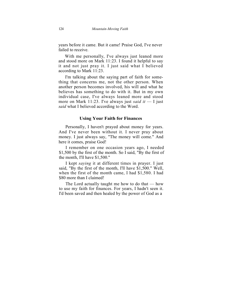years before it came. But it came! Praise God, I've never failed to receive.

With me personally, I've always just leaned more and stood more on Mark 11:23. I found it helpful to say it and not just pray it. I just said what I believed according to Mark 11:23.

I'm talking about the saying part of faith for something that concerns me, not the other person. When another person becomes involved, his will and what he believes has something to do with it. But in my own individual case, I've always leaned more and stood more on Mark 11:23. I've always just *said it* — I just *said* what I believed according to the Word.

## **Using Your Faith for Finances**

Personally, I haven't prayed about money for years. And I've never been without it. I never pray about money. I just always say, "The money will come." And here it comes, praise God!

I remember on one occasion years ago, I needed \$1,500 by the first of the month. So I said, "By the first of the month, I'll have \$1,500."

I kept *saying* it at different times in prayer. I just said, "By the first of the month, I'll have \$1,500." Well, when the first of the month came, I had \$1,580. I had \$80 more than I claimed!

The Lord actually taught me how to do that — how to use my faith for finances. For years, I hadn't seen it. I'd been saved and then healed by the power of God as a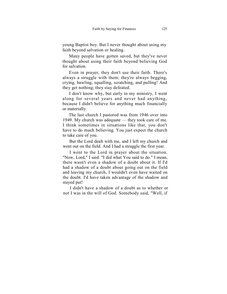young Baptist boy. But I never thought about using my faith beyond salvation or healing.

Many people have gotten saved, but they've never thought about using their faith beyond believing God for salvation.

Even in prayer, they don't use their faith. There's always a struggle with them; they're always begging, crying, bawling, squalling, scratching, and pulling! And they get nothing; they stay defeated.

I don't know why, but early in my ministry, I went along for several years and never had anything, because I didn't believe for anything much financially or materially.

The last church I pastored was from 1946 over into 1949. My church was adequate — they took care of me. I think sometimes in situations like that, you don't have to do much believing. You just expect the church to take care of you.

But the Lord dealt with me, and I left my church and went out on the field. And I had a struggle the first year.

I went to the Lord in prayer about the situation. "Now, Lord," I said. "I did what You said to do." I mean, there wasn't even a shadow of a doubt about it. If I'd had a shadow of a doubt about going out on the field and leaving my church, I wouldn't even have waited on the doubt. I'd have taken advantage of the shadow and stayed put!

I didn't have a shadow of a doubt as to whether or not I was in the will of God. Somebody said, "Well, if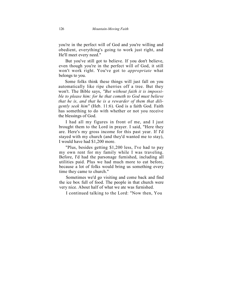you're in the perfect will of God and you're willing and obedient, everything's going to work just right, and He'll meet every need."

But you've still got to believe. If you don't believe, even though you're in the perfect will of God, it still won't work right. You've got to *appropriate* what belongs to you.

Some folks think these things will just fall on you automatically like ripe cherries off a tree. But they won't. The Bible says, *"But without faith it is impossible to please him: for he that cometh to God must believe that he is, and that he is a rewarder of them that diligently seek him"* (Heb. 11:6). God is a faith God. Faith has something to do with whether or not you receive the blessings of God.

I had all my figures in front of me, and I just brought them to the Lord in prayer. I said, "Here they are. Here's my gross income for this past year. If I'd stayed with my church (and they'd wanted me to stay), I would have had \$1,200 more.

"Plus, besides getting \$1,200 less, I've had to pay my own rent for my family while I was traveling. Before, I'd had the parsonage furnished, including all utilities paid. Plus we had much more to eat before, because a lot of folks would bring us something every time they came to church."

Sometimes we'd go visiting and come back and find the ice box full of food. The people in that church were very nice. About half of what we ate was furnished.

I continued talking to the Lord: "Now then, You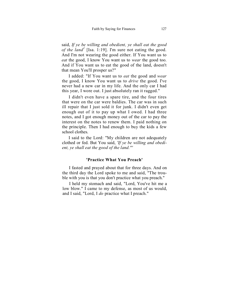said, *If ye be willing and obedient, ye shall eat the good of the land*<sup> $1$ </sup> [Isa. 1:19]. I'm sure not eating the good. And I'm not wearing the good either. If You want us to *eat* the good, I know You want us to *wear* the good too. And if You want us to eat the good of the land, doesn't that mean You'll prosper us?"

I added: "If You want us to *eat* the good and *wear*  the good, I know You want us to *drive* the good. I've never had a new car in my life. And the only car I had this year, I wore out. I just absolutely ran it ragged."

I didn't even have a spare tire, and the four tires that were on the car were baldies. The car was in such ill repair that I just sold it for junk. I didn't even get enough out of it to pay up what I owed. I had three notes, and I got enough money out of the car to pay the interest on the notes to renew them. I paid nothing on the principle. Then I had enough to buy the kids a few school clothes.

I said to the Lord: "My children are not adequately clothed or fed. But You said, *'If ye be willing and obedient, ye shall eat the good of the land."'*

## **'Practice What You Preach'**

I fasted and prayed about that for three days. And on the third day the Lord spoke to me and said, "The trouble with you is that you don't practice what you preach."

I held my stomach and said, "Lord, You've hit me a low blow." I came to my defense, as most of us would, and I said, "Lord, I *do* practice what I preach."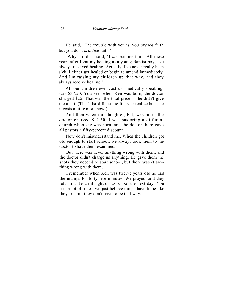He said, "The trouble with you is, you *preach* faith but you don't *practice* faith."

"Why, Lord," I said, "I *do* practice faith. All these years after I got my healing as a young Baptist boy, I've always received healing. Actually, I've never really been sick. I either get healed or begin to amend immediately. And I'm raising my children up that way, and they always receive healing."

All our children ever cost us, medically speaking, was \$37.50. You see, when Ken was born, the doctor charged \$25. That was the total price  $-$  he didn't give me a cut. (That's hard for some folks to realize because it costs a little more now!)

And then when our daughter, Pat, was born, the doctor charged \$12.50. I was pastoring a different church when she was born, and the doctor there gave all pastors a fifty-percent discount.

Now don't misunderstand me. When the children got old enough to start school, we always took them to the doctor to have them examined.

But there was never anything wrong with them, and the doctor didn't charge us anything. He gave them the shots they needed to start school, but there wasn't anything wrong with them.

I remember when Ken was twelve years old he had the mumps for forty-five minutes. We prayed, and they left him. He went right on to school the next day. You see, a lot of times, we just believe things have to be like they are, but they don't have to be that way.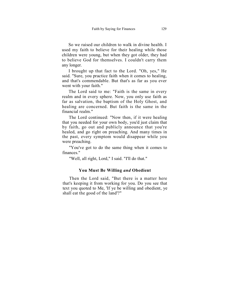So we raised our children to walk in divine health. I used my faith to believe for their healing while those children were young, but when they got older, they had to believe God for themselves. I couldn't carry them any longer.

I brought up that fact to the Lord. "Oh, yes," He said. "Sure, you practice faith when it comes to healing, and that's commendable. But that's as far as you ever went with your faith."

The Lord said to me: "Faith is the same in every realm and in every sphere. Now, you only use faith as far as salvation, the baptism of the Holy Ghost, and healing are concerned. But faith is the same in the financial realm."

The Lord continued: "Now then, if it were healing that you needed for your own body, you'd just claim that by faith, go out and publicly announce that you're healed, and go right on preaching. And many times in the past, every symptom would disappear while you were preaching.

"You've got to do the same thing when it comes to finances."

"Well, all right, Lord," I said. "I'll do that."

## **You Must Be Willing** *and* **Obedient**

Then the Lord said, "But there is a matter here that's keeping it from working for you. Do you see that text you quoted to Me, 'If ye be willing and obedient, ye shall eat the good of the land'?"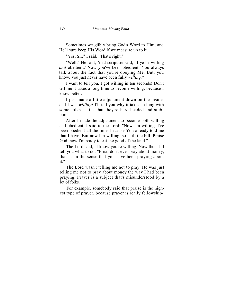Sometimes we glibly bring God's Word to Him, and He'll sure keep His Word if we measure up to it.

"Yes, Sir," I said. "That's right."

"Well," He said, "that scripture said, 'If ye be willing *and* obedient.' Now you've been obedient. You always talk about the fact that you're obeying Me. But, you know, you just never have been fully *willing."*

I want to tell you, I got willing in ten seconds! Don't tell me it takes a long time to become willing, because I know better.

I just made a little adjustment down on the inside, and I was *willing]* I'll tell you why it takes so long with some folks — it's that they're hard-headed and stubborn.

After I made the adjustment to become both willing and obedient, I said to the Lord: "Now I'm willing. I've been obedient all the time, because You already told me that I have. But now I'm willing, so I fill the bill. Praise God, now I'm ready to eat the good of the land."

The Lord said, "I know you're willing. Now then, I'll tell you what to do. "First, don't ever pray about money, that is, in the sense that you have been praying about it."

The Lord wasn't telling me not to pray. He was just telling me not to pray about money the way I had been praying. Prayer is a subject that's misunderstood by a lot of folks.

For example, somebody said that praise is the highest type of prayer, because prayer is really fellowship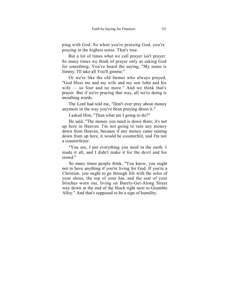ping with God. So when you're praising God, you're praying in the highest sense. That's true.

But a lot of times what we call prayer isn't prayer. So many times we think of prayer only as asking God for something. You've heard the saying, "My name is Jimmy; I'll take all You'll gimme."

Or we're like the old farmer who always prayed, "God bless me and my wife and my son John and his wife — us four and no more." And we think that's prayer. But if we're praying that way, all we're doing is mouthing words.

The Lord had told me, "Don't ever pray about money anymore in the way you've been praying about it."

I asked Him, "Then what am I going to do?"

He said, "The money you need is down there; it's not up here in Heaven. I'm not going to rain any money down from Heaven, because if any money came raining down from up here, it would be counterfeit, and I'm not a counterfeiter.

"You see, I put everything you need in the earth. I made it all, and I didn't make it for the devil and his crowd."

So many times people think, "You know, you ought not to have anything if you're living for God. If you're a Christian, you ought to go through life with the soles of your shoes, the top of your hat, and the seat of your britches worn out, living on Barely-Get-Along Street way down at the end of the block right next to Grumble Alley." And that's supposed to be a sign of humility.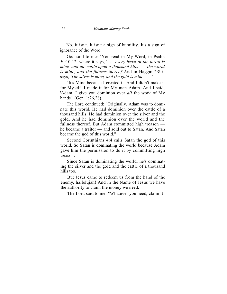No, it isn't. It isn't a sign of humility. It's a sign of ignorance of the Word.

God said to me: "You read in My Word, in Psalm 50:10-12, where it says, '. . . *every beast of the forest is mine, and the cattle upon a thousand hills . . . the world is mine, and the fulness thereof* And in Haggai 2:8 it says, *'The silver is mine, and the gold is mine. . . .'*

"It's Mine because I created it. And I didn't make it for Myself. I made it for My man Adam. And I said, 'Adam, I give you dominion over *all* the work of My hands'" (Gen. 1:26,28).

The Lord continued: "Originally, Adam was to dominate this world. He had dominion over the cattle of a thousand hills. He had dominion over the silver and the gold. And he had dominion over the world and the fullness thereof. But Adam committed high treason he became a traitor — and sold out to Satan. And Satan became the god of this world."

Second Corinthians 4:4 calls Satan the god of this world. So Satan is dominating the world because Adam gave him the permission to do it by committing high treason.

Since Satan is dominating the world, he's dominating the silver and the gold and the cattle of a thousand hills too.

But Jesus came to redeem us from the hand of the enemy, hallelujah! And in the Name of Jesus we have the authority to claim the money we need.

The Lord said to me: "Whatever you need, claim it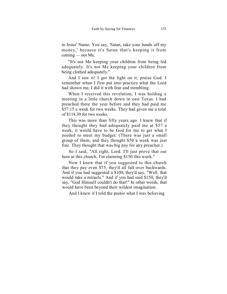in Jesus' Name. You say, 'Satan, take your hands off my money,' because it's Satan that's keeping it from coming — not Me.

"It's not Me keeping your children from being fed adequately. It's not Me keeping your children from being clothed adequately."

And I saw it! I got the light on it, praise God. I remember when I first put into practice what the Lord had shown me, I did it with fear and trembling.

When I received this revelation, I was holding a meeting in a little church down in east Texas. I had preached there the year before and they had paid me \$57.15 a week for two weeks. They had given me a total of \$114.30 for two weeks.

This was more than fifty years ago. I knew that if they thought they had adequately paid me at \$57 a week, it would have to be God for me to get what I needed to meet my budget. (There was just a small group of them, and they thought \$50 a week was just fine. They thought that was big pay for any preacher.)

So I said, "All right, Lord. I'll just prove that out here at this church. I'm claiming \$150 this week."

Now I knew that if you suggested to this church that they pay even \$75, they'd all fall over backwards. And if you had suggested a \$100, they'd say, "Well, that would take a miracle." And if you had said \$150, they'd say, "God Himself couldn't do that!" In other words, that would have been beyond their wildest imagination.

And I knew if I told the pastor what I was believing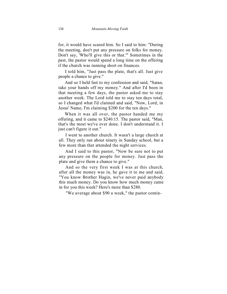for, it would have scared him. So I said to him: "During the meeting, don't put any pressure on folks for money. Don't say, 'Who'll give this or that.'" Sometimes in the past, the pastor would spend a long time on the offering if the church was running short on finances.

I told him, "Just pass the plate, that's all. Just give people a chance to give."

And so I held fast to my confession and said, "Satan, take your hands off my money." And after I'd been in that meeting a few days, the pastor asked me to stay another week. The Lord told me to stay ten days total, so I changed what I'd claimed and said, "Now, Lord, in Jesus' Name, I'm claiming \$200 for the ten days."

When it was all over, the pastor handed me my offering, and it came to \$240.15. The pastor said, "Man, that's the most we've ever done. I don't understand it. I just can't figure it out."

I went to another church. It wasn't a large church at all. They only ran about ninety in Sunday school, but a few more than that attended the night services.

And I said to this pastor, "Now be sure not to put any pressure on the people for money. Just pass the plate and give them a chance to give."

And so the very first week I was at this church, after all the money was in, he gave it to me and said, "You know Brother Hagin, we've never paid anybody this much money. Do you know how much money came in for you this week? Here's more than \$280.

"We average about \$90 a week," the pastor contin-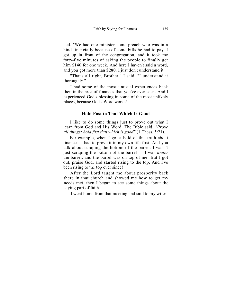ued. "We had one minister come preach who was in a bind financially because of some bills he had to pay. I got up in front of the congregation, and it took me forty-five minutes of asking the people to finally get him \$140 for one week. And here I haven't said a word, and you got more than \$280. I just don't understand it."

"That's all right, Brother," I said. "I understand it thoroughly."

I had some of the most unusual experiences back then in the area of finances that you've ever seen. And I experienced God's blessing in some of the most unlikely places, because God's Word works!

### **Hold Fast to That Which Is Good**

I like to do some things just to prove out what I learn from God and His Word. The Bible said, *"Prove all things; hold fast that which is good"* (1 Thess. 5:21).

For example, when I got a hold of this truth about finances, I had to prove it in my own life first. And you talk about scraping the bottom of the barrel. I wasn't just scraping the bottom of the barrel — I was *under*  the barrel, and the barrel was on top of me! But I got out, praise God, and started rising to the top. And I've been rising to the top ever since!

After the Lord taught me about prosperity back there in that church and showed me how to get my needs met, then I began to see some things about the saying part of faith.

I went home from that meeting and said to my wife: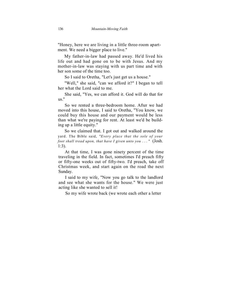"Honey, here we are living in a little three-room apartment. We need a bigger place to live."

My father-in-law had passed away. He'd lived his life out and had gone on to be with Jesus. And my mother-in-law was staying with us part time and with her son some of the time too.

So I said to Oretha, "Let's just get us a house."

"Well," she said, "can we afford it?" I began to tell her what the Lord said to me.

She said, "Yes, we can afford it. God will do that for us."

So we rented a three-bedroom home. After we had moved into this house, I said to Oretha, "You know, we could buy this house and our payment would be less than what we're paying for rent. At least we'd be building up a little equity."

So we claimed that. I got out and walked around the yard. The Bible said, *"Every place that the sole of your foot shall tread upon, that have I given unto you* . . . " (Josh. 1:3).

At that time, I was gone ninety percent of the time traveling in the field. In fact, sometimes I'd preach fifty or fifty-one weeks out of fifty-two. I'd preach, take off Christmas week, and start again on the road the next Sunday.

I said to my wife, "Now you go talk to the landlord and see what she wants for the house." We were just acting like she wanted to sell it!

So my wife wrote back (we wrote each other a letter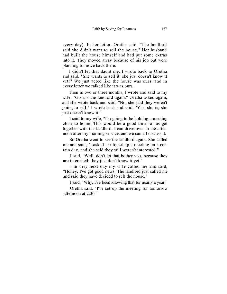every day). In her letter, Oretha said, "The landlord said she didn't want to sell the house." Her husband had built the house himself and had put some extras into it. They moved away because of his job but were planning to move back there.

I didn't let that daunt me. I wrote back to Oretha and said, "She wants to sell it; she just doesn't know it yet!" We just acted like the house was ours, and in every letter we talked like it was ours.

Then in two or three months, I wrote and said to my wife, "Go ask the landlord again." Oretha asked again, and she wrote back and said, "No, she said they weren't going to sell." I wrote back and said, "Yes, she is; she just doesn't know it."

I said to my wife, "I'm going to be holding a meeting close to home. This would be a good time for us get together with the landlord. I can drive over in the afternoon after my morning service, and we can all discuss it.

So Oretha went to see the landlord again. She called me and said, "I asked her to set up a meeting on a certain day, and she said they still weren't interested."

I said, "Well, don't let that bother you, because they are interested; they just don't know it yet."

The very next day my wife called me and said, "Honey, I've got good news. The landlord just called me and said they have decided to sell the house."

I said, "Why, I've been knowing that for nearly a year."

Oretha said, "I've set up the meeting for tomorrow afternoon at 2:30."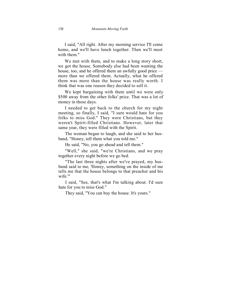I said, "All right. After my morning service I'll come home, and we'll have lunch together. Then we'll meet with them."

We met with them, and to make a long story short, we got the house. Somebody else had been wanting the house, too, and he offered them an awfully good price more than we offered them. Actually, what he offered them was more than the house was really worth. I think that was one reason they decided to sell it.

We kept bargaining with them until we were only \$500 away from the other folks' price. That was a lot of money in those days.

I needed to get back to the church for my night meeting, so finally, I said, "I sure would hate for you folks to miss God." They were Christians, but they weren't Spirit-filled Christians. However, later that same year, they were filled with the Spirit.

The woman began to laugh, and she said to her husband, "Honey, tell them what you told me."

He said, "No, you go ahead and tell them."

"Well," she said, "we're Christians, and we pray together every night before we go bed.

"The last three nights after we've prayed, my husband said to me, 'Honey, something on the inside of me tells me that the house belongs to that preacher and his wife.'"

I said, "See, that's what I'm talking about. I'd sure hate for you to miss God."

They said, "You can buy the house. It's yours."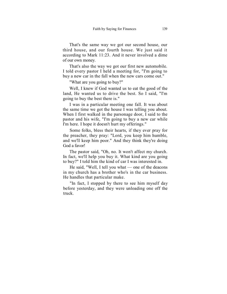That's the same way we got our second house, our third house, and our fourth house. We just said it according to Mark 11:23. And it never involved a dime of our own money.

That's also the way we got our first new automobile. I told every pastor I held a meeting for, "I'm going to buy a new car in the fall when the new cars come out."

"What are you going to buy?"

Well, I knew if God wanted us to eat the good of the land, He wanted us to drive the best. So I said, "I'm going to buy the best there is."

I was in a particular meeting one fall. It was about the same time we got the house I was telling you about. When I first walked in the parsonage door, I said to the pastor and his wife, "I'm going to buy a new car while I'm here. I hope it doesn't hurt my offerings."

Some folks, bless their hearts, if they ever pray for the preacher, they pray: "Lord, you keep him humble, and we'll keep him poor." And they think they're doing God a favor!

The pastor said, "Oh, no. It won't affect my church. In fact, we'll help you buy it. What kind are you going to buy?" I told him the kind of car I was interested in.

He said, "Well, I tell you what — one of the deacons in my church has a brother who's in the car business. He handles that particular make.

"In fact, I stopped by there to see him myself day before yesterday, and they were unloading one off the truck.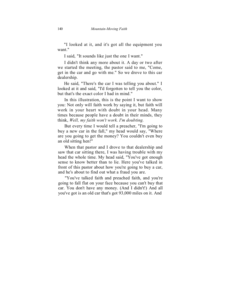"I looked at it, and it's got all the equipment you want."

I said, "It sounds like just the one I want."

I didn't think any more about it. A day or two after we started the meeting, the pastor said to me, "Come, get in the car and go with me." So we drove to this car dealership.

He said, "There's the car I was telling you about." I looked at it and said, "I'd forgotten to tell you the color, but that's the exact color I had in mind."

In this illustration, this is the point I want to show you: Not only will faith work by saying it, but faith will work in your heart with doubt in your head. Many times because people have a doubt in their minds, they think, *Well, my faith won't work. I'm doubting.*

But every time I would tell a preacher, "I'm going to buy a new car in the fall," my head would say, "Where are you going to get the money? You couldn't even buy an old sitting hen!"

When that pastor and I drove to that dealership and saw that car sitting there, I was having trouble with my head the whole time. My head said, "You've got enough sense to know better than to lie. Here you've talked in front of this pastor about how you're going to buy a car, and he's about to find out what a fraud you are.

"You've talked faith and preached faith, and you're going to fall flat on your face because you can't buy that car. You don't have any money. (And I didn't!) And all you've got is an old car that's got 93,000 miles on it. And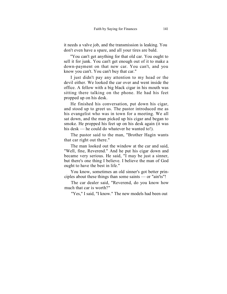it needs a valve job, and the transmission is leaking. You don't even have a spare, and all your tires are bald.

"You can't get anything for that old car. You ought to sell it for junk. You can't get enough out of it to make a down-payment on that new car. You can't, and you know you can't. You can't buy that car."

I just didn't pay any attention to my head or the devil either. We looked the car over and went inside the office. A fellow with a big black cigar in his mouth was sitting there talking on the phone. He had his feet propped up on his desk.

He finished his conversation, put down his cigar, and stood up to greet us. The pastor introduced me as his evangelist who was in town for a meeting. We all sat down, and the man picked up his cigar and began to smoke. He propped his feet up on his desk again (it was his desk — he could do whatever he wanted to!).

The pastor said to the man, "Brother Hagin wants that car right out there."

The man looked out the window at the car and said, "Well, fine, Reverend." And he put his cigar down and became very serious. He said, "I may be just a sinner, but there's one thing I believe. I believe the man of God ought to have the best in life."

You know, sometimes an old sinner's got better principles about these things than some saints — or "ain'ts"!

The car dealer said, "Reverend, do you know how much that car is worth?"

"Yes," I said, "I know." The new models had been out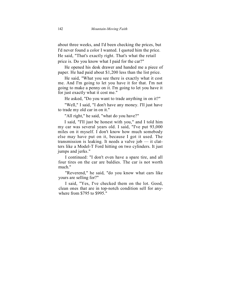about three weeks, and I'd been checking the prices, but I'd never found a color I wanted. I quoted him the price. He said, "That's exactly right. That's what the retail price is. Do you know what I paid for the car?"

He opened his desk drawer and handed me a piece of paper. He had paid about \$1,200 less than the list price.

He said, "What you see there is exactly what it cost me. And I'm going to let you have it for that. I'm not going to make a penny on it. I'm going to let you have it for just exactly what it cost me."

He asked, "Do you want to trade anything in on it?"

"Well," I said, "I don't have any money. I'll just have to trade my old car in on it."

"All right," he said, "what do you have?"

I said, "I'll just be honest with you," and I told him my car was several years old. I said, "I've put 93,000 miles on it myself. I don't know how much somebody else may have put on it, because I got it used. The transmission is leaking. It needs a valve job — it clatters like a Model-T Ford hitting on two cylinders. It just jumps and jerks."

I continued: "I don't even have a spare tire, and all four tires on the car are baldies. The car is not worth much."

"Reverend," he said, "do you know what cars like yours are selling for?"

I said, "Yes, I've checked them on the lot. Good, clean ones that are in top-notch condition sell for anywhere from \$795 to \$995."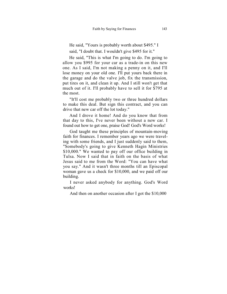He said, "Yours is probably worth about \$495." I said, "I doubt that. I wouldn't give \$495 for it."

He said, "This is what I'm going to do. I'm going to allow you \$995 for your car as a trade-in on this new one. As I said, I'm not making a penny on it, and I'll lose money on your old one. I'll put yours back there in the garage and do the valve job, fix the transmission, put tires on it, and clean it up. And I still won't get that much out of it. I'll probably have to sell it for \$795 at the most.

"It'll cost me probably two or three hundred dollars to make this deal. But sign this contract, and you can drive that new car off the lot today."

And I drove it home! And do you know that from that day to this, I've never been without a new car. I found out how to get one, praise God! God's Word works!

God taught me these principles of mountain-moving faith for finances. I remember years ago we were traveling with some friends, and I just suddenly said to them, "Somebody's going to give Kenneth Hagin Ministries \$10,000." We wanted to pay off our office building in Tulsa. Now I said that in faith on the basis of what Jesus said to me from the Word: "You can have what you say." And it wasn't three months till an Episcopal woman gave us a check for \$10,000, and we paid off our building.

I never asked anybody for anything. God's Word works!

And then on another occasion after I got the \$10,000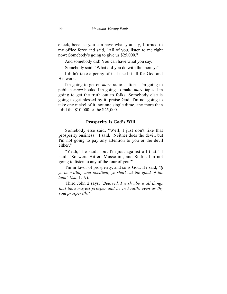check, because you can have what you say, I turned to my office force and said, "All of you, listen to me right now: Somebody's going to give us \$25,000."

And somebody did! You can have what you say.

Somebody said, "What did you do with the money?"

I didn't take a penny of it. I used it all for God and His work.

I'm going to get on *more* radio stations. I'm going to publish *more* books. I'm going to make *more* tapes. I'm going to get the truth out to folks. Somebody else is going to get blessed by it, praise God! I'm not going to take one nickel of it, not one single dime, any more than I did the \$10,000 or the \$25,000.

#### **Prosperity Is God's Will**

Somebody else said, "Well, I just don't like that prosperity business." I said, "Neither does the devil, but I'm not going to pay any attention to you or the devil either."

"Yeah," he said, "but I'm just against all that." I said, "So were Hitler, Mussolini, and Stalin. I'm not going to listen to any of the four of you!"

I'm in favor of prosperity, and so is God. He said, *"If ye be willing and obedient, ye shall eat the good of the land" {Isa.* 1:19).

Third John 2 says, *"Beloved, I wish above all things that thou mayest prosper and be in health, even as thy soul prospereth."*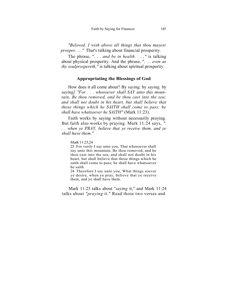*"Beloved, I wish above all things that thou mayest prosper.* ..." That's talking about financial prosperity.

The phrase, ". . . *and be in health. . . ,"* is talking about physical prosperity. And the phrase, ". . . *even as thy soulprospereth,"* is talking about spiritual prosperity.

#### **Appropriating the Blessings of God**

How does it all come about? By *saying,* by *saying,* by *saying] "For . . . whosoever shall SAY unto this mountain, Be thou removed, and be thou cast into the sea; and shall not doubt in his heart, but shall believe that those things which he SAITH shall come to pass; he shall have whatsoever he SAITH"* (Mark 11:23).

Faith works by saying without necessarily praying. But faith also works by praying. Mark 11:24 says, *". . . when ye PRAY, believe that ye receive them, and ye shall have them."*

Mark 11:23,24

23 For verily I say unto you, That whosoever shall say unto this mountain, Be thou removed, and be thou cast into the sea; and shall not doubt in his heart, but shall believe that those things which he saith shall come to pass; he shall have whatsoever he saith.

24 Therefore I say unto you, What things soever ye desire, when ye pray, believe that ye receive them, and ye shall have them.

Mark 11:23 talks about "saying it," and Mark 11:24 talks about *"praying* it." Read those two verses and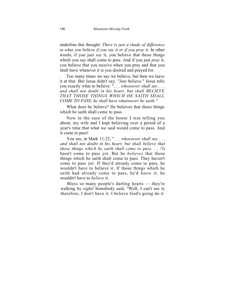underline this thought: *There is just a shade of difference in what you believe if you say it or if you pray it.* In other words, if you just *say* it, you believe that those things which you say shall come to pass. And if you just *pray* it, you believe that you receive when you pray and that you shall have whatever it is you desired and prayed for.

Too many times we say we believe, but then we leave it at that. But Jesus didn't say, "Just believe." Jesus tells you exactly what to believe: ". . . *whosoever shall say . . . and shall not doubt in his heart, but shall BELIEVE THAT THOSE THINGS WHICH HE SAITH SHALL COME TO PASS; he shall have whatsoever he saith."*

What does he believe? He believes that those things which he saith shall come to pass.

Now in the case of the house I was telling you about, my wife and I kept believing over a period of a year's time that what we said would come to pass. And it came to pass!

You see, in Mark 11:23, ". . . *whosoever shall say* . . . *and shall not doubt in his heart, but shall believe that those things which he saith shall come to pass. . .* /'it hasn't come to pass yet. But he *believes* that those things which he saith shall come to pass. They haven't come to pass yet. If they'd already come to pass, he wouldn't have to believe it. If those things which he saith had already come to pass, he'd *know* it; he wouldn't have to *believe* it.

Bless so many people's darling hearts — they're walking by *sightl* Somebody said, "Well, I can't see it; therefore, I don't have it. I believe God's going do it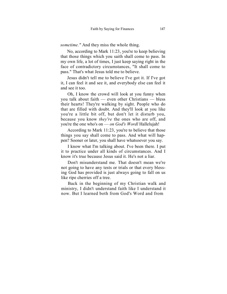*sometime."* And they miss the whole thing.

No, according to Mark 11:23, you're to keep believing that those things which you saith shall come to pass. In my own life, a lot of times, I just keep saying right in the face of contradictory circumstances, "It shall come to pass." That's what Jesus told me to believe.

Jesus didn't tell me to believe I've got it. If I've got it, I can feel it and see it, and everybody else can feel it and see it too.

Oh, I know the crowd will look at you funny when you talk about faith — even other Christians — bless their hearts! They're walking by sight. People who do that are filled with doubt. And they'll look at you like you're a little bit off, but don't let it disturb you, because you know *they're* the ones who are off, and you're the one who's on — *on God's Wordl* Hallelujah!

According to Mark 11:23, you're to believe that those things you say shall come to pass. And what will happen? Sooner or later, you shall have whatsoever you say.

I know what I'm talking about. I've been there. I put it to practice under all kinds of circumstances. And I know it's true because Jesus said it. He's not a liar.

Don't misunderstand me. That doesn't mean we're not going to have any tests or trials or that every blessing God has provided is just always going to fall on us like ripe cherries off a tree.

Back in the beginning of my Christian walk and ministry, I didn't understand faith like I understand it now. But I learned both from God's Word and from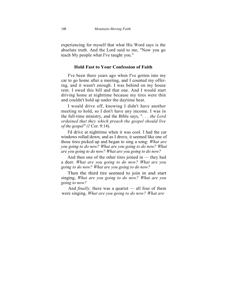experiencing for myself that what His Word says is the absolute truth. And the Lord said to me, "Now you go teach My people what I've taught you."

# **Hold Fast to Your Confession of Faith**

I've been there years ago when I've gotten into my car to go home after a meeting, and I counted my offering, and it wasn't enough. I was behind on my house rent. I owed this bill and that one. And I would start driving home at nighttime because my tires were thin and couldn't hold up under the daytime heat.

I would drive off, knowing I didn't have another meeting to hold, so I don't have any income. I was in the full-time ministry, and the Bible says, ". . . *the Lord ordained that they which preach the gospel should live of the gospel" (1* Cor. 9:14).

I'd drive at nighttime when it was cool. I had the car windows rolled down, and as I drove, it seemed like one of those tires picked up and began to sing a song: *What are you going to do now? What are you going to do now? What are you going to do now? What are you going to do now?*

And then one of the other tires joined in — they had a duet: *What are you going to do now? What are you going to do now? What are you going to do now?*

Then the third tire seemed to join in and start singing, *What are you going to do now? What are you going to now?*

And *finally,* there was a quartet — all four of them were singing, *What are you going to do now? What are*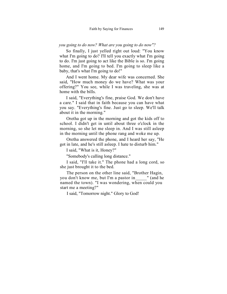*you going to do now? What are you going to do now"?*

So finally, I just yelled right out loud: "You know what I'm going to do? I'll tell you exactly what I'm going to do. I'm just going to act like the Bible is so. I'm going home, and I'm going to bed. I'm going to sleep like a baby, that's what I'm going to do!"

And I went home. My dear wife was concerned. She said, "How much money do we have? What was your offering?" You see, while I was traveling, she was at home with the bills.

I said, "Everything's fine, praise God. We don't have a care." I said that in faith because you can have what you say. "Everything's fine. Just go to sleep. We'll talk about it in the morning."

Oretha got up in the morning and got the kids off to school. I didn't get in until about three o'clock in the morning, so she let me sleep in. And I was still asleep in the morning until the phone rang and woke me up.

Oretha answered the phone, and I heard her say, "He got in late, and he's still asleep. I hate to disturb him."

I said, "What is it, Honey?"

"Somebody's calling long distance."

I said, "I'll take it." The phone had a long cord, so she just brought it to the bed.

The person on the other line said, "Brother Hagin, you don't know me, but I'm a pastor in\_\_\_\_\_" (and he named the town). "I was wondering, when could you start me a meeting?"

I said, "Tomorrow night." Glory to God!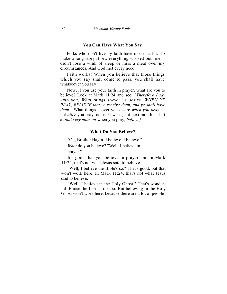#### **You Can Have What You Say**

Folks who don't live by faith have missed a lot. To make a long story short, everything worked out fine. I didn't lose a wink of sleep or miss a meal over my circumstances. And God met every need!

Faith works! When you believe that those things which you say shall come to pass, you shall have whatsoever you say!

Now, if you use your faith in prayer, what are you to believe? Look at Mark 11:24 and see: *"Therefore I say unto you, What things soever ye desire, WHEN YE PRAY, BELIEVE that ye receive them, and ye shall have them."* What things soever you desire *when you pray*  not *after* you pray, not next week, not next month — but at *that very moment* when you pray, *believe]*

#### **What Do You Believe?**

"Oh, Brother Hagin. I believe. I believe."

*What* do you believe? "Well, I believe in prayer."

It's good that you believe in prayer, but in Mark 11:24, that's not what Jesus said to believe.

"Well, I believe the Bible's so." That's good, but that won't work here. In Mark 11:24, that's not what Jesus said to believe.

"Well, I believe in the Holy Ghost." That's wonderful. Praise the Lord, I do too. But believing in the Holy Ghost won't work here, because there are a lot of people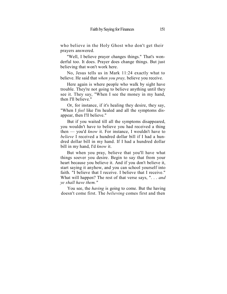who believe in the Holy Ghost who don't get their prayers answered.

"Well, I believe prayer changes things." That's wonderful too. It does. Prayer does change things. But just believing that won't work here.

No, Jesus tells us in Mark 11:24 exactly what to believe. He said that *when you pray,* believe you receive.

Here again is where people who walk by sight have trouble. They're not going to believe anything until they see it. They say, "When I see the money in my hand, then I'll believe."

Or, for instance, if it's healing they desire, they say, "When I *feel* like I'm healed and all the symptoms disappear, then I'll believe."

But if you waited till all the symptoms disappeared, you wouldn't have to believe you had received a thing then — you'd *know* it. For instance, I wouldn't have to *believe* I received a hundred dollar bill if I had a hundred dollar bill in my hand. If I had a hundred dollar bill in my hand, I'd *know* it.

But when you pray, believe that you'll have what things soever you desire. Begin to say that from your heart because you believe it. And if you don't believe it, start saying it anyhow, and you can school yourself into faith. "I believe that I receive. I believe that I receive." What will happen? The rest of that verse says, ". . . *and ye shall have them."*

You see, the *having* is going to come. But the having doesn't come first. The *believing* comes first and then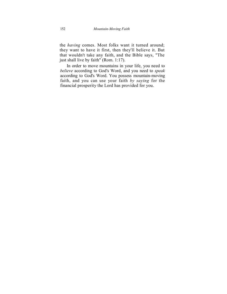the *having* comes. Most folks want it turned around; they want to have it first, then they'll believe it. But that wouldn't take any faith, and the Bible says, "The just shall live by faith" (Rom. 1:17).

In order to move mountains in your life, you need to *believe* according to God's Word, and you need to *speak*  according to God's Word. You possess mountain-moving faith, and you can use your faith *by saying* for the financial prosperity the Lord has provided for you.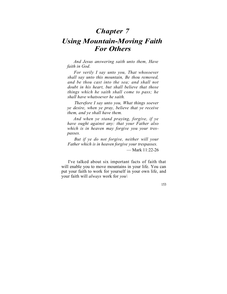# *Chapter 7 Using Mountain-Moving Faith For Others*

*And Jesus answering saith unto them, Have faith in God.*

*For verily I say unto you, That whosoever shall say unto this mountain, Be thou removed, and be thou cast into the sea; and shall not doubt in his heart, but shall believe that those things which he saith shall come to pass; he shall have whatsoever he saith.*

*Therefore I say unto you, What things soever ye desire, when ye pray, believe that ye receive them, and ye shall have them.*

*And when ye stand praying, forgive, if ye have ought against any: that your Father also which is in heaven may forgive you your trespasses.*

*But if ye do not forgive, neither will your Father which is in heaven forgive your trespasses.*

— Mark 11:22-26

I've talked about six important facts of faith that will enable you to move mountains in your life. You can put your faith to work for yourself in your own life, and your faith will *always* work for *you\*

153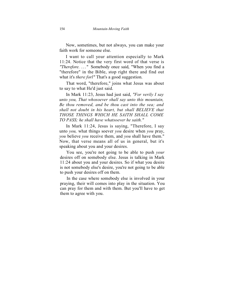Now, sometimes, but not always, you can make your faith work for someone else.

I want to call your attention especially to Mark 11:24. Notice that the very first word of that verse is *"Therefore.* . . . " Somebody once said, "When you find a "therefore" in the Bible, stop right there and find out what it's *there forl"* That's a good suggestion.

That word, "therefore," joins what Jesus was about to say to what He'd just said.

In Mark 11:23, Jesus had just said, *"For verily I say unto you, That whosoever shall say unto this mountain, Be thou removed, and be thou cast into the sea; and shall not doubt in his heart, but shall BELIEVE that THOSE THINGS WHICH HE SAITH SHALL COME TO PASS; he shall have whatsoever he saith."*

In Mark 11:24, Jesus is saying, "Therefore, I say unto *you,* what things soever *you* desire when *you* pray, *you* believe *you* receive them, and *you* shall have them." Now, that verse means all of us in general, but it's speaking about you and your desires.

You see, you're not going to be able to push *your*  desires off on somebody else. Jesus is talking in Mark 11:24 about you and your desires. So if what you desire is not somebody else's desire, you're not going to be able to push your desires off on them.

In the case where somebody else is involved in your praying, their will comes into play in the situation. You can pray for them and with them. But you'll have to get them to agree with you.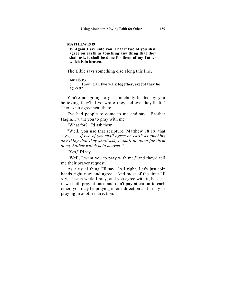**19 Again I say unto you, That if two of you shall agree on earth as touching any thing that they shall ask, it shall be done for them of my Father which is in heaven.**

The Bible says something else along this line.

# **AMOS 3:3**

**3** [How] **Can two walk together, except they be agreed?**

You're not going to get somebody healed by you believing they'll live while they believe they'll die! There's no agreement there.

I've had people to come to me and say, "Brother Hagin, I want you to pray with me."

"What for?" I'd ask them.

"Well, you use that scripture, Matthew 18:19, that says, *'. . . if two of you shall agree on earth as touching any thing that they shall ask, it shall be done for them of my Father which is in heaven.'"*

"Yes," I'd say.

"Well, I want you to pray with me," and they'd tell me their prayer request.

As a usual thing I'll say, "All right. Let's just join hands right now and agree." And most of the time I'll say, "Listen while I pray, and you agree with it, because if we both pray at once and don't pay attention to each other, you may be praying in one direction and I may be praying in another direction.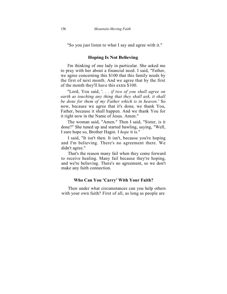"So you just listen to what I say and agree with it."

#### **Hoping Is Not Believing**

I'm thinking of one lady in particular. She asked me to pray with her about a financial need. I said, "Father, we agree concerning this \$100 that this family needs by the first of next month. And we agree that by the first of the month they'll have this extra \$100.

"Lord, You said, '. . . *if two of you shall agree on earth as touching any thing that they shall ask, it shall be done for them of my Father which is in heaven.'* So now, because we agree that it's done, we thank You, Father, because it shall happen. And we thank You for it right now in the Name of Jesus. Amen."

The woman said, "Amen." Then I said, "Sister, is it done?" She tuned up and started bawling, saying, "Well, I sure hope so, Brother Hagin. I *hope* it is."

I said, "It isn't then. It isn't, because you're hoping and I'm believing. There's no agreement there. We didn't agree."

That's the reason many fail when they come forward to receive healing. Many fail because they're hoping, and we're believing. There's no agreement, so we don't make any faith connection.

# **Who Can You 'Carry' With Your Faith?**

Then under what circumstances can you help others with your own faith? First of all, as long as people are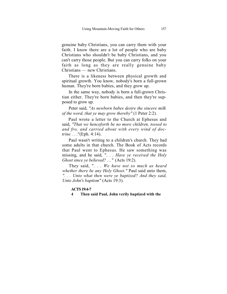genuine baby Christians, you can carry them with your faith. I know there are a lot of people who are baby Christians who shouldn't be baby Christians, and you can't carry those people. But you can carry folks on your faith as long as they are really genuine baby Christians — new Christians.

There is a likeness between physical growth and spiritual growth. You know, nobody's born a full-grown human. They're born babies, and they grow up.

In the same way, nobody is born a full-grown Christian either. They're born babies, and then they're supposed to grow up.

Peter said, *"As newborn babes desire the sincere milk of the word, that ye may grow thereby"* (1 Peter 2:2).

Paul wrote a letter to the Church at Ephesus and said, *"That we henceforth be no more children, tossed to and fro, and carried about with every wind of doctrine .* . ."(Eph. 4:14).

Paul wasn't writing to a children's church. They had some adults in that church. The Book of Acts records that Paul went to Ephesus. He saw something was missing, and he said, ". . . *Have ye received the Holy Ghost since ye believed?* ..." (Acts 19:2).

They said, ". . . *We have not so much as heard whether there be any Holy Ghost."* Paul said unto them, *". . . Unto what then were ye baptized? And they said, Unto John's baptism"* (Acts 19:3).

**ACTS 19:4-7**

**4 Then said Paul, John verily baptized with the**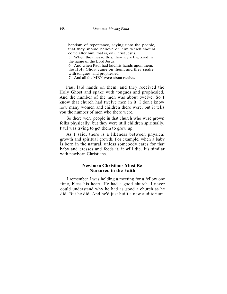baptism of repentance, saying unto the people, that they should believe on him which should come after him, that is, on Christ Jesus.

5 When they heard this, they were baptized in the name of the Lord Jesus.

6 And when Paul had laid his hands upon them, the Holy Ghost came on them; and they spake with tongues, and prophesied.

7 And all the MEN were about twelve.

Paul laid hands on them, and they received the Holy Ghost and spake with tongues and prophesied. And the number of the men was about twelve. So I know that church had twelve men in it. I don't know how many women and children there were, but it tells you the number of men who there were.

So there were people in that church who were grown folks physically, but they were still children spiritually. Paul was trying to get them to grow up.

As I said, there is a likeness between physical growth and spiritual growth. For example, when a baby is born in the natural, unless somebody cares for that baby and dresses and feeds it, it will die. It's similar with newborn Christians.

# **Newborn Christians Must Be Nurtured in the Faith**

I remember I was holding a meeting for a fellow one time, bless his heart. He had a good church. I never could understand why he had as good a church as he did. But he did. And he'd just built a new auditorium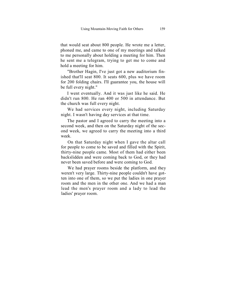that would seat about 800 people. He wrote me a letter, phoned me, and came to one of my meetings and talked to me personally about holding a meeting for him. Then he sent me a telegram, trying to get me to come and hold a meeting for him.

"Brother Hagin, I've just got a new auditorium finished that'll seat 800. It seats 600, plus we have room for 200 folding chairs. I'll guarantee you, the house will be full every night."

I went eventually. And it was just like he said. He didn't run 800. He ran 400 or 500 in attendance. But the church was full every night.

We had services every night, including Saturday night. I wasn't having day services at that time.

The pastor and I agreed to carry the meeting into a second week, and then on the Saturday night of the second week, we agreed to carry the meeting into a third week.

On that Saturday night when I gave the altar call for people to come to be saved and filled with the Spirit, thirty-nine people came. Most of them had either been backslidden and were coming back to God, or they had never been saved before and were coming to God.

We had prayer rooms beside the platform, and they weren't very large. Thirty-nine people couldn't have gotten into one of them, so we put the ladies in one prayer room and the men in the other one. And we had a man lead the men's prayer room and a lady to lead the ladies' prayer room.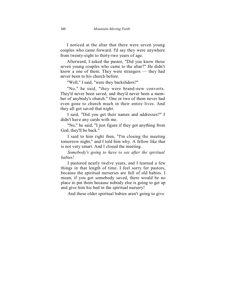I noticed at the altar that there were seven young couples who came forward. I'd say they were anywhere from twenty-eight to thirty-two years of age.

Afterward, I asked the pastor, "Did you know those seven young couples who came to the altar?" He didn't know a one of them. They were strangers — they had never been to his church before.

"Well," I said, "were they backsliders?"

"No," he said, "they were brand-new converts. They'd never been saved, and they'd never been a member of anybody's church." One or two of them never had even gone to church much in their entire lives. And they all got saved that night.

I said, "Did you get their names and addresses?" I didn't have any cards with me.

"No," he said, "I just figure if they got anything from God, they'll be back."

I said to him right then, "I'm closing the meeting tomorrow night," and I told him why. A fellow like that is not very smart. And I closed the meeting.

*Somebody's going to have to see after the spiritual babies!*

I pastored nearly twelve years, and I learned a few things in that length of time. I feel sorry for pastors, because the spiritual nurseries are full of old babies. I mean, if you got somebody saved, there would be no place to put them because nobody else is going to get up and give him his bed in the spiritual nursery!

And these older spiritual babies aren't going to give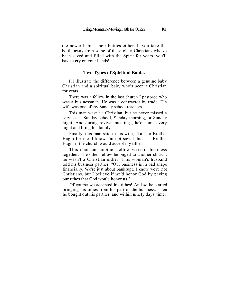the newer babies their bottles either. If you take the bottle away from some of these older Christians who've been saved and filled with the Spirit for years, you'll have a cry on your hands!

#### **Two Types of Spiritual Babies**

I'll illustrate the difference between a genuine baby Christian and a spiritual baby who's been a Christian for years.

There was a fellow in the last church I pastored who was a businessman. He was a contractor by trade. His wife was one of my Sunday school teachers.

This man wasn't a Christian, but he never missed a service — Sunday school, Sunday morning, or Sunday night. And during revival meetings, he'd come every night and bring his family.

Finally, this man said to his wife, "Talk to Brother Hagin for me. I know I'm not saved, but ask Brother Hagin if the church would accept my tithes."

This man and another fellow were in business together. The other fellow belonged to another church; he wasn't a Christian either. This woman's husband told his business partner, "Our business is in bad shape financially. We're just about bankrupt. I know we're not Christians, but I believe if we'd honor God by paying our tithes that God would honor us."

Of course we accepted his tithes! And so he started bringing his tithes from his part of the business. Then he bought out his partner, and within ninety days' time,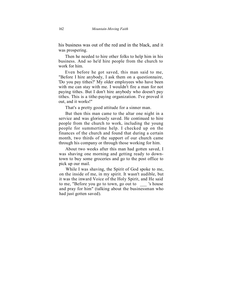his business was out of the red and in the black, and it was prospering.

Then he needed to hire other folks to help him in his business. And so he'd hire people from the church to work for him.

Even before he got saved, this man said to me, "Before I hire anybody, I ask them on a questionnaire, 'Do you pay tithes?' My older employees who have been with me can stay with me. I wouldn't fire a man for not paying tithes. But I don't hire anybody who doesn't pay tithes. This is a tithe-paying organization. I've proved it out, and it works!"

That's a pretty good attitude for a sinner man.

But then this man came to the altar one night in a service and was gloriously saved. He continued to hire people from the church to work, including the young people for summertime help. I checked up on the finances of the church and found that during a certain month, two thirds of the support of our church came through his company or through those working for him.

About two weeks after this man had gotten saved, I was shaving one morning and getting ready to downtown to buy some groceries and go to the post office to pick up our mail.

While I was shaving, the Spirit of God spoke to me, on the inside of me, in my spirit. It wasn't audible, but it was the inward Voice of the Holy Spirit, and He said to me, "Before you go to town, go out to \_\_\_ 's house and pray for him" (talking about the businessman who had just gotten saved).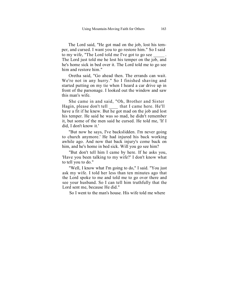The Lord said, "He got mad on the job, lost his temper, and cursed. I want you to go restore him." So I said to my wife, "The Lord told me I've got to go see The Lord just told me he lost his temper on the job, and he's home sick in bed over it. The Lord told me to go see him and restore him."

Oretha said, "Go ahead then. The errands can wait. We're not in any hurry." So I finished shaving and started putting on my tie when I heard a car drive up in front of the parsonage. I looked out the window and saw this man's wife.

She came in and said, "Oh, Brother and Sister Hagin, please don't tell \_\_\_\_ that I came here. He'll have a fit if he knew. But he got mad on the job and lost his temper. He said he was so mad, he didn't remember it, but some of the men said he cursed. He told me, 'If I did, I don't know it.'

"But now he says, I've backslidden. I'm never going to church anymore.' He had injured his back working awhile ago. And now that back injury's come back on him, and he's home in bed sick. Will you go see him?

"But don't tell him I came by here. If he asks you, 'Have you been talking to my wife?' I don't know what to tell you to do."

"Well, I know what I'm going to do," I said. "You just ask my wife. I told her less than ten minutes ago that the Lord spoke to me and told me to go over there and see your husband. So I can tell him truthfully that the Lord sent me, because He did."

So I went to the man's house. His wife told me where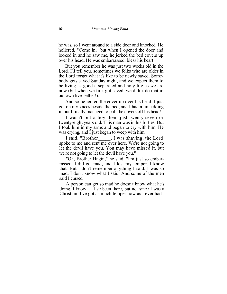he was, so I went around to a side door and knocked. He hollered, "Come in," but when I opened the door and looked in and he saw me, he jerked the bed covers up over his head. He was embarrassed, bless his heart.

But you remember he was just two weeks old in the Lord. I'll tell you, sometimes we folks who are older in the Lord forget what it's like to be newly saved. Somebody gets saved Sunday night, and we expect them to be living as good a separated and holy life as we are now (but when we first got saved, we didn't do that in our own lives either!).

And so he jerked the cover up over his head. I just got on my knees beside the bed, and I had a time doing it, but I finally managed to pull the covers off his head!

I wasn't but a boy then, just twenty-seven or twenty-eight years old. This man was in his forties. But I took him in my arms and began to cry with him. He was crying, and I just began to weep with him.

I said, "Brother\_\_\_\_\_, I was shaving, the Lord spoke to me and sent me over here. We're not going to let the devil have you. You may have missed it, but we're not going to let the devil have you."

"Oh, Brother Hagin," he said, "I'm just so embarrassed. I did get mad, and I lost my temper. I know that. But I don't remember anything I said. I was so mad, I don't know what I said. And some of the men said I cursed."

A person can get so mad he doesn't know what he's doing. I know — I've been there, but not since I was a Christian. I've got as much temper now as I ever had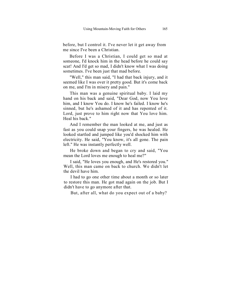before, but I control it. I've never let it get away from me since I've been a Christian.

Before I was a Christian, I could get so mad at someone, I'd knock him in the head before he could say scat! And I'd get so mad, I didn't know what I was doing sometimes. I've been just that mad before.

"Well," this man said, "I had that back injury, and it seemed like I was over it pretty good. But it's come back on me, and I'm in misery and pain."

This man was a genuine spiritual baby. I laid my hand on his back and said, "Dear God, now You love him, and I know You do. I know he's failed. I know he's sinned, but he's ashamed of it and has repented of it. Lord, just prove to him right now that You love him. Heal his back."

And I remember the man looked at me, and just as fast as you could snap your fingers, he was healed. He looked startled and jumped like you'd shocked him with electricity. He said, "You know, it's all gone. The pain left." He was instantly perfectly well.

He broke down and began to cry and said, "You mean the Lord loves me enough to heal me?"

I said, "He loves you enough, and He's restored you." Well, this man came on back to church. We didn't let the devil have him.

I had to go one other time about a month or so later to restore this man. He got mad again on the job. But I didn't have to go anymore after that.

But, after all, what do you expect out of a baby?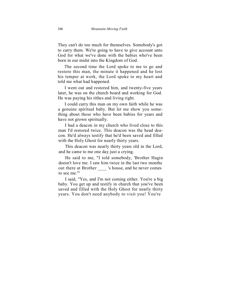They can't do too much for themselves. Somebody's got to carry them. We're going to have to give account unto God for what we've done with the babies who've been born in our midst into the Kingdom of God.

The second time the Lord spoke to me to go and restore this man, the minute it happened and he lost his temper at work, the Lord spoke to my heart and told me what had happened.

I went out and restored him, and twenty-five years later, he was on the church board and working for God. He was paying his tithes and living right.

I could carry this man on my own faith while he was a genuine spiritual baby. But let me show you something about those who have been babies for years and have not grown spiritually.

I had a deacon in my church who lived close to this man I'd restored twice. This deacon was the head deacon. He'd always testify that he'd been saved and filled with the Holy Ghost for nearly thirty years.

This deacon was nearly thirty years old in the Lord, and he came to me one day just a crying.

He said to me, "I told somebody, 'Brother Hagin doesn't love me. I saw him twice in the last two months out there at Brother  $\blacksquare$  's house, and he never comes to see me.'"

I said, "Yes, and I'm not coming either. You're a big baby. You get up and testify in church that you've been saved and filled with the Holy Ghost for nearly thirty years. You don't need anybody to visit you! You're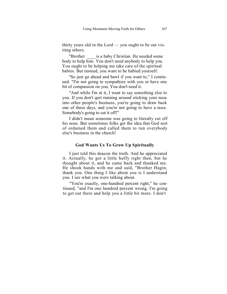thirty years old in the Lord — you ought to be out visiting others.

"Brother is a baby Christian. He needed some body to help him. You don't need anybody to help you. You ought to be helping me take care of the spiritual babies. But instead, you want to be babied yourself.

"So just go ahead and bawl if you want to," I continued. "I'm not going to sympathize with you or have one bit of compassion on you. You don't need it.

"And while I'm at it, I want to say something else to you. If you don't quit running around sticking your nose into other people's business, you're going to draw back one of these days, and you're not going to have a nose. Somebody's going to cut it off!"

I didn't mean someone was going to literally cut off his nose. But sometimes folks get the idea that God sort of ordained them and called them to run everybody else's business in the church!

# **God Wants Us To Grow Up Spiritually**

I just told this deacon the truth. And he appreciated it. Actually, he got a little huffy right then, but he thought about it, and he came back and thanked me. He shook hands with me and said, "Brother Hagin, thank you. One thing I like about you is I understand you. I see what you were talking about.

"You're exactly, one-hundred percent right," he continued, "and I'm one hundred percent wrong. I'm going to get out there and help you a little bit more. I don't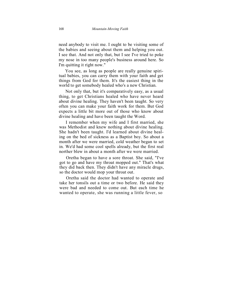need anybody to visit me. I ought to be visiting some of the babies and seeing about them and helping you out. I see that. And not only that, but I see I've tried to poke my nose in too many people's business around here. So I'm quitting it right now."

You see, as long as people are really genuine spiritual babies, you can carry them with your faith and get things from God for them. It's the easiest thing in the world to get somebody healed who's a new Christian.

Not only that, but it's comparatively easy, as a usual thing, to get Christians healed who have never heard about divine healing. They haven't been taught. So very often you can make your faith work for them. But God expects a little bit more out of those who know about divine healing and have been taught the Word.

I remember when my wife and I first married, she was Methodist and knew nothing about divine healing. She hadn't been taught. I'd learned about divine healing on the bed of sickness as a Baptist boy. So about a month after we were married, cold weather began to set in. We'd had some cool spells already, but the first real norther blew in about a month after we were married.

Oretha began to have a sore throat. She said, "I've got to go and have my throat mopped out." That's what they did back then. They didn't have any miracle drugs, so the doctor would mop your throat out.

Oretha said the doctor had wanted to operate and take her tonsils out a time or two before. He said they were bad and needed to come out. But each time he wanted to operate, she was running a little fever, so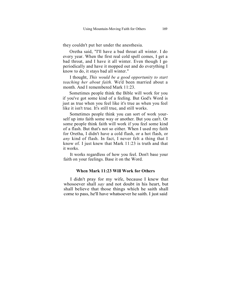they couldn't put her under the anesthesia.

Oretha said, "I'll have a bad throat all winter. I do every year. When the first real cold spell comes, I get a bad throat, and I have it all winter. Even though I go periodically and have it mopped out and do everything I know to do, it stays bad all winter."

I thought, *This would be a good opportunity to start teaching her about faith.* We'd been married about a month. And I remembered Mark 11:23.

Sometimes people think the Bible will work for you if you've got some kind of a feeling. But God's Word is just as true when you feel like it's true as when you feel like it isn't true. It's still true, and still works.

Sometimes people think you can sort of work yourself up into faith some way or another. But you can't. Or some people think faith will work if you feel some kind of a flash. But that's not so either. When I used my faith for Oretha, I didn't have a cold flash, or a hot flash, or *any* kind of flash. In fact, I never felt a thing that I know of. I just knew that Mark 11:23 is truth and that it works.

It works regardless of how you feel. Don't base your faith on your feelings. Base it on the Word.

#### **When Mark 11:23 Will Work for Others**

I didn't pray for my wife, because I knew that whosoever shall *say* and not doubt in his heart, but shall believe that those things which he saith shall come to pass, he'll have whatsoever he saith. I just said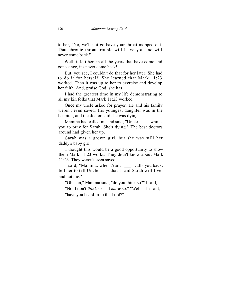to her, "No, we'll not go have your throat mopped out. That chronic throat trouble will leave you and will never come back."

Well, it left her, in all the years that have come and gone since, it's never come back!

But, you see, I couldn't do that for her later. She had to do it for herself. She learned that Mark 11:23 worked. Then it was up to her to exercise and develop her faith. And, praise God, she has.

I had the greatest time in my life demonstrating to all my kin folks that Mark 11:23 worked.

Once my uncle asked for prayer. He and his family weren't even saved. His youngest daughter was in the hospital, and the doctor said she was dying.

Mamma had called me and said, "Uncle wants you to pray for Sarah. She's dying." The best doctors around had given her up.

Sarah was a grown girl, but she was still her daddy's baby girl.

I thought this would be a good opportunity to show them Mark 11:23 works. They didn't know about Mark 11:23. They weren't even saved.

I said, "Mamma, when Aunt calls you back, tell her to tell Uncle \_\_\_\_ that I said Sarah will live and not die."

"Oh, son," Mamma said, "do you think so?" I said,

"No, I don't *think* so — I *know* so." "Well," she said, "have you heard from the Lord?"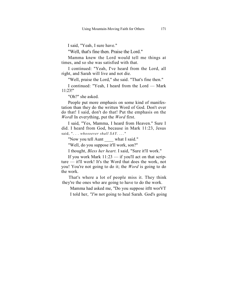I said, "Yeah, I sure have."

"Well, that's fine then. Praise the Lord."

Mamma knew the Lord would tell me things at times, and so she was satisfied with that.

I continued: "Yeah, I've heard from the Lord, all right, and Sarah will live and not die.

"Well, praise the Lord," she said. "That's fine then."

I continued: "Yeah, I heard from the Lord — Mark 11:23!"

"Oh?" she asked.

People put more emphasis on some kind of manifestation than they do the written Word of God. Don't ever do that! I said, don't do that! Put the emphasis on the *Wordl* In everything, put the *Word* first.

I said, "Yes, Mamma, I heard from Heaven." Sure I did. I heard from God, because in Mark 11:23, Jesus said, "... whosoever shall SAY...."

"Now you tell Aunt what I said."

"Well, do you suppose it'll work, son?"

I thought, *Bless her heart.* I said, "Sure it'll work."

If you work Mark  $11:23$  — if you'll act on that scripture — it'll work! It's the Word that does the work, not you! You're not going to do it; the *Word* is going to do the work.

That's where a lot of people miss it. They think they're the ones who are going to have to do the work.

Mamma had asked me, "Do you suppose itftt worVT I told her, *"I'm* not going to heal Sarah. God's going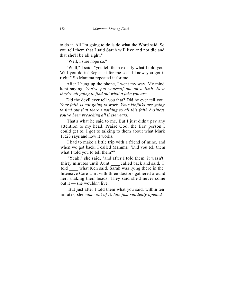to do it. All I'm going to do is do what the Word said. So you tell them that I said Sarah will live and not die and that she'll be all right."

"Well, I sure hope so."

"Well," I said, "you tell them exactly what I told you. Will you do it? Repeat it for me so I'll know you got it right." So Mamma repeated it for me.

After I hung up the phone, I went my way. My mind kept saying, *You've put yourself out on a limb. Now they're all going to find out what a fake you are.*

Did the devil ever tell you that? Did he ever tell you, *Your faith is not going to work. Your kinfolks are going to find out that there's nothing to all this faith business you've been preaching all these years.*

That's what he said to me. But I just didn't pay any attention to my head. Praise God, the first person I could get to, I got to talking to them about what Mark 11:23 says and how it works.

I had to make a little trip with a friend of mine, and when we got back, I called Mamma. "Did you tell them what I told you to tell them?"

"Yeah," she said, "and after I told them, it wasn't thirty minutes until Aunt called back and said, 'I told \_\_\_\_ what Ken said. Sarah was lying there in the Intensive Care Unit with three doctors gathered around her, shaking their heads. They said she'd never come out it — she wouldn't live.

"But just after I told them what you said, within ten minutes, she *came out of it. She just suddenly opened*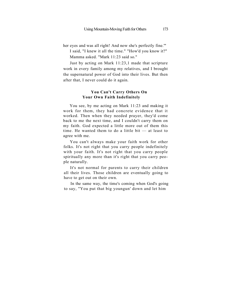her eyes and was all right! And now she's perfectly fine.'"

I said, "I knew it all the time." "How'd you know it?" Mamma asked. "Mark 11:23 said so."

Just by acting on Mark 11:23,1 made that scripture work in every family among my relatives, and I brought the supernatural power of God into their lives. But then after that, I never could do it again.

# **You Can't Carry Others On Your Own Faith Indefinitely**

You see, by me acting on Mark 11:23 and making it work for them, they had concrete evidence that it worked. Then when they needed prayer, they'd come back to me the next time, and I couldn't carry them on my faith. God expected a little more out of them this time. He wanted them to do a little bit — at least to agree with me.

You can't always make your faith work for other folks. It's not right that you carry people indefinitely with your faith. It's not right that you carry people spiritually any more than it's right that you carry people naturally.

It's not normal for parents to carry their children all their lives. Those children are eventually going to have to get out on their own.

In the same way, the time's coming when God's going to say, "You put that big youngun' down and let him